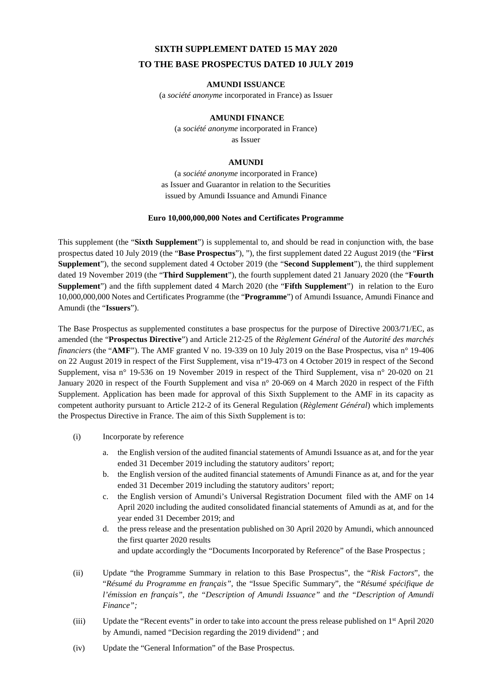# **SIXTH SUPPLEMENT DATED 15 MAY 2020 TO THE BASE PROSPECTUS DATED 10 JULY 2019**

# **AMUNDI ISSUANCE**

(a *société anonyme* incorporated in France) as Issuer

## **AMUNDI FINANCE**

(a *société anonyme* incorporated in France) as Issuer

#### **AMUNDI**

(a *société anonyme* incorporated in France) as Issuer and Guarantor in relation to the Securities issued by Amundi Issuance and Amundi Finance

# **Euro 10,000,000,000 Notes and Certificates Programme**

This supplement (the "**Sixth Supplement**") is supplemental to, and should be read in conjunction with, the base prospectus dated 10 July 2019 (the "**Base Prospectus**"), "), the first supplement dated 22 August 2019 (the "**First Supplement**"), the second supplement dated 4 October 2019 (the "**Second Supplement**"), the third supplement dated 19 November 2019 (the "**Third Supplement**"), the fourth supplement dated 21 January 2020 (the "**Fourth Supplement**") and the fifth supplement dated 4 March 2020 (the "**Fifth Supplement**") in relation to the Euro 10,000,000,000 Notes and Certificates Programme (the "**Programme**") of Amundi Issuance, Amundi Finance and Amundi (the "**Issuers**").

The Base Prospectus as supplemented constitutes a base prospectus for the purpose of Directive 2003/71/EC, as amended (the "**Prospectus Directive**") and Article 212-25 of the *Règlement Général* of the *Autorité des marchés financiers* (the "AMF"). The AMF granted V no. 19-339 on 10 July 2019 on the Base Prospectus, visa n° 19-406 on 22 August 2019 in respect of the First Supplement, visa n°19-473 on 4 October 2019 in respect of the Second Supplement, visa n° 19-536 on 19 November 2019 in respect of the Third Supplement, visa n° 20-020 on 21 January 2020 in respect of the Fourth Supplement and visa n° 20-069 on 4 March 2020 in respect of the Fifth Supplement. Application has been made for approval of this Sixth Supplement to the AMF in its capacity as competent authority pursuant to Article 212-2 of its General Regulation (*Règlement Général*) which implements the Prospectus Directive in France. The aim of this Sixth Supplement is to:

- (i) Incorporate by reference
	- a. the English version of the audited financial statements of Amundi Issuance as at, and for the year ended 31 December 2019 including the statutory auditors' report;
	- b. the English version of the audited financial statements of Amundi Finance as at, and for the year ended 31 December 2019 including the statutory auditors' report;
	- c. the English version of Amundi's Universal Registration Document filed with the AMF on 14 April 2020 including the audited consolidated financial statements of Amundi as at, and for the year ended 31 December 2019; and
	- d. the press release and the presentation published on 30 April 2020 by Amundi, which announced the first quarter 2020 results and update accordingly the "Documents Incorporated by Reference" of the Base Prospectus ;
- (ii) Update "the Programme Summary in relation to this Base Prospectus", the "*Risk Factors*", the "*Résumé du Programme en français"*, the "Issue Specific Summary", the "*Résumé spécifique de l'émission en français", the "Description of Amundi Issuance"* and *the "Description of Amundi Finance";*
- (iii) Update the "Recent events" in order to take into account the press release published on  $1<sup>st</sup>$  April 2020 by Amundi, named "Decision regarding the 2019 dividend" ; and
- (iv) Update the "General Information" of the Base Prospectus.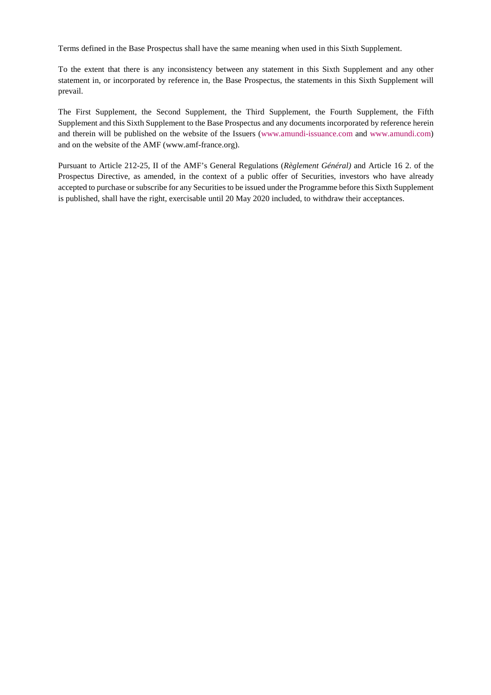Terms defined in the Base Prospectus shall have the same meaning when used in this Sixth Supplement.

To the extent that there is any inconsistency between any statement in this Sixth Supplement and any other statement in, or incorporated by reference in, the Base Prospectus, the statements in this Sixth Supplement will prevail.

The First Supplement, the Second Supplement, the Third Supplement, the Fourth Supplement, the Fifth Supplement and this Sixth Supplement to the Base Prospectus and any documents incorporated by reference herein and therein will be published on the website of the Issuers (www.amundi-issuance.com and www.amundi.com) and on the website of the AMF (www.amf-france.org).

Pursuant to Article 212-25, II of the AMF's General Regulations (*Règlement Général)* and Article 16 2. of the Prospectus Directive, as amended, in the context of a public offer of Securities, investors who have already accepted to purchase or subscribe for any Securities to be issued under the Programme before this Sixth Supplement is published, shall have the right, exercisable until 20 May 2020 included, to withdraw their acceptances.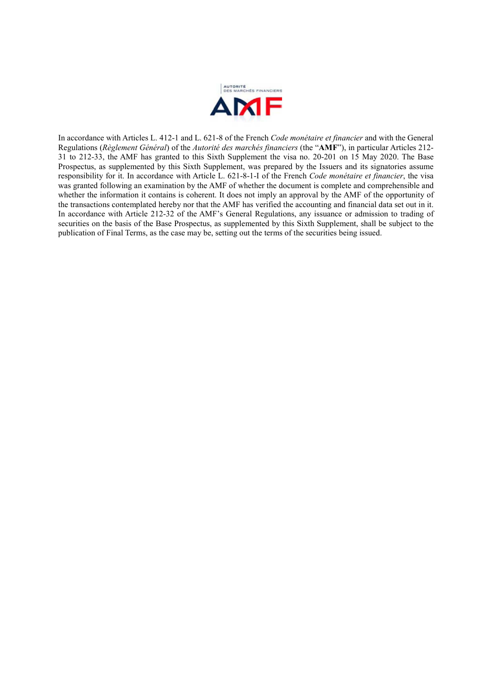

In accordance with Articles L. 412-1 and L. 621-8 of the French *Code monétaire et financier* and with the General Regulations (*Règlement Général*) of the *Autorité des marchés financiers* (the "**AMF**"), in particular Articles 212- 31 to 212-33, the AMF has granted to this Sixth Supplement the visa no. 20-201 on 15 May 2020. The Base Prospectus, as supplemented by this Sixth Supplement, was prepared by the Issuers and its signatories assume responsibility for it. In accordance with Article L. 621-8-1-I of the French *Code monétaire et financier*, the visa was granted following an examination by the AMF of whether the document is complete and comprehensible and whether the information it contains is coherent. It does not imply an approval by the AMF of the opportunity of the transactions contemplated hereby nor that the AMF has verified the accounting and financial data set out in it. In accordance with Article 212-32 of the AMF's General Regulations, any issuance or admission to trading of securities on the basis of the Base Prospectus, as supplemented by this Sixth Supplement, shall be subject to the publication of Final Terms, as the case may be, setting out the terms of the securities being issued.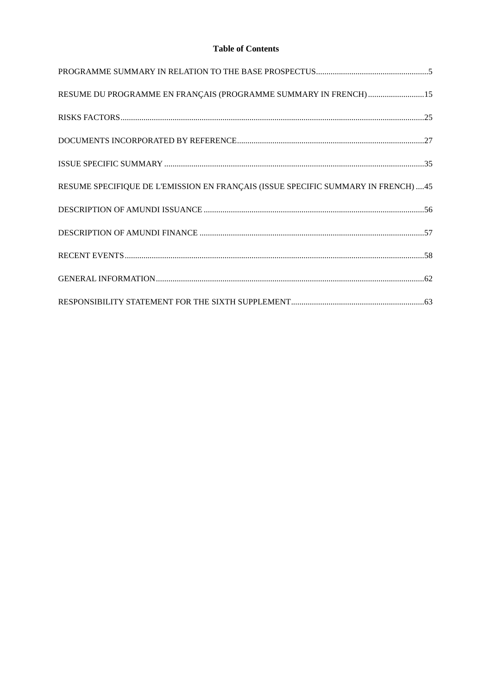# **Table of Contents**

| RESUME DU PROGRAMME EN FRANÇAIS (PROGRAMME SUMMARY IN FRENCH) 15                   |  |
|------------------------------------------------------------------------------------|--|
|                                                                                    |  |
|                                                                                    |  |
|                                                                                    |  |
| RESUME SPECIFIQUE DE L'EMISSION EN FRANÇAIS (ISSUE SPECIFIC SUMMARY IN FRENCH)  45 |  |
|                                                                                    |  |
|                                                                                    |  |
|                                                                                    |  |
|                                                                                    |  |
|                                                                                    |  |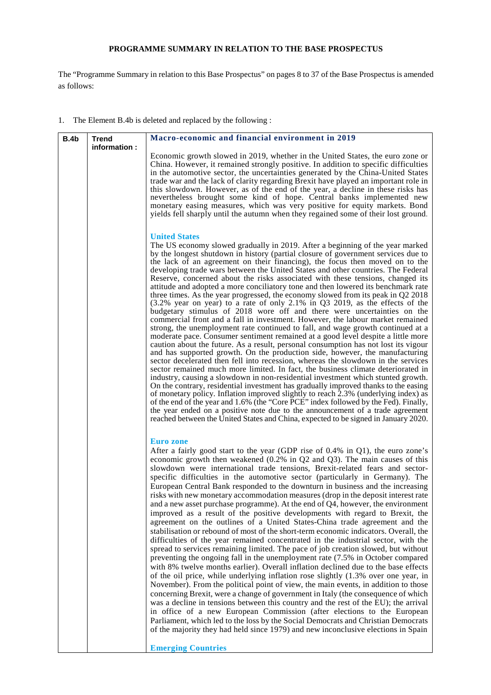# **PROGRAMME SUMMARY IN RELATION TO THE BASE PROSPECTUS**

The "Programme Summary in relation to this Base Prospectus" on pages 8 to 37 of the Base Prospectus is amended as follows:

1. The Element B.4b is deleted and replaced by the following :

| <b>B.4b</b> | <b>Trend</b> | Macro-economic and financial environment in 2019                                                                                                                                                                                                                                                                                                                                                                                                                                                                                                                                                                                                                                                                                                                                                                                                                                                                                                                                                                                                                                                                                                                                                                                                                                                                                                                                                                                                                                                                                                                                                                                                                                                                                                                                                                                                                                                                                      |
|-------------|--------------|---------------------------------------------------------------------------------------------------------------------------------------------------------------------------------------------------------------------------------------------------------------------------------------------------------------------------------------------------------------------------------------------------------------------------------------------------------------------------------------------------------------------------------------------------------------------------------------------------------------------------------------------------------------------------------------------------------------------------------------------------------------------------------------------------------------------------------------------------------------------------------------------------------------------------------------------------------------------------------------------------------------------------------------------------------------------------------------------------------------------------------------------------------------------------------------------------------------------------------------------------------------------------------------------------------------------------------------------------------------------------------------------------------------------------------------------------------------------------------------------------------------------------------------------------------------------------------------------------------------------------------------------------------------------------------------------------------------------------------------------------------------------------------------------------------------------------------------------------------------------------------------------------------------------------------------|
|             | information: | Economic growth slowed in 2019, whether in the United States, the euro zone or<br>China. However, it remained strongly positive. In addition to specific difficulties<br>in the automotive sector, the uncertainties generated by the China-United States<br>trade war and the lack of clarity regarding Brexit have played an important role in<br>this slowdown. However, as of the end of the year, a decline in these risks has<br>nevertheless brought some kind of hope. Central banks implemented new<br>monetary easing measures, which was very positive for equity markets. Bond<br>yields fell sharply until the autumn when they regained some of their lost ground.                                                                                                                                                                                                                                                                                                                                                                                                                                                                                                                                                                                                                                                                                                                                                                                                                                                                                                                                                                                                                                                                                                                                                                                                                                                      |
|             |              | <b>United States</b><br>The US economy slowed gradually in 2019. After a beginning of the year marked<br>by the longest shutdown in history (partial closure of government services due to<br>the lack of an agreement on their financing), the focus then moved on to the<br>developing trade wars between the United States and other countries. The Federal<br>Reserve, concerned about the risks associated with these tensions, changed its<br>attitude and adopted a more conciliatory tone and then lowered its benchmark rate<br>three times. As the year progressed, the economy slowed from its peak in $Q2$ 2018<br>$(3.2\%$ year on year) to a rate of only 2.1% in Q3 2019, as the effects of the<br>budgetary stimulus of 2018 wore off and there were uncertainties on the<br>commercial front and a fall in investment. However, the labour market remained<br>strong, the unemployment rate continued to fall, and wage growth continued at a<br>moderate pace. Consumer sentiment remained at a good level despite a little more<br>caution about the future. As a result, personal consumption has not lost its vigour<br>and has supported growth. On the production side, however, the manufacturing<br>sector decelerated then fell into recession, whereas the slowdown in the services<br>sector remained much more limited. In fact, the business climate deteriorated in<br>industry, causing a slowdown in non-residential investment which stunted growth.<br>On the contrary, residential investment has gradually improved thanks to the easing<br>of monetary policy. Inflation improved slightly to reach 2.3% (underlying index) as<br>of the end of the year and 1.6% (the "Core PCE" index followed by the Fed). Finally,<br>the year ended on a positive note due to the announcement of a trade agreement<br>reached between the United States and China, expected to be signed in January 2020. |
|             |              | <b>Euro</b> zone<br>After a fairly good start to the year (GDP rise of $0.4\%$ in Q1), the euro zone's<br>economic growth then weakened (0.2% in Q2 and Q3). The main causes of this<br>slowdown were international trade tensions, Brexit-related fears and sector-<br>specific difficulties in the automotive sector (particularly in Germany). The<br>European Central Bank responded to the downturn in business and the increasing<br>risks with new monetary accommodation measures (drop in the deposit interest rate<br>and a new asset purchase programme). At the end of $Q_4$ , however, the environment<br>improved as a result of the positive developments with regard to Brexit, the<br>agreement on the outlines of a United States-China trade agreement and the<br>stabilisation or rebound of most of the short-term economic indicators. Overall, the<br>difficulties of the year remained concentrated in the industrial sector, with the<br>spread to services remaining limited. The pace of job creation slowed, but without<br>preventing the ongoing fall in the unemployment rate (7.5% in October compared<br>with 8% twelve months earlier). Overall inflation declined due to the base effects<br>of the oil price, while underlying inflation rose slightly $(1.3\%$ over one year, in<br>November). From the political point of view, the main events, in addition to those<br>concerning Brexit, were a change of government in Italy (the consequence of which<br>was a decline in tensions between this country and the rest of the EU); the arrival<br>in office of a new European Commission (after elections to the European<br>Parliament, which led to the loss by the Social Democrats and Christian Democrats<br>of the majority they had held since 1979) and new inconclusive elections in Spain<br><b>Emerging Countries</b>                                                             |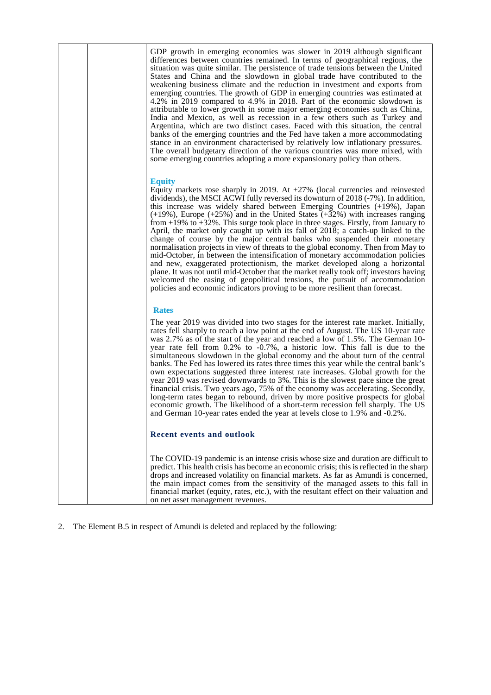|  | GDP growth in emerging economies was slower in 2019 although significant<br>differences between countries remained. In terms of geographical regions, the<br>situation was quite similar. The persistence of trade tensions between the United<br>States and China and the slowdown in global trade have contributed to the<br>weakening business climate and the reduction in investment and exports from<br>emerging countries. The growth of GDP in emerging countries was estimated at<br>4.2% in 2019 compared to 4.9% in 2018. Part of the economic slowdown is<br>attributable to lower growth in some major emerging economies such as China,<br>India and Mexico, as well as recession in a few others such as Turkey and<br>Argentina, which are two distinct cases. Faced with this situation, the central<br>banks of the emerging countries and the Fed have taken a more accommodating<br>stance in an environment characterised by relatively low inflationary pressures.<br>The overall budgetary direction of the various countries was more mixed, with<br>some emerging countries adopting a more expansionary policy than others. |
|--|-------------------------------------------------------------------------------------------------------------------------------------------------------------------------------------------------------------------------------------------------------------------------------------------------------------------------------------------------------------------------------------------------------------------------------------------------------------------------------------------------------------------------------------------------------------------------------------------------------------------------------------------------------------------------------------------------------------------------------------------------------------------------------------------------------------------------------------------------------------------------------------------------------------------------------------------------------------------------------------------------------------------------------------------------------------------------------------------------------------------------------------------------------|
|  | <b>Equity</b><br>Equity markets rose sharply in 2019. At $+27\%$ (local currencies and reinvested<br>dividends), the MSCI ACWI fully reversed its downturn of 2018 (-7%). In addition,<br>this increase was widely shared between Emerging Countries (+19%), Japan<br>$(+19\%)$ , Europe $(+25\%)$ and in the United States $(+32\%)$ with increases ranging<br>from $+19\%$ to $+32\%$ . This surge took place in three stages. Firstly, from January to<br>April, the market only caught up with its fall of 2018; a catch-up linked to the<br>change of course by the major central banks who suspended their monetary<br>normalisation projects in view of threats to the global economy. Then from May to<br>mid-October, in between the intensification of monetary accommodation policies<br>and new, exaggerated protectionism, the market developed along a horizontal<br>plane. It was not until mid-October that the market really took off; investors having<br>welcomed the easing of geopolitical tensions, the pursuit of accommodation<br>policies and economic indicators proving to be more resilient than forecast.                |
|  | <b>Rates</b>                                                                                                                                                                                                                                                                                                                                                                                                                                                                                                                                                                                                                                                                                                                                                                                                                                                                                                                                                                                                                                                                                                                                          |
|  | The year 2019 was divided into two stages for the interest rate market. Initially,<br>rates fell sharply to reach a low point at the end of August. The US 10-year rate<br>was 2.7% as of the start of the year and reached a low of 1.5%. The German 10-<br>year rate fell from 0.2% to -0.7%, a historic low. This fall is due to the<br>simultaneous slowdown in the global economy and the about turn of the central<br>banks. The Fed has lowered its rates three times this year while the central bank's<br>own expectations suggested three interest rate increases. Global growth for the<br>year 2019 was revised downwards to 3%. This is the slowest pace since the great<br>financial crisis. Two years ago, 75% of the economy was accelerating. Secondly,<br>long-term rates began to rebound, driven by more positive prospects for global<br>economic growth. The likelihood of a short-term recession fell sharply. The US<br>and German 10-year rates ended the year at levels close to 1.9% and -0.2%.                                                                                                                            |
|  | <b>Recent events and outlook</b>                                                                                                                                                                                                                                                                                                                                                                                                                                                                                                                                                                                                                                                                                                                                                                                                                                                                                                                                                                                                                                                                                                                      |
|  | The COVID-19 pandemic is an intense crisis whose size and duration are difficult to<br>predict. This health crisis has become an economic crisis; this is reflected in the sharp<br>drops and increased volatility on financial markets. As far as Amundi is concerned,<br>the main impact comes from the sensitivity of the managed assets to this fall in<br>financial market (equity, rates, etc.), with the resultant effect on their valuation and<br>on net asset management revenues.                                                                                                                                                                                                                                                                                                                                                                                                                                                                                                                                                                                                                                                          |

2. The Element B.5 in respect of Amundi is deleted and replaced by the following: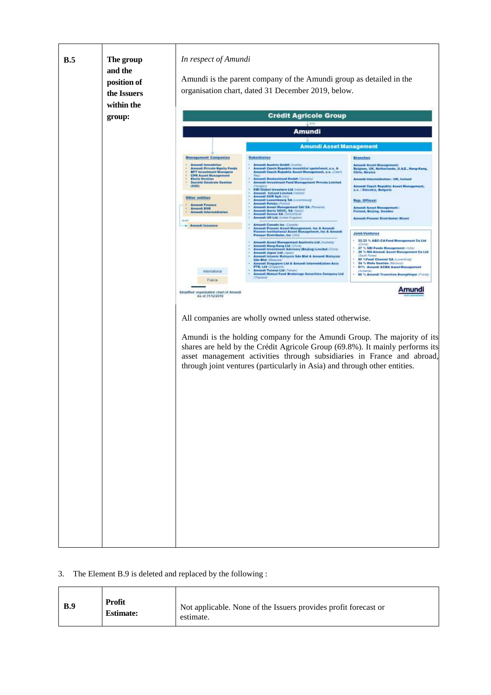

# 3. The Element B.9 is deleted and replaced by the following :

| <b>Profit</b><br>B.9<br><b>Estimate:</b> | Not applicable. None of the Issuers provides profit forecast or<br>estimate. |
|------------------------------------------|------------------------------------------------------------------------------|
|------------------------------------------|------------------------------------------------------------------------------|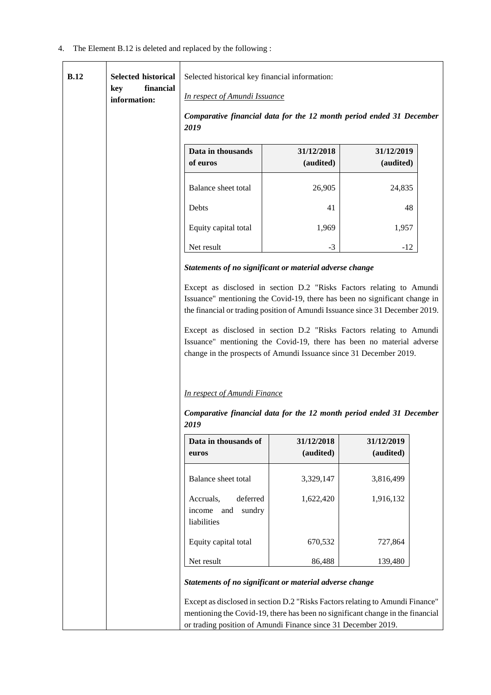4. The Element B.12 is deleted and replaced by the following :

| B.12 | <b>Selected historical</b><br>financial<br>key<br>information: | Selected historical key financial information:<br><b>In respect of Amundi Issuance</b>                                                                                                                                             |                         |                         |  |
|------|----------------------------------------------------------------|------------------------------------------------------------------------------------------------------------------------------------------------------------------------------------------------------------------------------------|-------------------------|-------------------------|--|
|      |                                                                | Comparative financial data for the 12 month period ended 31 December<br>2019                                                                                                                                                       |                         |                         |  |
|      |                                                                | Data in thousands<br>of euros                                                                                                                                                                                                      | 31/12/2018<br>(audited) | 31/12/2019<br>(audited) |  |
|      |                                                                | Balance sheet total                                                                                                                                                                                                                | 26,905                  | 24,835                  |  |
|      |                                                                | Debts                                                                                                                                                                                                                              | 41                      | 48                      |  |
|      |                                                                | Equity capital total                                                                                                                                                                                                               | 1,969                   | 1,957                   |  |
|      |                                                                | Net result                                                                                                                                                                                                                         | $-3$                    | $-12$                   |  |
|      |                                                                | Statements of no significant or material adverse change                                                                                                                                                                            |                         |                         |  |
|      |                                                                | Except as disclosed in section D.2 "Risks Factors relating to Amundi<br>Issuance" mentioning the Covid-19, there has been no significant change in<br>the financial or trading position of Amundi Issuance since 31 December 2019. |                         |                         |  |
|      |                                                                | Except as disclosed in section D.2 "Risks Factors relating to Amundi<br>Issuance" mentioning the Covid-19, there has been no material adverse<br>change in the prospects of Amundi Issuance since 31 December 2019.                |                         |                         |  |
|      |                                                                | <b>In respect of Amundi Finance</b><br>Comparative financial data for the 12 month period ended 31 December<br>2019                                                                                                                |                         |                         |  |
|      |                                                                | Data in thousands of<br>euros                                                                                                                                                                                                      | 31/12/2018<br>(audited) | 31/12/2019<br>(audited) |  |
|      |                                                                | Balance sheet total                                                                                                                                                                                                                | 3,329,147               | 3,816,499               |  |
|      |                                                                | deferred<br>Accruals,<br>sundry<br>income<br>and<br>liabilities                                                                                                                                                                    | 1,622,420               | 1,916,132               |  |
|      |                                                                | Equity capital total                                                                                                                                                                                                               | 670,532                 | 727,864                 |  |
|      |                                                                | Net result                                                                                                                                                                                                                         | 86,488                  | 139,480                 |  |
|      |                                                                | Statements of no significant or material adverse change                                                                                                                                                                            |                         |                         |  |
|      |                                                                | Except as disclosed in section D.2 "Risks Factors relating to Amundi Finance"                                                                                                                                                      |                         |                         |  |
|      |                                                                | mentioning the Covid-19, there has been no significant change in the financial<br>or trading position of Amundi Finance since 31 December 2019.                                                                                    |                         |                         |  |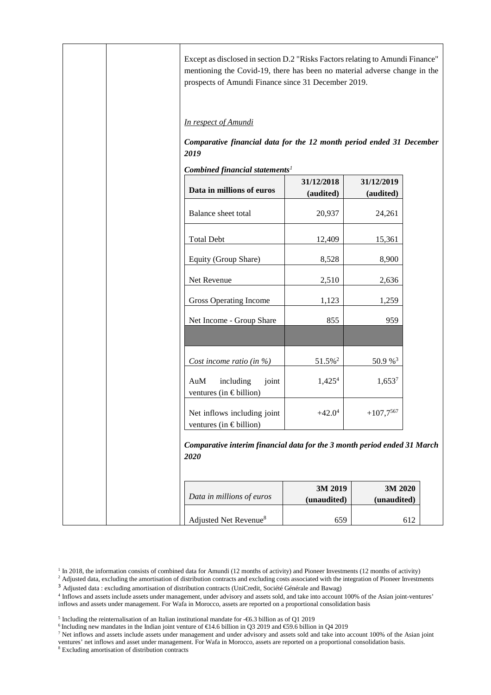|  | Except as disclosed in section D.2 "Risks Factors relating to Amundi Finance"<br>mentioning the Covid-19, there has been no material adverse change in the<br>prospects of Amundi Finance since 31 December 2019. |                         |                         |     |
|--|-------------------------------------------------------------------------------------------------------------------------------------------------------------------------------------------------------------------|-------------------------|-------------------------|-----|
|  | In respect of Amundi                                                                                                                                                                                              |                         |                         |     |
|  | Comparative financial data for the 12 month period ended 31 December<br>2019                                                                                                                                      |                         |                         |     |
|  | Combined financial statements <sup>1</sup>                                                                                                                                                                        |                         |                         |     |
|  | Data in millions of euros                                                                                                                                                                                         | 31/12/2018<br>(audited) | 31/12/2019<br>(audited) |     |
|  | Balance sheet total                                                                                                                                                                                               | 20,937                  | 24,261                  |     |
|  | <b>Total Debt</b>                                                                                                                                                                                                 | 12,409                  | 15,361                  |     |
|  | Equity (Group Share)                                                                                                                                                                                              | 8,528                   | 8,900                   |     |
|  | Net Revenue                                                                                                                                                                                                       | 2,510                   | 2,636                   |     |
|  | Gross Operating Income                                                                                                                                                                                            | 1,123                   | 1,259                   |     |
|  | Net Income - Group Share                                                                                                                                                                                          | 855                     | 959                     |     |
|  | Cost income ratio (in $\%$ )                                                                                                                                                                                      | $51.5\%^2$              | 50.9%3                  |     |
|  | including<br>AuM<br>joint<br>ventures (in $\epsilon$ billion)                                                                                                                                                     | 1,425 <sup>4</sup>      | $1,653^7$               |     |
|  | Net inflows including joint<br>ventures (in $\in$ billion)                                                                                                                                                        | $+42.0^4$               | $+107,\!7^{567}$        |     |
|  | Comparative interim financial data for the 3 month period ended 31 March<br>2020                                                                                                                                  |                         |                         |     |
|  | Data in millions of euros                                                                                                                                                                                         | 3M 2019<br>(unaudited)  | 3M 2020<br>(unaudited)  |     |
|  | Adjusted Net Revenue <sup>8</sup>                                                                                                                                                                                 | 659                     |                         | 612 |

- 4 Inflows and assets include assets under management, under advisory and assets sold, and take into account 100% of the Asian joint-ventures' inflows and assets under management. For Wafa in Morocco, assets are reported on a proportional consolidation basis
- $<sup>5</sup>$  Including the reinternalisation of an Italian institutional mandate for -€6.3 billion as of Q1 2019</sup>
- <sup>6</sup> Including new mandates in the Indian joint venture of €14.6 billion in Q3 2019 and €59.6 billion in Q42019
- <sup>7</sup> Net inflows and assets include assets under management and under advisory and assets sold and take into account 100% of the Asian joint
- ventures' net inflows and asset under management. For Wafa in Morocco, assets are reported on a proportional consolidation basis.

 $^{1}$  In 2018, the information consists of combined data for Amundi (12 months of activity) and Pioneer Investments (12 months of activity)<br><sup>2</sup> Adjusted data, excluding the amortisation of distribution contracts and exclu

<sup>3</sup> Adjusted data : excluding amortisation of distribution contracts (UniCredit, Société Générale and Bawag)

<sup>8</sup> Excluding amortisation of distribution contracts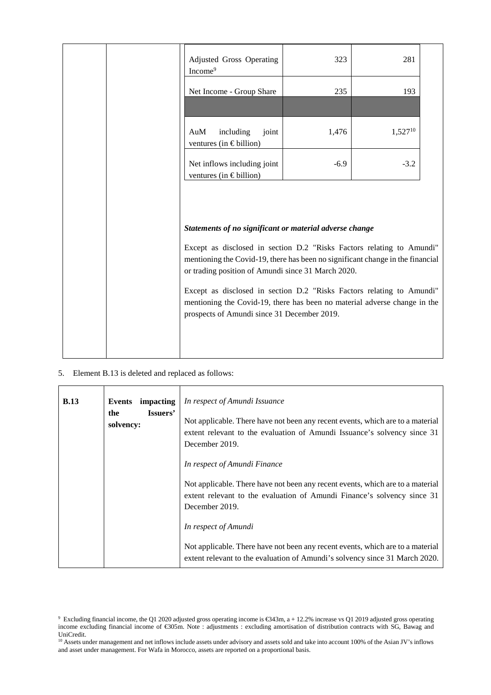|  | Adjusted Gross Operating<br>Income <sup>9</sup>                                                                                                                                                                                                         | 323    | 281          |  |
|--|---------------------------------------------------------------------------------------------------------------------------------------------------------------------------------------------------------------------------------------------------------|--------|--------------|--|
|  | Net Income - Group Share                                                                                                                                                                                                                                | 235    | 193          |  |
|  | AuM<br>including<br>joint<br>ventures (in $\in$ billion)                                                                                                                                                                                                | 1,476  | $1,527^{10}$ |  |
|  | Net inflows including joint<br>ventures (in $\in$ billion)                                                                                                                                                                                              | $-6.9$ | $-3.2$       |  |
|  | Statements of no significant or material adverse change<br>Except as disclosed in section D.2 "Risks Factors relating to Amundi"<br>mentioning the Covid-19, there has been no significant change in the financial                                      |        |              |  |
|  | or trading position of Amundi since 31 March 2020.<br>Except as disclosed in section D.2 "Risks Factors relating to Amundi"<br>mentioning the Covid-19, there has been no material adverse change in the<br>prospects of Amundi since 31 December 2019. |        |              |  |

5. Element B.13 is deleted and replaced as follows:

| <b>B.13</b> | Events impacting<br>Issuers'<br>the<br>solvency: | In respect of Amundi Issuance<br>Not applicable. There have not been any recent events, which are to a material<br>extent relevant to the evaluation of Amundi Issuance's solvency since 31<br>December 2019. |
|-------------|--------------------------------------------------|---------------------------------------------------------------------------------------------------------------------------------------------------------------------------------------------------------------|
|             |                                                  | In respect of Amundi Finance<br>Not applicable. There have not been any recent events, which are to a material<br>extent relevant to the evaluation of Amundi Finance's solvency since 31<br>December 2019.   |
|             |                                                  | In respect of Amundi<br>Not applicable. There have not been any recent events, which are to a material<br>extent relevant to the evaluation of Amundi's solvency since 31 March 2020.                         |

<sup>&</sup>lt;sup>9</sup> Excluding financial income, the Q1 2020 adjusted gross operating income is €343m, a + 12.2% increasevs Q1 2019 adjusted gross operating income excluding financial income of €305m. Note : adjustments : excluding amortisation of distribution contracts with SG, Bawag and UniCredit.

<sup>&</sup>lt;sup>10</sup> Assets under management and net inflows include assets under advisory and assets sold and take into account 100% of the Asian JV's inflows and asset under management. For Wafa in Morocco, assets are reported on a proportional basis.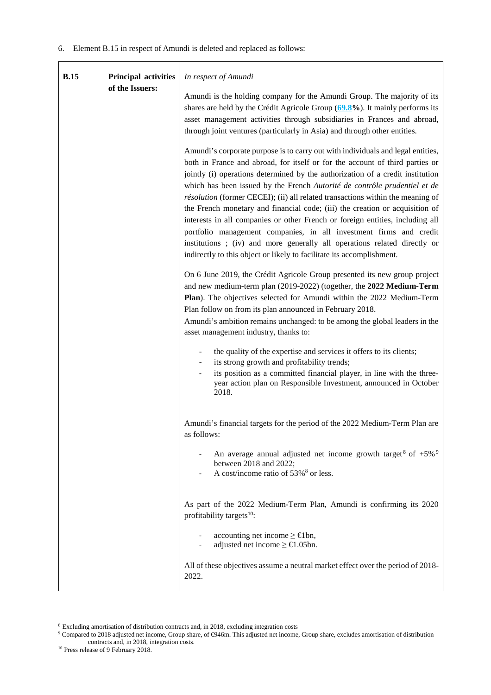| <b>B.15</b> |                                                | In respect of Amundi                                                                                                                                                                                                                                                                                                                                                                                                                                                                                                                                                                                                                                                                                                                                                                                         |
|-------------|------------------------------------------------|--------------------------------------------------------------------------------------------------------------------------------------------------------------------------------------------------------------------------------------------------------------------------------------------------------------------------------------------------------------------------------------------------------------------------------------------------------------------------------------------------------------------------------------------------------------------------------------------------------------------------------------------------------------------------------------------------------------------------------------------------------------------------------------------------------------|
|             | <b>Principal activities</b><br>of the Issuers: | Amundi is the holding company for the Amundi Group. The majority of its<br>shares are held by the Crédit Agricole Group $(69.8\%)$ . It mainly performs its<br>asset management activities through subsidiaries in Frances and abroad,<br>through joint ventures (particularly in Asia) and through other entities.                                                                                                                                                                                                                                                                                                                                                                                                                                                                                          |
|             |                                                | Amundi's corporate purpose is to carry out with individuals and legal entities,<br>both in France and abroad, for itself or for the account of third parties or<br>jointly (i) operations determined by the authorization of a credit institution<br>which has been issued by the French Autorité de contrôle prudentiel et de<br>résolution (former CECEI); (ii) all related transactions within the meaning of<br>the French monetary and financial code; (iii) the creation or acquisition of<br>interests in all companies or other French or foreign entities, including all<br>portfolio management companies, in all investment firms and credit<br>institutions; (iv) and more generally all operations related directly or<br>indirectly to this object or likely to facilitate its accomplishment. |
|             |                                                | On 6 June 2019, the Crédit Agricole Group presented its new group project<br>and new medium-term plan (2019-2022) (together, the 2022 Medium-Term<br>Plan). The objectives selected for Amundi within the 2022 Medium-Term<br>Plan follow on from its plan announced in February 2018.<br>Amundi's ambition remains unchanged: to be among the global leaders in the<br>asset management industry, thanks to:                                                                                                                                                                                                                                                                                                                                                                                                |
|             |                                                | the quality of the expertise and services it offers to its clients;<br>its strong growth and profitability trends;<br>its position as a committed financial player, in line with the three-<br>year action plan on Responsible Investment, announced in October<br>2018.                                                                                                                                                                                                                                                                                                                                                                                                                                                                                                                                     |
|             |                                                | Amundi's financial targets for the period of the 2022 Medium-Term Plan are<br>as follows:                                                                                                                                                                                                                                                                                                                                                                                                                                                                                                                                                                                                                                                                                                                    |
|             |                                                | An average annual adjusted net income growth target <sup>8</sup> of $+5\%$ <sup>9</sup><br>between 2018 and 2022;<br>A cost/income ratio of 53% <sup>8</sup> or less.                                                                                                                                                                                                                                                                                                                                                                                                                                                                                                                                                                                                                                        |
|             |                                                | As part of the 2022 Medium-Term Plan, Amundi is confirming its 2020<br>profitability targets <sup>10</sup> :                                                                                                                                                                                                                                                                                                                                                                                                                                                                                                                                                                                                                                                                                                 |
|             |                                                | accounting net income $\geq \epsilon$ 1bn,<br>adjusted net income $\geq \text{\textsterling}1.05$ bn.                                                                                                                                                                                                                                                                                                                                                                                                                                                                                                                                                                                                                                                                                                        |
|             |                                                | All of these objectives assume a neutral market effect over the period of 2018-<br>2022.                                                                                                                                                                                                                                                                                                                                                                                                                                                                                                                                                                                                                                                                                                                     |

<sup>&</sup>lt;sup>8</sup> Excluding amortisation of distribution contracts and, in 2018, excluding integration costs<br><sup>9</sup> Compared to 2018 adjusted net income, Group share, of €946m. This adjusted net income, Group share, excludes amortisation contracts and, in 2018, integration costs.

<sup>&</sup>lt;sup>10</sup> Press release of 9 February 2018.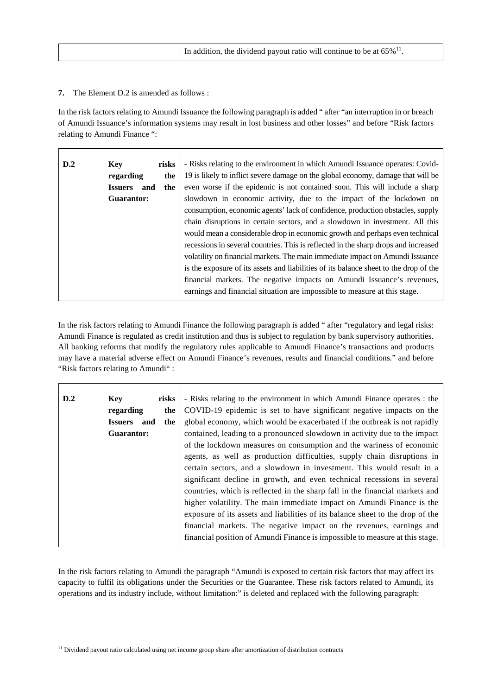|  | In addition, the dividend payout ratio will continue to be at $65\%$ <sup>11</sup> . |
|--|--------------------------------------------------------------------------------------|
|--|--------------------------------------------------------------------------------------|

## **7.** The Element D.2 is amended as follows :

In the risk factors relating to Amundi Issuance the following paragraph is added " after "an interruption in or breach of Amundi Issuance's information systems may result in lost business and other losses" and before "Risk factors relating to Amundi Finance ":

| D.2 | Key                   | risks | - Risks relating to the environment in which Amundi Issuance operates: Covid-         |
|-----|-----------------------|-------|---------------------------------------------------------------------------------------|
|     | regarding             | the   | 19 is likely to inflict severe damage on the global economy, damage that will be      |
|     | <b>Issuers</b><br>and | the   | even worse if the epidemic is not contained soon. This will include a sharp           |
|     | Guarantor:            |       | slowdown in economic activity, due to the impact of the lockdown on                   |
|     |                       |       | consumption, economic agents' lack of confidence, production obstacles, supply        |
|     |                       |       | chain disruptions in certain sectors, and a slowdown in investment. All this          |
|     |                       |       | would mean a considerable drop in economic growth and perhaps even technical          |
|     |                       |       | recessions in several countries. This is reflected in the sharp drops and increased   |
|     |                       |       | volatility on financial markets. The main immediate impact on Amundi Issuance         |
|     |                       |       | is the exposure of its assets and liabilities of its balance sheet to the drop of the |
|     |                       |       | financial markets. The negative impacts on Amundi Issuance's revenues,                |
|     |                       |       | earnings and financial situation are impossible to measure at this stage.             |
|     |                       |       |                                                                                       |

In the risk factors relating to Amundi Finance the following paragraph is added " after "regulatory and legal risks: Amundi Finance is regulated as credit institution and thus is subject to regulation by bank supervisory authorities. All banking reforms that modify the regulatory rules applicable to Amundi Finance's transactions and products may have a material adverse effect on Amundi Finance's revenues, results and financial conditions." and before "Risk factors relating to Amundi" :

| D.2 | <b>Key</b>            | risks | - Risks relating to the environment in which Amundi Finance operates : the     |
|-----|-----------------------|-------|--------------------------------------------------------------------------------|
|     | regarding             | the   | COVID-19 epidemic is set to have significant negative impacts on the           |
|     | <b>Issuers</b><br>and | the   | global economy, which would be exacerbated if the outbreak is not rapidly      |
|     | Guarantor:            |       | contained, leading to a pronounced slowdown in activity due to the impact      |
|     |                       |       | of the lockdown measures on consumption and the wariness of economic           |
|     |                       |       | agents, as well as production difficulties, supply chain disruptions in        |
|     |                       |       | certain sectors, and a slowdown in investment. This would result in a          |
|     |                       |       | significant decline in growth, and even technical recessions in several        |
|     |                       |       | countries, which is reflected in the sharp fall in the financial markets and   |
|     |                       |       | higher volatility. The main immediate impact on Amundi Finance is the          |
|     |                       |       | exposure of its assets and liabilities of its balance sheet to the drop of the |
|     |                       |       | financial markets. The negative impact on the revenues, earnings and           |
|     |                       |       | financial position of Amundi Finance is impossible to measure at this stage.   |
|     |                       |       |                                                                                |

In the risk factors relating to Amundi the paragraph "Amundi is exposed to certain risk factors that may affect its capacity to fulfil its obligations under the Securities or the Guarantee. These risk factors related to Amundi, its operations and its industry include, without limitation:" is deleted and replaced with the following paragraph: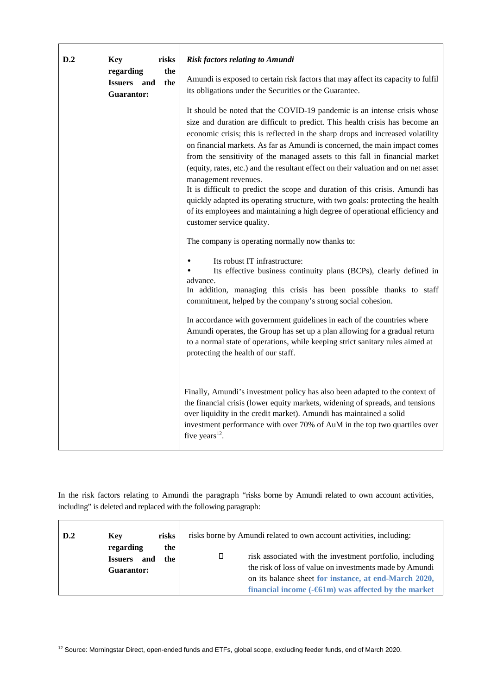| D.2 | <b>Key</b><br>risks                                         | <b>Risk factors relating to Amundi</b>                                                                                                                                                                                                                                                                                                                                                                                                                                                                                                                                                                                                                                                                                                                                                               |
|-----|-------------------------------------------------------------|------------------------------------------------------------------------------------------------------------------------------------------------------------------------------------------------------------------------------------------------------------------------------------------------------------------------------------------------------------------------------------------------------------------------------------------------------------------------------------------------------------------------------------------------------------------------------------------------------------------------------------------------------------------------------------------------------------------------------------------------------------------------------------------------------|
|     | regarding<br>the<br>the<br><b>Issuers</b> and<br>Guarantor: | Amundi is exposed to certain risk factors that may affect its capacity to fulfil<br>its obligations under the Securities or the Guarantee.                                                                                                                                                                                                                                                                                                                                                                                                                                                                                                                                                                                                                                                           |
|     |                                                             | It should be noted that the COVID-19 pandemic is an intense crisis whose<br>size and duration are difficult to predict. This health crisis has become an<br>economic crisis; this is reflected in the sharp drops and increased volatility<br>on financial markets. As far as Amundi is concerned, the main impact comes<br>from the sensitivity of the managed assets to this fall in financial market<br>(equity, rates, etc.) and the resultant effect on their valuation and on net asset<br>management revenues.<br>It is difficult to predict the scope and duration of this crisis. Amundi has<br>quickly adapted its operating structure, with two goals: protecting the health<br>of its employees and maintaining a high degree of operational efficiency and<br>customer service quality. |
|     |                                                             | The company is operating normally now thanks to:                                                                                                                                                                                                                                                                                                                                                                                                                                                                                                                                                                                                                                                                                                                                                     |
|     |                                                             | Its robust IT infrastructure:<br>Its effective business continuity plans (BCPs), clearly defined in<br>advance.<br>In addition, managing this crisis has been possible thanks to staff<br>commitment, helped by the company's strong social cohesion.                                                                                                                                                                                                                                                                                                                                                                                                                                                                                                                                                |
|     |                                                             | In accordance with government guidelines in each of the countries where<br>Amundi operates, the Group has set up a plan allowing for a gradual return<br>to a normal state of operations, while keeping strict sanitary rules aimed at<br>protecting the health of our staff.                                                                                                                                                                                                                                                                                                                                                                                                                                                                                                                        |
|     |                                                             | Finally, Amundi's investment policy has also been adapted to the context of<br>the financial crisis (lower equity markets, widening of spreads, and tensions<br>over liquidity in the credit market). Amundi has maintained a solid<br>investment performance with over 70% of AuM in the top two quartiles over<br>five years <sup>12</sup> .                                                                                                                                                                                                                                                                                                                                                                                                                                                       |

 $\overline{\phantom{0}}$ 

In the risk factors relating to Amundi the paragraph "risks borne by Amundi related to own account activities, including" is deleted and replaced with the following paragraph:

| D.2 | <b>Key</b><br>risks<br>regarding<br>the           | risks borne by Amundi related to own account activities, including:                                                                                                                                                                           |
|-----|---------------------------------------------------|-----------------------------------------------------------------------------------------------------------------------------------------------------------------------------------------------------------------------------------------------|
|     | and<br><b>Issuers</b><br>the<br><b>Guarantor:</b> | risk associated with the investment portfolio, including<br>the risk of loss of value on investments made by Amundi<br>on its balance sheet for instance, at end-March 2020,<br>financial income $(-\epsilon 61m)$ was affected by the market |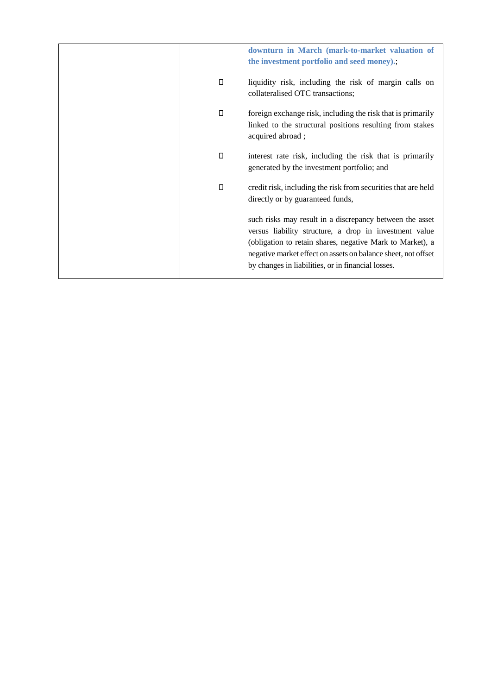| downturn in March (mark-to-market valuation of<br>the investment portfolio and seed money).;                                                                                                                                                                                                           |
|--------------------------------------------------------------------------------------------------------------------------------------------------------------------------------------------------------------------------------------------------------------------------------------------------------|
| liquidity risk, including the risk of margin calls on<br>collateralised OTC transactions;                                                                                                                                                                                                              |
| foreign exchange risk, including the risk that is primarily<br>linked to the structural positions resulting from stakes<br>acquired abroad;                                                                                                                                                            |
| interest rate risk, including the risk that is primarily<br>generated by the investment portfolio; and                                                                                                                                                                                                 |
| credit risk, including the risk from securities that are held<br>directly or by guaranteed funds,                                                                                                                                                                                                      |
| such risks may result in a discrepancy between the asset<br>versus liability structure, a drop in investment value<br>(obligation to retain shares, negative Mark to Market), a<br>negative market effect on assets on balance sheet, not offset<br>by changes in liabilities, or in financial losses. |
|                                                                                                                                                                                                                                                                                                        |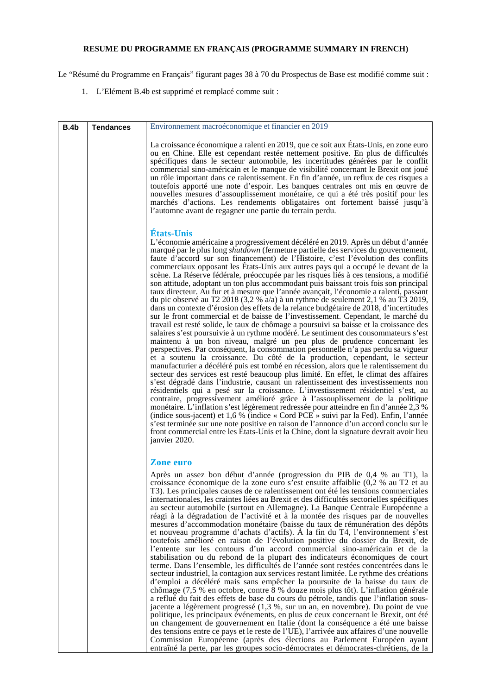# **RESUME DU PROGRAMME EN FRANÇAIS (PROGRAMME SUMMARY IN FRENCH)**

Le "Résumé du Programme en Français" figurant pages 38 à 70 du Prospectus de Base est modifié comme suit :

1. L'Elément B.4b est supprimé et remplacé comme suit :

| <b>B.4b</b> | <b>Tendances</b> | Environnement macroéconomique et financier en 2019                                                                                                                                                                                                                                                                                                                                                                                                                                                                                                                                                                                                                                                                                                                                                                                                                                                                                                                                                                                                                                                                                                                                                                                                                                                                                                                                                                                                                                                                                                                                                                                                                                                                                                                                                                                                                                                                                                                                                                                                                                                                                                                                      |
|-------------|------------------|-----------------------------------------------------------------------------------------------------------------------------------------------------------------------------------------------------------------------------------------------------------------------------------------------------------------------------------------------------------------------------------------------------------------------------------------------------------------------------------------------------------------------------------------------------------------------------------------------------------------------------------------------------------------------------------------------------------------------------------------------------------------------------------------------------------------------------------------------------------------------------------------------------------------------------------------------------------------------------------------------------------------------------------------------------------------------------------------------------------------------------------------------------------------------------------------------------------------------------------------------------------------------------------------------------------------------------------------------------------------------------------------------------------------------------------------------------------------------------------------------------------------------------------------------------------------------------------------------------------------------------------------------------------------------------------------------------------------------------------------------------------------------------------------------------------------------------------------------------------------------------------------------------------------------------------------------------------------------------------------------------------------------------------------------------------------------------------------------------------------------------------------------------------------------------------------|
|             |                  | La croissance économique a ralenti en 2019, que ce soit aux États-Unis, en zone euro<br>ou en Chine. Elle est cependant restée nettement positive. En plus de difficultés<br>spécifiques dans le secteur automobile, les incertitudes générées par le conflit<br>commercial sino-américain et le manque de visibilité concernant le Brexit ont joué<br>un rôle important dans ce ralentissement. En fin d'année, un reflux de ces risques a<br>toutefois apporté une note d'espoir. Les banques centrales ont mis en œuvre de<br>nouvelles mesures d'assouplissement monétaire, ce qui a été très positif pour les<br>marchés d'actions. Les rendements obligataires ont fortement baissé jusqu'à<br>l'automne avant de regagner une partie du terrain perdu.                                                                                                                                                                                                                                                                                                                                                                                                                                                                                                                                                                                                                                                                                                                                                                                                                                                                                                                                                                                                                                                                                                                                                                                                                                                                                                                                                                                                                           |
|             |                  | <b>États-Unis</b><br>L'économie américaine a progressivement décéléré en 2019. Après un début d'année<br>marqué par le plus long shutdown (fermeture partielle des services du gouvernement,<br>faute d'accord sur son financement) de l'Histoire, c'est l'évolution des conflits<br>commerciaux opposant les États-Unis aux autres pays qui a occupé le devant de la<br>scène. La Réserve fédérale, préoccupée par les risques liés à ces tensions, a modifié<br>son attitude, adoptant un ton plus accommodant puis baissant trois fois son principal<br>taux directeur. Au fur et à mesure que l'année avançait, l'économie a ralenti, passant<br>du pic observé au T2 2018 (3,2 % a/a) à un rythme de seulement 2,1 % au T3 2019,<br>dans un contexte d'érosion des effets de la relance budgétaire de 2018, d'incertitudes<br>sur le front commercial et de baisse de l'investissement. Cependant, le marché du<br>travail est resté solide, le taux de chômage a poursuivi sa baisse et la croissance des<br>salaires s'est poursuivie à un rythme modéré. Le sentiment des consommateurs s'est<br>maintenu à un bon niveau, malgré un peu plus de prudence concernant les<br>perspectives. Par conséquent, la consommation personnelle n'a pas perdu sa vigueur<br>et a soutenu la croissance. Du côté de la production, cependant, le secteur<br>manufacturier a décéléré puis est tombé en récession, alors que le ralentissement du<br>secteur des services est resté beaucoup plus limité. En effet, le climat des affaires<br>s'est dégradé dans l'industrie, causant un ralentissement des investissements non<br>résidentiels qui a pesé sur la croissance. L'investissement résidentiel s'est, au<br>contraire, progressivement amélioré grâce à l'assouplissement de la politique<br>monétaire. L'inflation s'est légèrement redressée pour atteindre en fin d'année 2,3 %<br>(indice sous-jacent) et 1,6 % (indice « Cord PCE » suivi par la Fed). Enfin, l'année<br>s'est terminée sur une note positive en raison de l'annonce d'un accord conclu sur le<br>front commercial entre les États-Unis et la Chine, dont la signature devrait avoir lieu<br>janvier 2020. |
|             |                  | <b>Zone euro</b><br>Après un assez bon début d'année (progression du PIB de 0,4 % au T1), la<br>croissance économique de la zone euro s'est ensuite affaiblie (0,2 % au T2 et au<br>T3). Les principales causes de ce ralentissement ont été les tensions commerciales<br>internationales, les craintes liées au Brexit et des difficultés sectorielles spécifiques<br>au secteur automobile (surtout en Allemagne). La Banque Centrale Européenne a<br>réagi à la dégradation de l'activité et à la montée des risques par de nouvelles<br>mesures d'accommodation monétaire (baisse du taux de rémunération des dépôts<br>et nouveau programme d'achats d'actifs). À la fin du T4, l'environnement s'est<br>toutefois amélioré en raison de l'évolution positive du dossier du Brexit, de<br>l'entente sur les contours d'un accord commercial sino-américain et de la<br>stabilisation ou du rebond de la plupart des indicateurs économiques de court<br>terme. Dans l'ensemble, les difficultés de l'année sont restées concentrées dans le<br>secteur industriel, la contagion aux services restant limitée. Le rythme des créations<br>d'emploi a décéléré mais sans empêcher la poursuite de la baisse du taux de<br>chômage (7,5 % en octobre, contre $\bar{8}$ % douze mois plus tôt). L'inflation générale<br>a reflué du fait des effets de base du cours du pétrole, tandis que l'inflation sous-<br>jacente a légèrement progressé (1,3 %, sur un an, en novembre). Du point de vue<br>politique, les principaux événements, en plus de ceux concernant le Brexit, ont été<br>un changement de gouvernement en Italie (dont la conséquence a été une baisse<br>des tensions entre ce pays et le reste de l'UE), l'arrivée aux affaires d'une nouvelle<br>Commission Européenne (après des élections au Parlement Européen ayant<br>entraîné la perte, par les groupes socio-démocrates et démocrates-chrétiens, de la                                                                                                                                                                                                                                                     |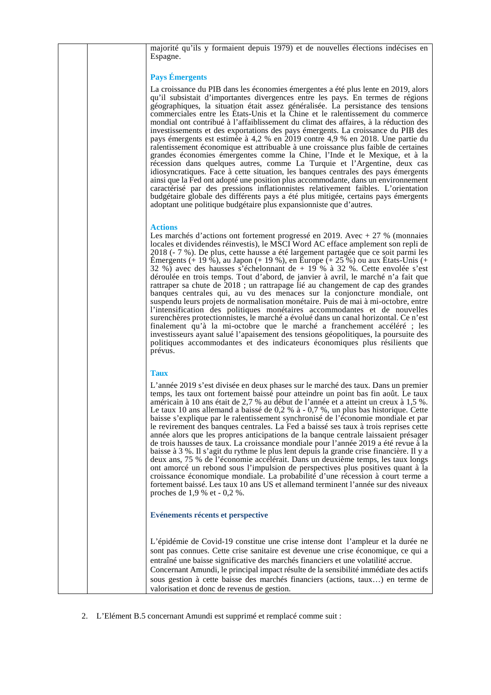| majorité qu'ils y formaient depuis 1979) et de nouvelles élections indécises en<br>Espagne.                                                                                                                                                                                                                                                                                                                                                                                                                                                                                                                                                                                                                                                                                                                                                                                                                                                                                                                                                                                                                                                                                                                                                                                              |
|------------------------------------------------------------------------------------------------------------------------------------------------------------------------------------------------------------------------------------------------------------------------------------------------------------------------------------------------------------------------------------------------------------------------------------------------------------------------------------------------------------------------------------------------------------------------------------------------------------------------------------------------------------------------------------------------------------------------------------------------------------------------------------------------------------------------------------------------------------------------------------------------------------------------------------------------------------------------------------------------------------------------------------------------------------------------------------------------------------------------------------------------------------------------------------------------------------------------------------------------------------------------------------------|
| <b>Pays Émergents</b>                                                                                                                                                                                                                                                                                                                                                                                                                                                                                                                                                                                                                                                                                                                                                                                                                                                                                                                                                                                                                                                                                                                                                                                                                                                                    |
| La croissance du PIB dans les économies émergentes a été plus lente en 2019, alors<br>qu'il subsistait d'importantes divergences entre les pays. En termes de régions<br>géographiques, la situation était assez généralisée. La persistance des tensions<br>commerciales entre les États-Unis et la Chine et le ralentissement du commerce<br>mondial ont contribué à l'affaiblissement du climat des affaires, à la réduction des<br>investissements et des exportations des pays émergents. La croissance du PIB des<br>pays émergents est estimée à 4,2 % en 2019 contre 4,9 % en 2018. Une partie du<br>ralentissement économique est attribuable à une croissance plus faible de certaines<br>grandes économies émergentes comme la Chine, l'Inde et le Mexique, et à la<br>récession dans quelques autres, comme La Turquie et l'Argentine, deux cas<br>idiosyncratiques. Face à cette situation, les banques centrales des pays émergents<br>ainsi que la Fed ont adopté une position plus accommodante, dans un environnement<br>caractérisé par des pressions inflationnistes relativement faibles. L'orientation<br>budgétaire globale des différents pays a été plus mitigée, certains pays émergents<br>adoptant une politique budgétaire plus expansionniste que d'autres. |
| <b>Actions</b><br>Les marchés d'actions ont fortement progressé en 2019. Avec $+27$ % (monnaies<br>locales et dividendes réinvestis), le MSCI Word AC efface amplement son repli de<br>2018 (- 7 %). De plus, cette hausse a été largement partagée que ce soit parmi les<br>Emergents (+ 19 %), au Japon (+ 19 %), en Europe (+ $25\%$ ) ou aux États-Unis (+<br>32 %) avec des hausses s'échelonnant de $+$ 19 % à 32 %. Cette envolée s'est<br>déroulée en trois temps. Tout d'abord, de janvier à avril, le marché n'a fait que<br>rattraper sa chute de 2018 ; un rattrapage lié au changement de cap des grandes<br>banques centrales qui, au vu des menaces sur la conjoncture mondiale, ont<br>suspendu leurs projets de normalisation monétaire. Puis de mai à mi-octobre, entre<br>l'intensification des politiques monétaires accommodantes et de nouvelles<br>surenchères protectionnistes, le marché a évolué dans un canal horizontal. Ce n'est<br>finalement qu'à la mi-octobre que le marché a franchement accéléré ; les<br>investisseurs ayant salué l'apaisement des tensions géopolitiques, la poursuite des<br>politiques accommodantes et des indicateurs économiques plus résilients que<br>prévus.                                                               |
| <b>Taux</b>                                                                                                                                                                                                                                                                                                                                                                                                                                                                                                                                                                                                                                                                                                                                                                                                                                                                                                                                                                                                                                                                                                                                                                                                                                                                              |
| L'année 2019 s'est divisée en deux phases sur le marché des taux. Dans un premier<br>temps, les taux ont fortement baissé pour atteindre un point bas fin août. Le taux<br>américain à 10 ans était de 2,7 % au début de l'année et a atteint un creux à 1,5 %.<br>Le taux 10 ans allemand a baissé de $0.2$ % à - $0.7$ %, un plus bas historique. Cette<br>baisse s'explique par le ralentissement synchronisé de l'économie mondiale et par<br>le revirement des banques centrales. La Fed a baissé ses taux à trois reprises cette<br>année alors que les propres anticipations de la banque centrale laissaient présager<br>de trois hausses de taux. La croissance mondiale pour l'année 2019 a été revue à la<br>baisse à 3 %. Il s'agit du rythme le plus lent depuis la grande crise financière. Il y a<br>deux ans, 75 % de l'économie accélérait. Dans un deuxième temps, les taux longs<br>ont amorcé un rebond sous l'impulsion de perspectives plus positives quant à la<br>croissance économique mondiale. La probabilité d'une récession à court terme a<br>fortement baissé. Les taux 10 ans US et allemand terminent l'année sur des niveaux<br>proches de $1,9%$ et - 0,2 %.                                                                                          |
| Evénements récents et perspective                                                                                                                                                                                                                                                                                                                                                                                                                                                                                                                                                                                                                                                                                                                                                                                                                                                                                                                                                                                                                                                                                                                                                                                                                                                        |
| L'épidémie de Covid-19 constitue une crise intense dont l'ampleur et la durée ne<br>sont pas connues. Cette crise sanitaire est devenue une crise économique, ce qui a<br>entraîné une baisse significative des marchés financiers et une volatilité accrue.                                                                                                                                                                                                                                                                                                                                                                                                                                                                                                                                                                                                                                                                                                                                                                                                                                                                                                                                                                                                                             |

Concernant Amundi, le principal impact résulte de la sensibilité immédiate des actifs sous gestion à cette baisse des marchés financiers (actions, taux…) en terme de valorisation et donc de revenus de gestion.

2. L'Elément B.5 concernant Amundi est supprimé et remplacé comme suit :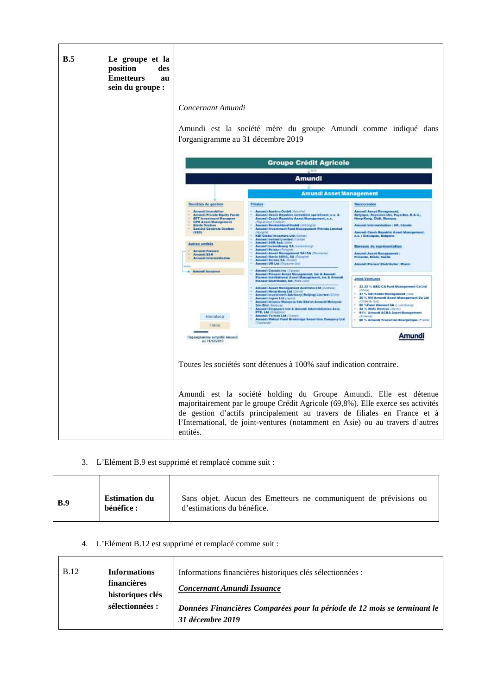

3. L'Elément B.9 est supprimé et remplacé comme suit :

| <b>Estimation du</b><br><b>B.9</b><br>hénéfice : | Sans objet. Aucun des Emetteurs ne communiquent de prévisions ou<br>d'estimations du bénéfice. |
|--------------------------------------------------|------------------------------------------------------------------------------------------------|
|--------------------------------------------------|------------------------------------------------------------------------------------------------|

## 4. L'Elément B.12 est supprimé et remplacé comme suit :

| <b>B.12</b> | <b>Informations</b><br>financières<br>historiques clés | Informations financières historiques clés sélectionnées :<br>Concernant Amundi Issuance      |
|-------------|--------------------------------------------------------|----------------------------------------------------------------------------------------------|
|             | sélectionnées :                                        | Données Financières Comparées pour la période de 12 mois se terminant le<br>31 décembre 2019 |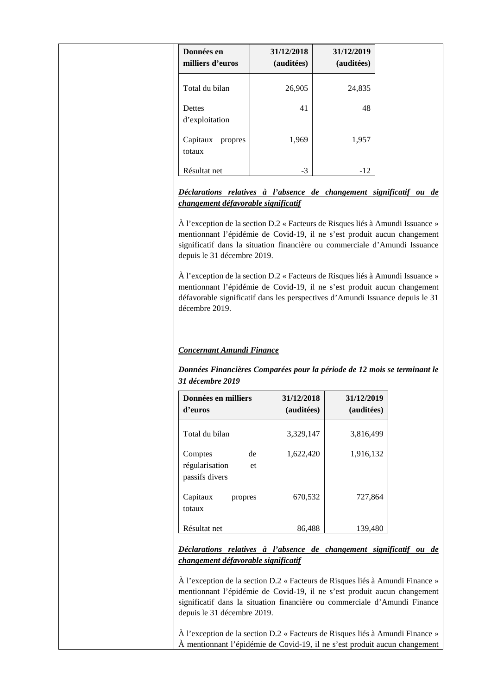| Données en<br>milliers d'euros                                                                                                                                                                                                                                                                                                                                             | 31/12/2018<br>(auditées) | 31/12/2019<br>(auditées) |
|----------------------------------------------------------------------------------------------------------------------------------------------------------------------------------------------------------------------------------------------------------------------------------------------------------------------------------------------------------------------------|--------------------------|--------------------------|
| Total du bilan                                                                                                                                                                                                                                                                                                                                                             | 26,905                   | 24,835                   |
| Dettes<br>d'exploitation                                                                                                                                                                                                                                                                                                                                                   | 41                       | 48                       |
| Capitaux propres<br>totaux                                                                                                                                                                                                                                                                                                                                                 | 1,969                    | 1,957                    |
| Résultat net                                                                                                                                                                                                                                                                                                                                                               | $-3$                     | $-12$                    |
| significatif dans la situation financière ou commerciale d'Amundi Issuance<br>depuis le 31 décembre 2019.<br>À l'exception de la section D.2 « Facteurs de Risques liés à Amundi Issuance »<br>mentionnant l'épidémie de Covid-19, il ne s'est produit aucun changement<br>défavorable significatif dans les perspectives d'Amundi Issuance depuis le 31<br>décembre 2019. |                          |                          |
|                                                                                                                                                                                                                                                                                                                                                                            |                          |                          |
| <b>Concernant Amundi Finance</b>                                                                                                                                                                                                                                                                                                                                           |                          |                          |
| Données Financières Comparées pour la période de 12 mois se terminant le<br>31 décembre 2019                                                                                                                                                                                                                                                                               |                          |                          |

| Données en milliers<br>d'euros                          | 31/12/2018<br>(auditées) | 31/12/2019<br>(auditées) |
|---------------------------------------------------------|--------------------------|--------------------------|
| Total du bilan                                          | 3,329,147                | 3,816,499                |
| de<br>Comptes<br>régularisation<br>et<br>passifs divers | 1,622,420                | 1,916,132                |
| Capitaux<br>propres<br>totaux                           | 670,532                  | 727,864                  |
| Résultat net                                            | 86,488                   | 139,480                  |

*Déclarations relatives à l'absence de changement significatif ou de changement défavorable significatif* 

À l'exception de la section D.2 « Facteurs de Risques liés à Amundi Finance » mentionnant l'épidémie de Covid-19, il ne s'est produit aucun changement significatif dans la situation financière ou commerciale d'Amundi Finance depuis le 31 décembre 2019.

À l'exception de la section D.2 « Facteurs de Risques liés à Amundi Finance » À mentionnant l'épidémie de Covid-19, il ne s'est produit aucun changement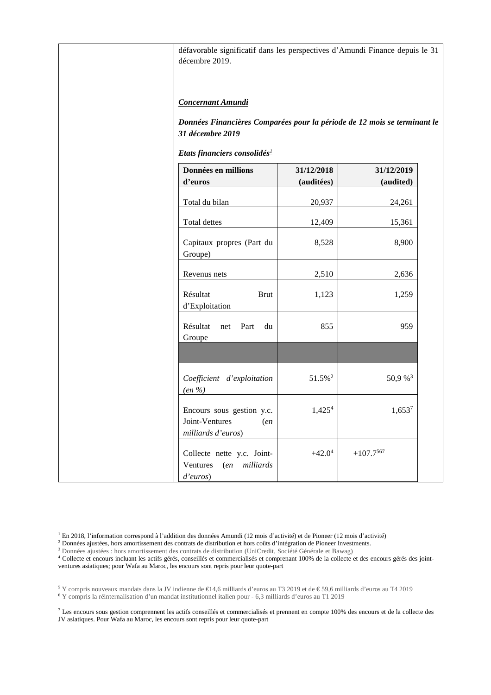| décembre 2019.                                                    |               |                          | défavorable significatif dans les perspectives d'Amundi Finance depuis le 31 |  |
|-------------------------------------------------------------------|---------------|--------------------------|------------------------------------------------------------------------------|--|
| <b>Concernant Amundi</b><br>31 décembre 2019                      |               |                          | Données Financières Comparées pour la période de 12 mois se terminant le     |  |
| Etats financiers consolidés <sup>1</sup>                          |               |                          |                                                                              |  |
| Données en millions<br>d'euros                                    |               | 31/12/2018<br>(auditées) | 31/12/2019<br>(audited)                                                      |  |
| Total du bilan                                                    |               | 20,937                   | 24,261                                                                       |  |
| Total dettes                                                      |               | 12,409                   | 15,361                                                                       |  |
| Capitaux propres (Part du<br>Groupe)                              |               | 8,528                    | 8,900                                                                        |  |
| Revenus nets                                                      |               | 2,510                    | 2,636                                                                        |  |
| Résultat<br>d'Exploitation                                        | <b>Brut</b>   | 1,123                    | 1,259                                                                        |  |
| Résultat<br>net<br>Groupe                                         | Part<br>du    | 855                      | 959                                                                          |  |
|                                                                   |               |                          |                                                                              |  |
| Coefficient d'exploitation<br>$(en\% )$                           |               | 51.5% <sup>2</sup>       | 50,9 % <sup>3</sup>                                                          |  |
| Encours sous gestion y.c.<br>Joint-Ventures<br>milliards d'euros) | (en           | $1,425^{4}$              | $1,653^{7}$                                                                  |  |
| Collecte nette y.c. Joint-<br>Ventures<br>d'euros)                | (en milliards | $+42.0^4$                | $+107.7^{567}$                                                               |  |

1 En 2018, l'information correspond à l'addition des données Amundi (12 mois d'activité) et de Pioneer (12 mois d'activité)

<sup>2</sup> Données ajustées, hors amortissement des contrats de distribution et hors coûts d'intégration de Pioneer Investments.

<sup>3</sup> Données ajustées : hors amortissement des contrats de distribution (UniCredit, Société Générale et Bawag)

4 Collecte et encours incluant les actifs gérés, conseillés et commercialisés et comprenant 100% de la collecte et des encours gérés des jointventures asiatiques; pour Wafa au Maroc, les encours sont repris pour leur quote-part

<sup>5</sup> Y compris nouveaux mandats dans la JV indienne de €14,6 milliards d'euros au T3 2019 et de € 59,6 milliards d'euros au T4 2019

<sup>6</sup> Y compris la réinternalisation d'un mandat institutionnel italien pour - 6,3 milliards d'euros au T1 2019

<sup>7</sup> Les encours sous gestion comprennent les actifs conseillés et commercialisés et prennent en compte 100% des encours et de la collecte des JV asiatiques. Pour Wafa au Maroc, les encours sont repris pour leur quote-part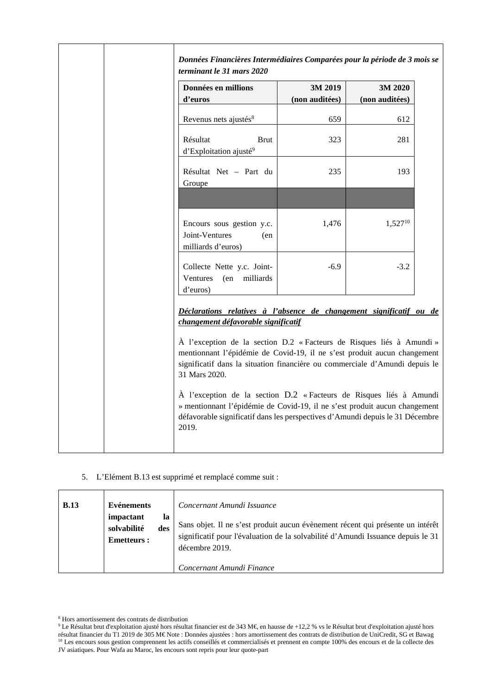| Données en millions                                                                                                                                                                                                                               | 3M 2019        | 3M 2020        |
|---------------------------------------------------------------------------------------------------------------------------------------------------------------------------------------------------------------------------------------------------|----------------|----------------|
| d'euros                                                                                                                                                                                                                                           | (non auditées) | (non auditées) |
| Revenus nets ajustés <sup>8</sup>                                                                                                                                                                                                                 | 659            | 612            |
| Résultat<br>Brut<br>d'Exploitation ajusté <sup>9</sup>                                                                                                                                                                                            | 323            | 281            |
| Résultat Net - Part du<br>Groupe                                                                                                                                                                                                                  | 235            | 193            |
|                                                                                                                                                                                                                                                   |                |                |
| Encours sous gestion y.c.<br>Joint-Ventures<br>(en<br>milliards d'euros)                                                                                                                                                                          | 1,476          | $1,527^{10}$   |
| Collecte Nette y.c. Joint-<br>milliards<br>Ventures<br>(en<br>d'euros)                                                                                                                                                                            | $-6.9$         | $-3.2$         |
| Déclarations relatives à l'absence de changement significatif ou de<br>changement défavorable significatif                                                                                                                                        |                |                |
| À l'exception de la section D.2 « Facteurs de Risques liés à Amundi »<br>mentionnant l'épidémie de Covid-19, il ne s'est produit aucun changement<br>significatif dans la situation financière ou commerciale d'Amundi depuis le<br>31 Mars 2020. |                |                |
| À l'exception de la section D.2 « Facteurs de Risques liés à Amundi<br>» mentionnant l'épidémie de Covid-19, il ne s'est produit aucun changement<br>défavorable significatif dans les perspectives d'Amundi depuis le 31 Décembre<br>2019.       |                |                |

5. L'Elément B.13 est supprimé et remplacé comme suit :

| <b>B.13</b> | <b>Evénements</b><br>impactant<br>la<br>solvabilité<br>des<br><b>Emetteurs:</b> | Concernant Amundi Issuance<br>Sans objet. Il ne s'est produit aucun évènement récent qui présente un intérêt<br>significatif pour l'évaluation de la solvabilité d'Amundi Issuance depuis le 31<br>décembre 2019.<br>Concernant Amundi Finance |
|-------------|---------------------------------------------------------------------------------|------------------------------------------------------------------------------------------------------------------------------------------------------------------------------------------------------------------------------------------------|
|-------------|---------------------------------------------------------------------------------|------------------------------------------------------------------------------------------------------------------------------------------------------------------------------------------------------------------------------------------------|

<sup>8</sup> Hors amortissement des contrats de distribution

<sup>&</sup>lt;sup>9</sup> Le Résultat brut d'exploitation ajusté hors résultat financier est de 343 M€, en hausse de +12,2 % vsle Résultat brut d'exploitation ajusté hors résultat financier du T1 2019 de 305 M€ Note : Données ajustées : hors amortissement des contrats de distribution de UniCredit, SG et Bawag <sup>10</sup> Les encours sous gestion comprennent les actifs conseillés et commercialisés et prennent en compte 100% des encours et de la collecte des JV asiatiques. Pour Wafa au Maroc, les encours sont repris pour leur quote-part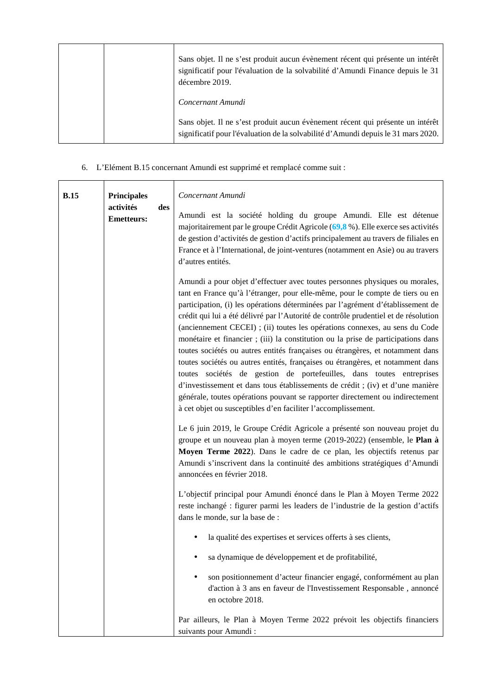|  | Sans objet. Il ne s'est produit aucun évènement récent qui présente un intérêt<br>significatif pour l'évaluation de la solvabilité d'Amundi Finance depuis le 31<br>décembre 2019. |
|--|------------------------------------------------------------------------------------------------------------------------------------------------------------------------------------|
|  | Concernant Amundi                                                                                                                                                                  |
|  | Sans objet. Il ne s'est produit aucun évènement récent qui présente un intérêt<br>significatif pour l'évaluation de la solvabilité d'Amundi depuis le 31 mars 2020.                |

6. L'Elément B.15 concernant Amundi est supprimé et remplacé comme suit :

| <b>B.15</b> | <b>Principales</b><br>activités<br>des<br><b>Emetteurs:</b> | Concernant Amundi<br>Amundi est la société holding du groupe Amundi. Elle est détenue<br>majoritairement par le groupe Crédit Agricole (69,8 %). Elle exerce ses activités<br>de gestion d'activités de gestion d'actifs principalement au travers de filiales en<br>France et à l'International, de joint-ventures (notamment en Asie) ou au travers<br>d'autres entités.                                                                                                                                                                                                                                                                                                                                                                                                                                                                                                                                                                                                                |
|-------------|-------------------------------------------------------------|-------------------------------------------------------------------------------------------------------------------------------------------------------------------------------------------------------------------------------------------------------------------------------------------------------------------------------------------------------------------------------------------------------------------------------------------------------------------------------------------------------------------------------------------------------------------------------------------------------------------------------------------------------------------------------------------------------------------------------------------------------------------------------------------------------------------------------------------------------------------------------------------------------------------------------------------------------------------------------------------|
|             |                                                             | Amundi a pour objet d'effectuer avec toutes personnes physiques ou morales,<br>tant en France qu'à l'étranger, pour elle-même, pour le compte de tiers ou en<br>participation, (i) les opérations déterminées par l'agrément d'établissement de<br>crédit qui lui a été délivré par l'Autorité de contrôle prudentiel et de résolution<br>(anciennement CECEI) ; (ii) toutes les opérations connexes, au sens du Code<br>monétaire et financier ; (iii) la constitution ou la prise de participations dans<br>toutes sociétés ou autres entités françaises ou étrangères, et notamment dans<br>toutes sociétés ou autres entités, françaises ou étrangères, et notamment dans<br>toutes sociétés de gestion de portefeuilles, dans toutes entreprises<br>d'investissement et dans tous établissements de crédit ; (iv) et d'une manière<br>générale, toutes opérations pouvant se rapporter directement ou indirectement<br>à cet objet ou susceptibles d'en faciliter l'accomplissement. |
|             |                                                             | Le 6 juin 2019, le Groupe Crédit Agricole a présenté son nouveau projet du<br>groupe et un nouveau plan à moyen terme (2019-2022) (ensemble, le Plan à<br>Moyen Terme 2022). Dans le cadre de ce plan, les objectifs retenus par<br>Amundi s'inscrivent dans la continuité des ambitions stratégiques d'Amundi<br>annoncées en février 2018.                                                                                                                                                                                                                                                                                                                                                                                                                                                                                                                                                                                                                                              |
|             |                                                             | L'objectif principal pour Amundi énoncé dans le Plan à Moyen Terme 2022<br>reste inchangé : figurer parmi les leaders de l'industrie de la gestion d'actifs<br>dans le monde, sur la base de :                                                                                                                                                                                                                                                                                                                                                                                                                                                                                                                                                                                                                                                                                                                                                                                            |
|             |                                                             | la qualité des expertises et services offerts à ses clients,                                                                                                                                                                                                                                                                                                                                                                                                                                                                                                                                                                                                                                                                                                                                                                                                                                                                                                                              |
|             |                                                             | sa dynamique de développement et de profitabilité,                                                                                                                                                                                                                                                                                                                                                                                                                                                                                                                                                                                                                                                                                                                                                                                                                                                                                                                                        |
|             |                                                             | son positionnement d'acteur financier engagé, conformément au plan<br>d'action à 3 ans en faveur de l'Investissement Responsable, annoncé<br>en octobre 2018.                                                                                                                                                                                                                                                                                                                                                                                                                                                                                                                                                                                                                                                                                                                                                                                                                             |
|             |                                                             | Par ailleurs, le Plan à Moyen Terme 2022 prévoit les objectifs financiers<br>suivants pour Amundi :                                                                                                                                                                                                                                                                                                                                                                                                                                                                                                                                                                                                                                                                                                                                                                                                                                                                                       |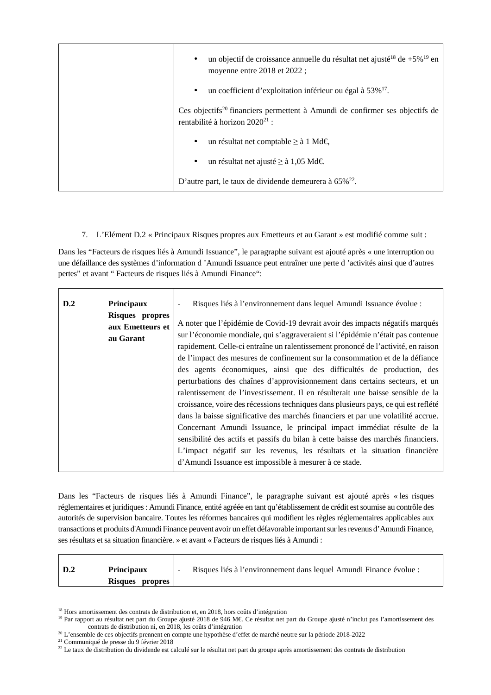|  | un objectif de croissance annuelle du résultat net ajusté <sup>18</sup> de $+5\%$ <sup>19</sup> en<br>$\bullet$<br>moyenne entre 2018 et 2022; |
|--|------------------------------------------------------------------------------------------------------------------------------------------------|
|  | un coefficient d'exploitation inférieur ou égal à 53% <sup>17</sup> .<br>$\bullet$                                                             |
|  | Ces objectifs <sup>20</sup> financiers permettent à Amundi de confirmer ses objectifs de<br>rentabilité à horizon 2020 <sup>21</sup> :         |
|  | un résultat net comptable ≥ à 1 Md€,<br>$\bullet$                                                                                              |
|  | un résultat net ajusté ≥ à 1,05 Md€.<br>$\bullet$                                                                                              |
|  | D'autre part, le taux de dividende demeurera à $65\%^{22}$ .                                                                                   |

7. L'Elément D.2 « Principaux Risques propres aux Emetteurs et au Garant » est modifié comme suit :

Dans les "Facteurs de risques liés à Amundi Issuance", le paragraphe suivant est ajouté après « une interruption ou une défaillance des systèmes d'information d 'Amundi Issuance peut entraîner une perte d 'activités ainsi que d'autres pertes" et avant " Facteurs de risques liés à Amundi Finance":

| D.2 | Principaux<br>Risques propres<br>aux Emetteurs et<br>au Garant | Risques liés à l'environnement dans lequel Amundi Issuance évolue :<br>A noter que l'épidémie de Covid-19 devrait avoir des impacts négatifs marqués<br>sur l'économie mondiale, qui s'aggraveraient si l'épidémie n'était pas contenue<br>rapidement. Celle-ci entraîne un ralentissement prononcé de l'activité, en raison<br>de l'impact des mesures de confinement sur la consommation et de la défiance<br>des agents économiques, ainsi que des difficultés de production, des                                                                                                    |
|-----|----------------------------------------------------------------|-----------------------------------------------------------------------------------------------------------------------------------------------------------------------------------------------------------------------------------------------------------------------------------------------------------------------------------------------------------------------------------------------------------------------------------------------------------------------------------------------------------------------------------------------------------------------------------------|
|     |                                                                | perturbations des chaînes d'approvisionnement dans certains secteurs, et un<br>ralentissement de l'investissement. Il en résulterait une baisse sensible de la<br>croissance, voire des récessions techniques dans plusieurs pays, ce qui est reflété<br>dans la baisse significative des marchés financiers et par une volatilité accrue.<br>Concernant Amundi Issuance, le principal impact immédiat résulte de la<br>sensibilité des actifs et passifs du bilan à cette baisse des marchés financiers.<br>L'impact négatif sur les revenus, les résultats et la situation financière |
|     |                                                                | d'Amundi Issuance est impossible à mesurer à ce stade.                                                                                                                                                                                                                                                                                                                                                                                                                                                                                                                                  |

Dans les "Facteurs de risques liés à Amundi Finance", le paragraphe suivant est ajouté après « les risques réglementaires et juridiques : Amundi Finance, entité agréée en tant qu'établissement de crédit est soumise au contrôle des autorités de supervision bancaire. Toutes les réformes bancaires qui modifient les règles réglementaires applicables aux transactions et produits d'Amundi Finance peuvent avoir un effet défavorable important sur les revenus d'Amundi Finance, ses résultats et sa situation financière. » et avant « Facteurs de risques liés à Amundi :

| <b>Principaux</b> | Risques liés à l'environnement dans lequel Amundi Finance évolue : |
|-------------------|--------------------------------------------------------------------|
| Risques propres   |                                                                    |

<sup>&</sup>lt;sup>18</sup> Hors amortissement des contrats de distribution et, en 2018, hors coûts d'intégration

<sup>21</sup> Communiqué de presse du 9 février 2018

<sup>&</sup>lt;sup>19</sup> Par rapport au résultat net part du Groupe ajusté 2018 de 946 M€. Ce résultat net part du Groupe ajusté n'inclut pas l'amortissement des contrats de distribution ni, en 2018, les coûts d'intégration

<sup>&</sup>lt;sup>20</sup> L'ensemble de ces objectifs prennent en compte une hypothèse d'effet de marché neutre sur la période 2018-2022

<sup>&</sup>lt;sup>22</sup> Le taux de distribution du dividende est calculé sur le résultat net part du groupe après amortissement des contrats de distribution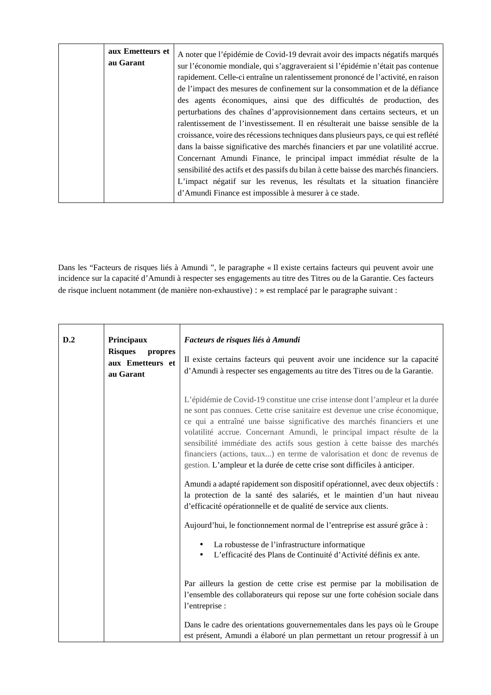| aux Emetteurs et<br>au Garant | A noter que l'épidémie de Covid-19 devrait avoir des impacts négatifs marqués<br>sur l'économie mondiale, qui s'aggraveraient si l'épidémie n'était pas contenue<br>rapidement. Celle-ci entraîne un ralentissement prononcé de l'activité, en raison<br>de l'impact des mesures de confinement sur la consommation et de la défiance<br>des agents économiques, ainsi que des difficultés de production, des<br>perturbations des chaînes d'approvisionnement dans certains secteurs, et un<br>ralentissement de l'investissement. Il en résulterait une baisse sensible de la<br>croissance, voire des récessions techniques dans plusieurs pays, ce qui est reflété<br>dans la baisse significative des marchés financiers et par une volatilité accrue.<br>Concernant Amundi Finance, le principal impact immédiat résulte de la<br>sensibilité des actifs et des passifs du bilan à cette baisse des marchés financiers. |
|-------------------------------|-------------------------------------------------------------------------------------------------------------------------------------------------------------------------------------------------------------------------------------------------------------------------------------------------------------------------------------------------------------------------------------------------------------------------------------------------------------------------------------------------------------------------------------------------------------------------------------------------------------------------------------------------------------------------------------------------------------------------------------------------------------------------------------------------------------------------------------------------------------------------------------------------------------------------------|
|                               | L'impact négatif sur les revenus, les résultats et la situation financière<br>d'Amundi Finance est impossible à mesurer à ce stade.                                                                                                                                                                                                                                                                                                                                                                                                                                                                                                                                                                                                                                                                                                                                                                                           |

Dans les "Facteurs de risques liés à Amundi ", le paragraphe « Il existe certains facteurs qui peuvent avoir une incidence sur la capacité d'Amundi à respecter ses engagements au titre des Titres ou de la Garantie. Ces facteurs de risque incluent notamment (de manière non-exhaustive) : » est remplacé par le paragraphe suivant :

| D.2<br>Principaux<br>Facteurs de risques liés à Amundi<br><b>Risques</b><br>propres<br>aux Emetteurs et<br>au Garant |  | Il existe certains facteurs qui peuvent avoir une incidence sur la capacité<br>d'Amundi à respecter ses engagements au titre des Titres ou de la Garantie.                                                                                                                                                                                                                                                                                                                                                                                                  |
|----------------------------------------------------------------------------------------------------------------------|--|-------------------------------------------------------------------------------------------------------------------------------------------------------------------------------------------------------------------------------------------------------------------------------------------------------------------------------------------------------------------------------------------------------------------------------------------------------------------------------------------------------------------------------------------------------------|
|                                                                                                                      |  | L'épidémie de Covid-19 constitue une crise intense dont l'ampleur et la durée<br>ne sont pas connues. Cette crise sanitaire est devenue une crise économique,<br>ce qui a entraîné une baisse significative des marchés financiers et une<br>volatilité accrue. Concernant Amundi, le principal impact résulte de la<br>sensibilité immédiate des actifs sous gestion à cette baisse des marchés<br>financiers (actions, taux) en terme de valorisation et donc de revenus de<br>gestion. L'ampleur et la durée de cette crise sont difficiles à anticiper. |
|                                                                                                                      |  | Amundi a adapté rapidement son dispositif opérationnel, avec deux objectifs :<br>la protection de la santé des salariés, et le maintien d'un haut niveau<br>d'efficacité opérationnelle et de qualité de service aux clients.                                                                                                                                                                                                                                                                                                                               |
|                                                                                                                      |  | Aujourd'hui, le fonctionnement normal de l'entreprise est assuré grâce à :                                                                                                                                                                                                                                                                                                                                                                                                                                                                                  |
|                                                                                                                      |  | La robustesse de l'infrastructure informatique<br>L'efficacité des Plans de Continuité d'Activité définis ex ante.                                                                                                                                                                                                                                                                                                                                                                                                                                          |
|                                                                                                                      |  | Par ailleurs la gestion de cette crise est permise par la mobilisation de<br>l'ensemble des collaborateurs qui repose sur une forte cohésion sociale dans<br>l'entreprise :                                                                                                                                                                                                                                                                                                                                                                                 |
|                                                                                                                      |  | Dans le cadre des orientations gouvernementales dans les pays où le Groupe<br>est présent, Amundi a élaboré un plan permettant un retour progressif à un                                                                                                                                                                                                                                                                                                                                                                                                    |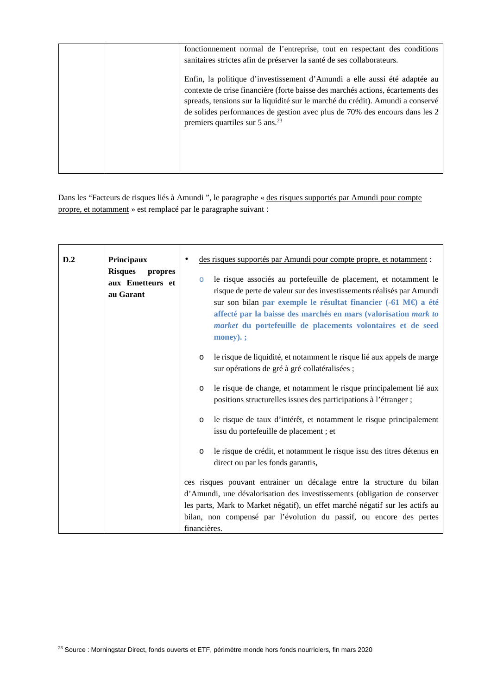| fonctionnement normal de l'entreprise, tout en respectant des conditions<br>sanitaires strictes afin de préserver la santé de ses collaborateurs.                                                                                                                                                                                                                            |
|------------------------------------------------------------------------------------------------------------------------------------------------------------------------------------------------------------------------------------------------------------------------------------------------------------------------------------------------------------------------------|
| Enfin, la politique d'investissement d'Amundi a elle aussi été adaptée au<br>contexte de crise financière (forte baisse des marchés actions, écartements des<br>spreads, tensions sur la liquidité sur le marché du crédit). Amundi a conservé<br>de solides performances de gestion avec plus de 70% des encours dans les 2<br>premiers quartiles sur $5 \text{ ans.}^{23}$ |

Dans les "Facteurs de risques liés à Amundi ", le paragraphe « des risques supportés par Amundi pour compte propre, et notamment » est remplacé par le paragraphe suivant :

| D.2 | Principaux<br><b>Risques</b><br>propres<br>aux Emetteurs et<br>au Garant | des risques supportés par Amundi pour compte propre, et notamment :<br>le risque associés au portefeuille de placement, et notamment le<br>$\circ$<br>risque de perte de valeur sur des investissements réalisés par Amundi<br>sur son bilan par exemple le résultat financier (-61 M€) a été<br>affecté par la baisse des marchés en mars (valorisation mark to<br>market du portefeuille de placements volontaires et de seed<br>$\mathbf{money}$ ). ; |
|-----|--------------------------------------------------------------------------|----------------------------------------------------------------------------------------------------------------------------------------------------------------------------------------------------------------------------------------------------------------------------------------------------------------------------------------------------------------------------------------------------------------------------------------------------------|
|     |                                                                          | le risque de liquidité, et notamment le risque lié aux appels de marge<br>$\circ$<br>sur opérations de gré à gré collatéralisées ;                                                                                                                                                                                                                                                                                                                       |
|     |                                                                          | le risque de change, et notamment le risque principalement lié aux<br>$\circ$<br>positions structurelles issues des participations à l'étranger ;                                                                                                                                                                                                                                                                                                        |
|     |                                                                          | le risque de taux d'intérêt, et notamment le risque principalement<br>$\circ$<br>issu du portefeuille de placement ; et                                                                                                                                                                                                                                                                                                                                  |
|     |                                                                          | le risque de crédit, et notamment le risque issu des titres détenus en<br>$\circ$<br>direct ou par les fonds garantis,                                                                                                                                                                                                                                                                                                                                   |
|     |                                                                          | ces risques pouvant entrainer un décalage entre la structure du bilan                                                                                                                                                                                                                                                                                                                                                                                    |
|     |                                                                          | d'Amundi, une dévalorisation des investissements (obligation de conserver                                                                                                                                                                                                                                                                                                                                                                                |
|     |                                                                          | les parts, Mark to Market négatif), un effet marché négatif sur les actifs au                                                                                                                                                                                                                                                                                                                                                                            |
|     |                                                                          | bilan, non compensé par l'évolution du passif, ou encore des pertes                                                                                                                                                                                                                                                                                                                                                                                      |
|     |                                                                          | financières.                                                                                                                                                                                                                                                                                                                                                                                                                                             |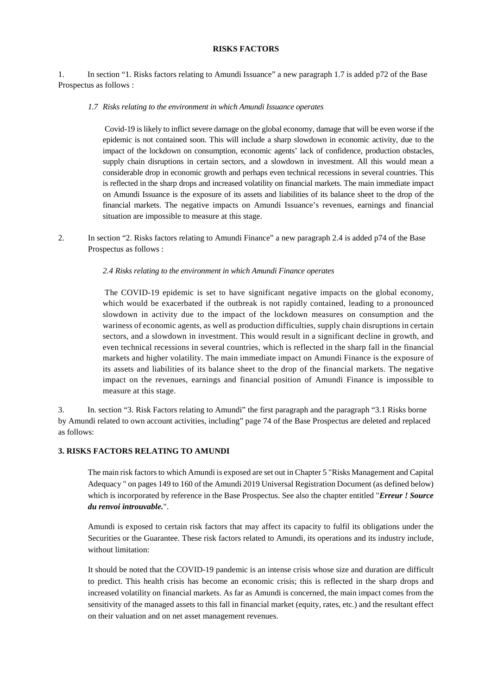# **RISKS FACTORS**

1. In section "1. Risks factors relating to Amundi Issuance" a new paragraph 1.7 is added p72 of the Base Prospectus as follows :

*1.7 Risks relating to the environment in which Amundi Issuance operates* 

 Covid-19 is likely to inflict severe damage on the global economy, damage that will be even worse if the epidemic is not contained soon. This will include a sharp slowdown in economic activity, due to the impact of the lockdown on consumption, economic agents' lack of confidence, production obstacles, supply chain disruptions in certain sectors, and a slowdown in investment. All this would mean a considerable drop in economic growth and perhaps even technical recessions in several countries. This is reflected in the sharp drops and increased volatility on financial markets. The main immediate impact on Amundi Issuance is the exposure of its assets and liabilities of its balance sheet to the drop of the financial markets. The negative impacts on Amundi Issuance's revenues, earnings and financial situation are impossible to measure at this stage.

2. In section "2. Risks factors relating to Amundi Finance" a new paragraph 2.4 is added p74 of the Base Prospectus as follows :

#### *2.4 Risks relating to the environment in which Amundi Finance operates*

 The COVID-19 epidemic is set to have significant negative impacts on the global economy, which would be exacerbated if the outbreak is not rapidly contained, leading to a pronounced slowdown in activity due to the impact of the lockdown measures on consumption and the wariness of economic agents, as well as production difficulties, supply chain disruptions in certain sectors, and a slowdown in investment. This would result in a significant decline in growth, and even technical recessions in several countries, which is reflected in the sharp fall in the financial markets and higher volatility. The main immediate impact on Amundi Finance is the exposure of its assets and liabilities of its balance sheet to the drop of the financial markets. The negative impact on the revenues, earnings and financial position of Amundi Finance is impossible to measure at this stage.

3. In. section "3. Risk Factors relating to Amundi" the first paragraph and the paragraph "3.1 Risks borne by Amundi related to own account activities, including" page 74 of the Base Prospectus are deleted and replaced as follows:

#### **3. RISKS FACTORS RELATING TO AMUNDI**

The main risk factors to which Amundi is exposed are set out in Chapter 5 "Risks Management and Capital Adequacy " on pages 149 to 160 of the Amundi 2019 Universal Registration Document (as defined below) which is incorporated by reference in the Base Prospectus. See also the chapter entitled "*Erreur ! Source du renvoi introuvable.*".

Amundi is exposed to certain risk factors that may affect its capacity to fulfil its obligations under the Securities or the Guarantee. These risk factors related to Amundi, its operations and its industry include, without limitation:

It should be noted that the COVID-19 pandemic is an intense crisis whose size and duration are difficult to predict. This health crisis has become an economic crisis; this is reflected in the sharp drops and increased volatility on financial markets. As far as Amundi is concerned, the main impact comes from the sensitivity of the managed assets to this fall in financial market (equity, rates, etc.) and the resultant effect on their valuation and on net asset management revenues.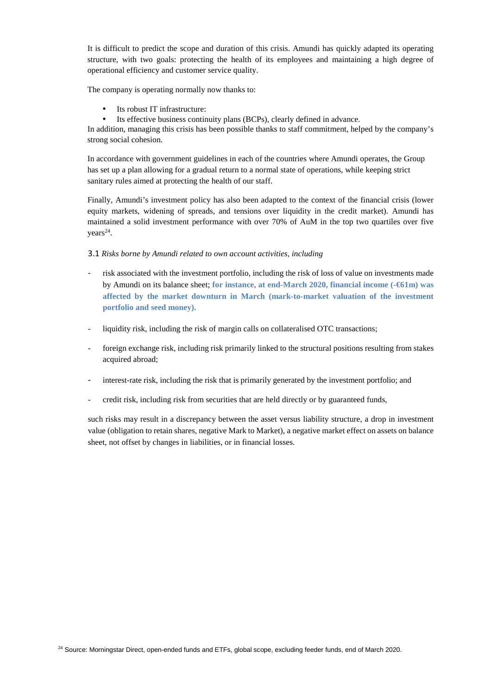It is difficult to predict the scope and duration of this crisis. Amundi has quickly adapted its operating structure, with two goals: protecting the health of its employees and maintaining a high degree of operational efficiency and customer service quality.

The company is operating normally now thanks to:

- Its robust IT infrastructure:
- Its effective business continuity plans (BCPs), clearly defined in advance.

In addition, managing this crisis has been possible thanks to staff commitment, helped by the company's strong social cohesion.

In accordance with government guidelines in each of the countries where Amundi operates, the Group has set up a plan allowing for a gradual return to a normal state of operations, while keeping strict sanitary rules aimed at protecting the health of our staff.

Finally, Amundi's investment policy has also been adapted to the context of the financial crisis (lower equity markets, widening of spreads, and tensions over liquidity in the credit market). Amundi has maintained a solid investment performance with over 70% of AuM in the top two quartiles over five years<sup>24</sup>.

3.1 *Risks borne by Amundi related to own account activities, including*

- risk associated with the investment portfolio, including the risk of loss of value on investments made by Amundi on its balance sheet; **for instance, at end-March 2020, financial income (-€61m) was affected by the market downturn in March (mark-to-market valuation of the investment portfolio and seed money).**
- liquidity risk, including the risk of margin calls on collateralised OTC transactions;
- foreign exchange risk, including risk primarily linked to the structural positions resulting from stakes acquired abroad;
- interest-rate risk, including the risk that is primarily generated by the investment portfolio; and
- credit risk, including risk from securities that are held directly or by guaranteed funds,

such risks may result in a discrepancy between the asset versus liability structure, a drop in investment value (obligation to retain shares, negative Mark to Market), a negative market effect on assets on balance sheet, not offset by changes in liabilities, or in financial losses.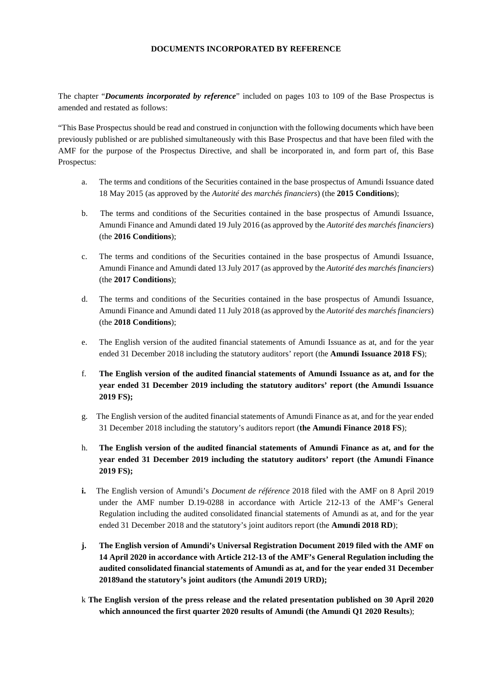# **DOCUMENTS INCORPORATED BY REFERENCE**

The chapter "*Documents incorporated by reference*" included on pages 103 to 109 of the Base Prospectus is amended and restated as follows:

"This Base Prospectus should be read and construed in conjunction with the following documents which have been previously published or are published simultaneously with this Base Prospectus and that have been filed with the AMF for the purpose of the Prospectus Directive, and shall be incorporated in, and form part of, this Base Prospectus:

- a. The terms and conditions of the Securities contained in the base prospectus of Amundi Issuance dated 18 May 2015 (as approved by the *Autorité des marchés financiers*) (the **2015 Conditions**);
- b. The terms and conditions of the Securities contained in the base prospectus of Amundi Issuance, Amundi Finance and Amundi dated 19 July 2016 (as approved by the *Autorité des marchés financiers*) (the **2016 Conditions**);
- c. The terms and conditions of the Securities contained in the base prospectus of Amundi Issuance, Amundi Finance and Amundi dated 13 July 2017 (as approved by the *Autorité des marchés financiers*) (the **2017 Conditions**);
- d. The terms and conditions of the Securities contained in the base prospectus of Amundi Issuance, Amundi Finance and Amundi dated 11 July 2018 (as approved by the *Autorité des marchés financiers*) (the **2018 Conditions**);
- e. The English version of the audited financial statements of Amundi Issuance as at, and for the year ended 31 December 2018 including the statutory auditors' report (the **Amundi Issuance 2018 FS**);
- f. **The English version of the audited financial statements of Amundi Issuance as at, and for the year ended 31 December 2019 including the statutory auditors' report (the Amundi Issuance 2019 FS);**
- g. The English version of the audited financial statements of Amundi Finance as at, and for the year ended 31 December 2018 including the statutory's auditors report (**the Amundi Finance 2018 FS**);
- h. **The English version of the audited financial statements of Amundi Finance as at, and for the year ended 31 December 2019 including the statutory auditors' report (the Amundi Finance 2019 FS);**
- **i.** The English version of Amundi's *Document de référence* 2018 filed with the AMF on 8 April 2019 under the AMF number D.19-0288 in accordance with Article 212-13 of the AMF's General Regulation including the audited consolidated financial statements of Amundi as at, and for the year ended 31 December 2018 and the statutory's joint auditors report (the **Amundi 2018 RD**);
- **j. The English version of Amundi's Universal Registration Document 2019 filed with the AMF on 14 April 2020 in accordance with Article 212-13 of the AMF's General Regulation including the audited consolidated financial statements of Amundi as at, and for the year ended 31 December 20189and the statutory's joint auditors (the Amundi 2019 URD);**
- k **The English version of the press release and the related presentation published on 30 April 2020 which announced the first quarter 2020 results of Amundi (the Amundi Q1 2020 Results**);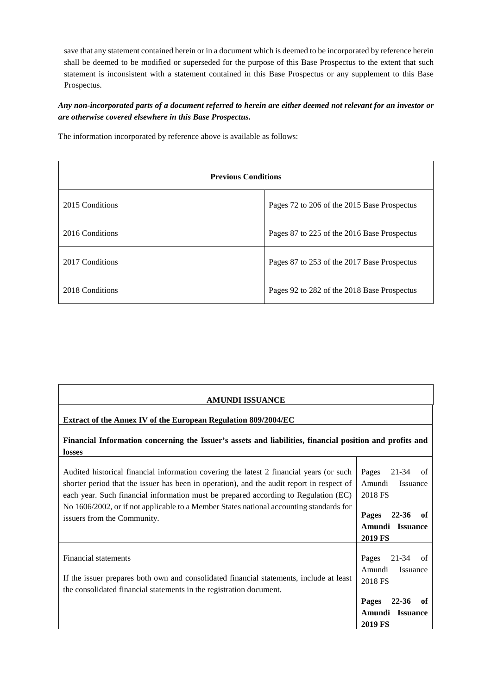save that any statement contained herein or in a document which is deemed to be incorporated by reference herein shall be deemed to be modified or superseded for the purpose of this Base Prospectus to the extent that such statement is inconsistent with a statement contained in this Base Prospectus or any supplement to this Base Prospectus.

*Any non-incorporated parts of a document referred to herein are either deemed not relevant for an investor or are otherwise covered elsewhere in this Base Prospectus.* 

The information incorporated by reference above is available as follows:

| <b>Previous Conditions</b> |                                             |  |  |
|----------------------------|---------------------------------------------|--|--|
| 2015 Conditions            | Pages 72 to 206 of the 2015 Base Prospectus |  |  |
| 2016 Conditions            | Pages 87 to 225 of the 2016 Base Prospectus |  |  |
| 2017 Conditions            | Pages 87 to 253 of the 2017 Base Prospectus |  |  |
| 2018 Conditions            | Pages 92 to 282 of the 2018 Base Prospectus |  |  |

| <b>AMUNDI ISSUANCE</b>                                                                                                                                                                                                                                                      |                                                                         |
|-----------------------------------------------------------------------------------------------------------------------------------------------------------------------------------------------------------------------------------------------------------------------------|-------------------------------------------------------------------------|
| Extract of the Annex IV of the European Regulation 809/2004/EC                                                                                                                                                                                                              |                                                                         |
| Financial Information concerning the Issuer's assets and liabilities, financial position and profits and<br>losses                                                                                                                                                          |                                                                         |
| Audited historical financial information covering the latest 2 financial years (or such<br>shorter period that the issuer has been in operation), and the audit report in respect of<br>each year. Such financial information must be prepared according to Regulation (EC) | Pages<br>21-34<br>of<br>Amundi<br>Issuance<br>2018 FS                   |
| No 1606/2002, or if not applicable to a Member States national accounting standards for<br>issuers from the Community.                                                                                                                                                      | Pages<br>$22 - 36$<br>-of<br>Amundi Issuance<br><b>2019 FS</b>          |
| Financial statements<br>If the issuer prepares both own and consolidated financial statements, include at least                                                                                                                                                             | Pages<br>21-34<br>of<br>Amundi<br>Issuance<br>2018 FS                   |
| the consolidated financial statements in the registration document.                                                                                                                                                                                                         | Pages<br>$22 - 36$<br>of<br>Amundi<br><b>Issuance</b><br><b>2019 FS</b> |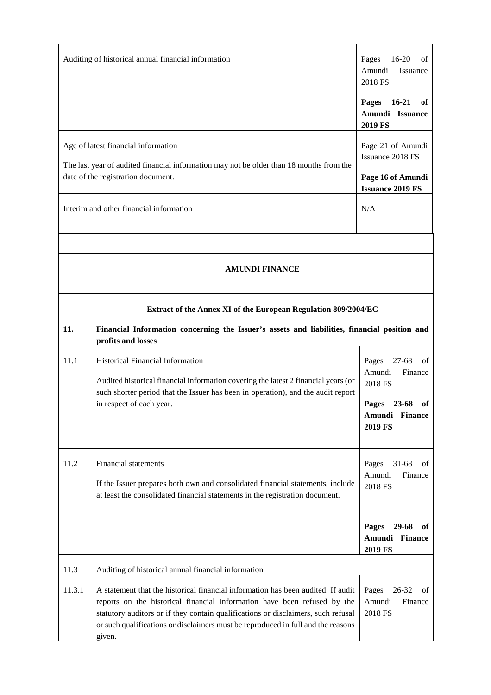|                                                                                                                                                                                                                 | Auditing of historical annual financial information                                                                                                                                                                                                                                                                                             | Pages<br>$16-20$<br>οf<br>Amundi<br>Issuance<br>2018 FS<br>$16-21$<br>Pages<br>of<br>Amundi Issuance      |
|-----------------------------------------------------------------------------------------------------------------------------------------------------------------------------------------------------------------|-------------------------------------------------------------------------------------------------------------------------------------------------------------------------------------------------------------------------------------------------------------------------------------------------------------------------------------------------|-----------------------------------------------------------------------------------------------------------|
| Age of latest financial information<br>The last year of audited financial information may not be older than 18 months from the<br>date of the registration document.<br>Interim and other financial information | 2019 FS<br>Page 21 of Amundi<br>Issuance 2018 FS<br>Page 16 of Amundi<br><b>Issuance 2019 FS</b><br>N/A                                                                                                                                                                                                                                         |                                                                                                           |
|                                                                                                                                                                                                                 | <b>AMUNDI FINANCE</b>                                                                                                                                                                                                                                                                                                                           |                                                                                                           |
| 11.                                                                                                                                                                                                             | Extract of the Annex XI of the European Regulation 809/2004/EC<br>Financial Information concerning the Issuer's assets and liabilities, financial position and<br>profits and losses                                                                                                                                                            |                                                                                                           |
| 11.1                                                                                                                                                                                                            | Historical Financial Information<br>Audited historical financial information covering the latest 2 financial years (or<br>such shorter period that the Issuer has been in operation), and the audit report<br>in respect of each year.                                                                                                          | 27-68<br>Pages<br>οf<br>Amundi<br>Finance<br>2018 FS<br>Pages 23-68<br>of<br>Amundi Finance<br>2019 FS    |
| 11.2                                                                                                                                                                                                            | <b>Financial statements</b><br>If the Issuer prepares both own and consolidated financial statements, include<br>at least the consolidated financial statements in the registration document.                                                                                                                                                   | $31 - 68$<br>Pages<br>οf<br>Amundi<br>Finance<br>2018 FS<br>29-68<br><b>Pages</b><br>оť<br>Amundi Finance |
| 11.3                                                                                                                                                                                                            | Auditing of historical annual financial information                                                                                                                                                                                                                                                                                             | <b>2019 FS</b>                                                                                            |
| 11.3.1                                                                                                                                                                                                          | A statement that the historical financial information has been audited. If audit<br>reports on the historical financial information have been refused by the<br>statutory auditors or if they contain qualifications or disclaimers, such refusal<br>or such qualifications or disclaimers must be reproduced in full and the reasons<br>given. | 26-32<br>Pages<br>οf<br>Amundi<br>Finance<br>2018 FS                                                      |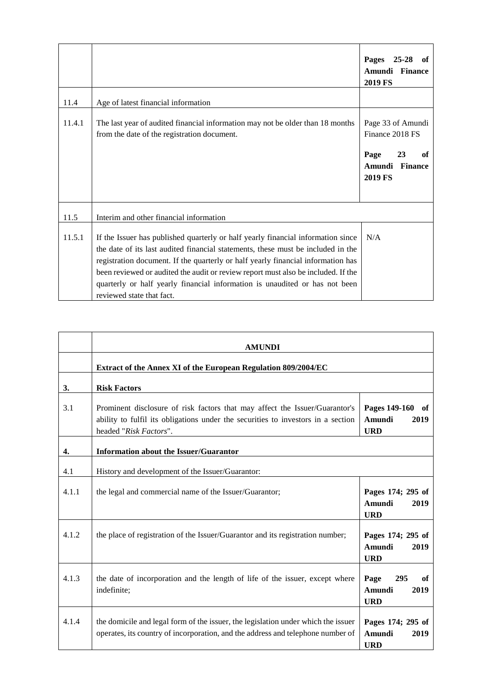|        |                                                                                                                                                                                                                                                                                                                                                                                                                                                           | Pages<br>25-28<br>of<br>Amundi Finance<br><b>2019 FS</b>                                        |
|--------|-----------------------------------------------------------------------------------------------------------------------------------------------------------------------------------------------------------------------------------------------------------------------------------------------------------------------------------------------------------------------------------------------------------------------------------------------------------|-------------------------------------------------------------------------------------------------|
| 11.4   | Age of latest financial information                                                                                                                                                                                                                                                                                                                                                                                                                       |                                                                                                 |
| 11.4.1 | The last year of audited financial information may not be older than 18 months<br>from the date of the registration document.                                                                                                                                                                                                                                                                                                                             | Page 33 of Amundi<br>Finance 2018 FS<br>Page<br>23<br>of<br>Amundi<br><b>Finance</b><br>2019 FS |
| 11.5   | Interim and other financial information                                                                                                                                                                                                                                                                                                                                                                                                                   |                                                                                                 |
| 11.5.1 | If the Issuer has published quarterly or half yearly financial information since<br>the date of its last audited financial statements, these must be included in the<br>registration document. If the quarterly or half yearly financial information has<br>been reviewed or audited the audit or review report must also be included. If the<br>quarterly or half yearly financial information is unaudited or has not been<br>reviewed state that fact. | N/A                                                                                             |

|       | <b>AMUNDI</b>                                                                                                                                                                             |                                                     |  |
|-------|-------------------------------------------------------------------------------------------------------------------------------------------------------------------------------------------|-----------------------------------------------------|--|
|       | Extract of the Annex XI of the European Regulation 809/2004/EC                                                                                                                            |                                                     |  |
| 3.    | <b>Risk Factors</b>                                                                                                                                                                       |                                                     |  |
| 3.1   | Prominent disclosure of risk factors that may affect the Issuer/Guarantor's<br>ability to fulfil its obligations under the securities to investors in a section<br>headed "Risk Factors". | Pages 149-160<br>оf<br>Amundi<br>2019<br><b>URD</b> |  |
| 4.    | <b>Information about the Issuer/Guarantor</b>                                                                                                                                             |                                                     |  |
| 4.1   | History and development of the Issuer/Guarantor:                                                                                                                                          |                                                     |  |
| 4.1.1 | the legal and commercial name of the Issuer/Guarantor;                                                                                                                                    | Pages 174; 295 of<br>Amundi<br>2019<br><b>URD</b>   |  |
| 4.1.2 | the place of registration of the Issuer/Guarantor and its registration number;                                                                                                            | Pages 174; 295 of<br>Amundi<br>2019<br><b>URD</b>   |  |
| 4.1.3 | the date of incorporation and the length of life of the issuer, except where<br>indefinite;                                                                                               | Page<br>295<br>of<br>Amundi<br>2019<br><b>URD</b>   |  |
| 4.1.4 | the domicile and legal form of the issuer, the legislation under which the issuer<br>operates, its country of incorporation, and the address and telephone number of                      | Pages 174; 295 of<br>Amundi<br>2019<br><b>URD</b>   |  |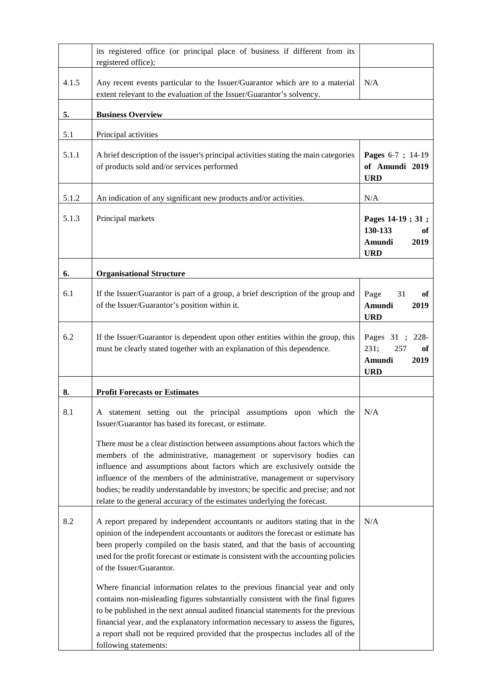|       | its registered office (or principal place of business if different from its<br>registered office);                                                                                                                                                                                                                                                                                                                                                                             |                                                                                         |
|-------|--------------------------------------------------------------------------------------------------------------------------------------------------------------------------------------------------------------------------------------------------------------------------------------------------------------------------------------------------------------------------------------------------------------------------------------------------------------------------------|-----------------------------------------------------------------------------------------|
| 4.1.5 | Any recent events particular to the Issuer/Guarantor which are to a material<br>extent relevant to the evaluation of the Issuer/Guarantor's solvency.                                                                                                                                                                                                                                                                                                                          | N/A                                                                                     |
| 5.    | <b>Business Overview</b>                                                                                                                                                                                                                                                                                                                                                                                                                                                       |                                                                                         |
| 5.1   | Principal activities                                                                                                                                                                                                                                                                                                                                                                                                                                                           |                                                                                         |
| 5.1.1 | A brief description of the issuer's principal activities stating the main categories<br>of products sold and/or services performed                                                                                                                                                                                                                                                                                                                                             | Pages 6-7 ; 14-19<br>of Amundi 2019<br><b>URD</b>                                       |
| 5.1.2 | An indication of any significant new products and/or activities.                                                                                                                                                                                                                                                                                                                                                                                                               | N/A                                                                                     |
| 5.1.3 | Principal markets                                                                                                                                                                                                                                                                                                                                                                                                                                                              | Pages 14-19; 31;<br>130-133<br>оf<br>2019<br>Amundi<br><b>URD</b>                       |
| 6.    | <b>Organisational Structure</b>                                                                                                                                                                                                                                                                                                                                                                                                                                                |                                                                                         |
| 6.1   | If the Issuer/Guarantor is part of a group, a brief description of the group and<br>of the Issuer/Guarantor's position within it.                                                                                                                                                                                                                                                                                                                                              | Page<br>31<br>of<br>Amundi<br>2019<br><b>URD</b>                                        |
| 6.2   | If the Issuer/Guarantor is dependent upon other entities within the group, this<br>must be clearly stated together with an explanation of this dependence.                                                                                                                                                                                                                                                                                                                     | Pages 31<br>228-<br>$\ddot{\cdot}$<br>231;<br>257<br>of<br>Amundi<br>2019<br><b>URD</b> |
| 8.    | <b>Profit Forecasts or Estimates</b>                                                                                                                                                                                                                                                                                                                                                                                                                                           |                                                                                         |
| 8.1   | A statement setting out the principal assumptions upon which the $N/A$<br>Issuer/Guarantor has based its forecast, or estimate.                                                                                                                                                                                                                                                                                                                                                |                                                                                         |
|       | There must be a clear distinction between assumptions about factors which the<br>members of the administrative, management or supervisory bodies can<br>influence and assumptions about factors which are exclusively outside the<br>influence of the members of the administrative, management or supervisory<br>bodies; be readily understandable by investors; be specific and precise; and not<br>relate to the general accuracy of the estimates underlying the forecast. |                                                                                         |
| 8.2   | A report prepared by independent accountants or auditors stating that in the<br>opinion of the independent accountants or auditors the forecast or estimate has<br>been properly compiled on the basis stated, and that the basis of accounting<br>used for the profit forecast or estimate is consistent with the accounting policies<br>of the Issuer/Guarantor.                                                                                                             | N/A                                                                                     |
|       | Where financial information relates to the previous financial year and only<br>contains non-misleading figures substantially consistent with the final figures<br>to be published in the next annual audited financial statements for the previous<br>financial year, and the explanatory information necessary to assess the figures,<br>a report shall not be required provided that the prospectus includes all of the<br>following statements:                             |                                                                                         |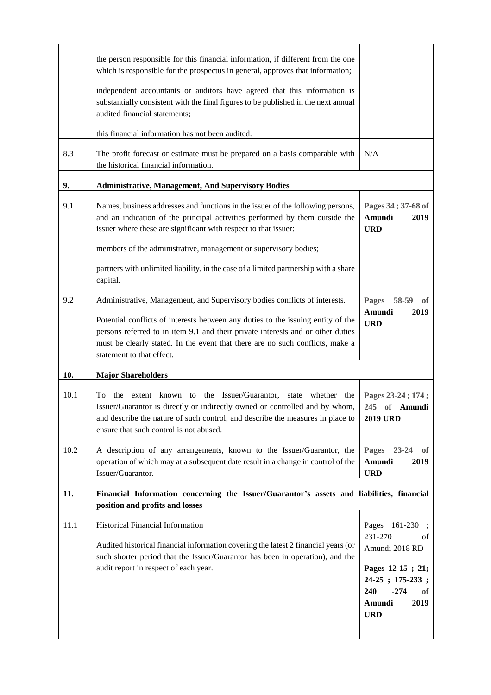|      | the person responsible for this financial information, if different from the one<br>which is responsible for the prospectus in general, approves that information;<br>independent accountants or auditors have agreed that this information is<br>substantially consistent with the final figures to be published in the next annual<br>audited financial statements;<br>this financial information has not been audited. |                                                                                                                                                 |
|------|---------------------------------------------------------------------------------------------------------------------------------------------------------------------------------------------------------------------------------------------------------------------------------------------------------------------------------------------------------------------------------------------------------------------------|-------------------------------------------------------------------------------------------------------------------------------------------------|
| 8.3  | The profit forecast or estimate must be prepared on a basis comparable with                                                                                                                                                                                                                                                                                                                                               | N/A                                                                                                                                             |
| 9.   | the historical financial information.<br><b>Administrative, Management, And Supervisory Bodies</b>                                                                                                                                                                                                                                                                                                                        |                                                                                                                                                 |
| 9.1  | Names, business addresses and functions in the issuer of the following persons,<br>and an indication of the principal activities performed by them outside the<br>issuer where these are significant with respect to that issuer:<br>members of the administrative, management or supervisory bodies;                                                                                                                     | Pages 34; 37-68 of<br>Amundi<br>2019<br><b>URD</b>                                                                                              |
|      | partners with unlimited liability, in the case of a limited partnership with a share<br>capital.                                                                                                                                                                                                                                                                                                                          |                                                                                                                                                 |
| 9.2  | Administrative, Management, and Supervisory bodies conflicts of interests.<br>Potential conflicts of interests between any duties to the issuing entity of the<br>persons referred to in item 9.1 and their private interests and or other duties<br>must be clearly stated. In the event that there are no such conflicts, make a<br>statement to that effect.                                                           | Pages<br>58-59<br>оf<br>Amundi<br>2019<br><b>URD</b>                                                                                            |
| 10.  | <b>Major Shareholders</b>                                                                                                                                                                                                                                                                                                                                                                                                 |                                                                                                                                                 |
| 10.1 | To the extent known to the Issuer/Guarantor, state whether<br>the<br>Issuer/Guarantor is directly or indirectly owned or controlled and by whom,<br>and describe the nature of such control, and describe the measures in place to<br>ensure that such control is not abused.                                                                                                                                             | Pages 23-24; 174;<br>245 of Amundi<br><b>2019 URD</b>                                                                                           |
| 10.2 | A description of any arrangements, known to the Issuer/Guarantor, the<br>operation of which may at a subsequent date result in a change in control of the<br>Issuer/Guarantor.                                                                                                                                                                                                                                            | Pages<br>$23 - 24$<br>оf<br>Amundi<br>2019<br><b>URD</b>                                                                                        |
| 11.  | Financial Information concerning the Issuer/Guarantor's assets and liabilities, financial<br>position and profits and losses                                                                                                                                                                                                                                                                                              |                                                                                                                                                 |
| 11.1 | Historical Financial Information<br>Audited historical financial information covering the latest 2 financial years (or<br>such shorter period that the Issuer/Guarantor has been in operation), and the<br>audit report in respect of each year.                                                                                                                                                                          | Pages 161-230<br>231-270<br>οf<br>Amundi 2018 RD<br>Pages 12-15 ; 21;<br>24-25; 175-233;<br>240<br>$-274$<br>оf<br>2019<br>Amundi<br><b>URD</b> |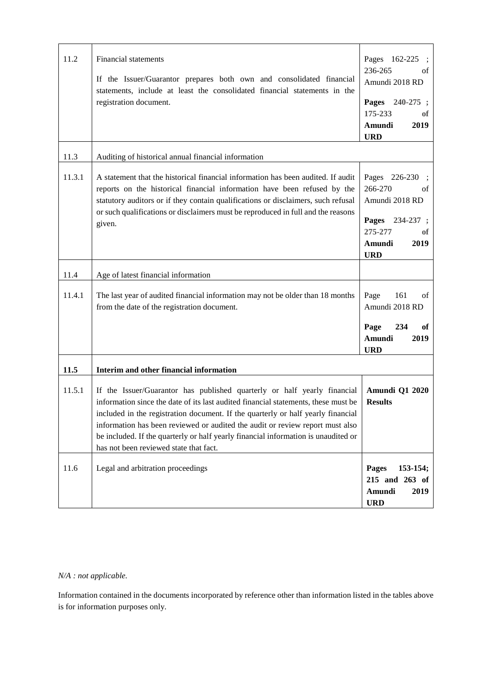| 11.2   | Financial statements<br>If the Issuer/Guarantor prepares both own and consolidated financial<br>statements, include at least the consolidated financial statements in the<br>registration document.                                                                                                                                                                                                                                                                 | Pages 162-225<br>236-265<br>οf<br>Amundi 2018 RD<br>Pages<br>$240 - 275$ ;<br>175-233<br>оf<br>Amundi<br>2019<br><b>URD</b> |
|--------|---------------------------------------------------------------------------------------------------------------------------------------------------------------------------------------------------------------------------------------------------------------------------------------------------------------------------------------------------------------------------------------------------------------------------------------------------------------------|-----------------------------------------------------------------------------------------------------------------------------|
| 11.3   | Auditing of historical annual financial information                                                                                                                                                                                                                                                                                                                                                                                                                 |                                                                                                                             |
| 11.3.1 | A statement that the historical financial information has been audited. If audit<br>reports on the historical financial information have been refused by the<br>statutory auditors or if they contain qualifications or disclaimers, such refusal<br>or such qualifications or disclaimers must be reproduced in full and the reasons<br>given.                                                                                                                     | Pages 226-230<br>266-270<br>οf<br>Amundi 2018 RD<br>Pages 234-237 ;<br>275-277<br>of<br>2019<br>Amundi<br><b>URD</b>        |
| 11.4   | Age of latest financial information                                                                                                                                                                                                                                                                                                                                                                                                                                 |                                                                                                                             |
| 11.4.1 | The last year of audited financial information may not be older than 18 months<br>from the date of the registration document.                                                                                                                                                                                                                                                                                                                                       | 161<br>Page<br>of<br>Amundi 2018 RD<br>Page<br>234<br>of<br>Amundi<br>2019<br><b>URD</b>                                    |
| 11.5   | Interim and other financial information                                                                                                                                                                                                                                                                                                                                                                                                                             |                                                                                                                             |
| 11.5.1 | If the Issuer/Guarantor has published quarterly or half yearly financial<br>information since the date of its last audited financial statements, these must be<br>included in the registration document. If the quarterly or half yearly financial<br>information has been reviewed or audited the audit or review report must also<br>be included. If the quarterly or half yearly financial information is unaudited or<br>has not been reviewed state that fact. | <b>Amundi Q1 2020</b><br><b>Results</b>                                                                                     |
| 11.6   | Legal and arbitration proceedings                                                                                                                                                                                                                                                                                                                                                                                                                                   | 153-154;<br><b>Pages</b><br>215 and 263 of<br>Amundi<br>2019<br><b>URD</b>                                                  |

# *N/A : not applicable.*

Information contained in the documents incorporated by reference other than information listed in the tables above is for information purposes only.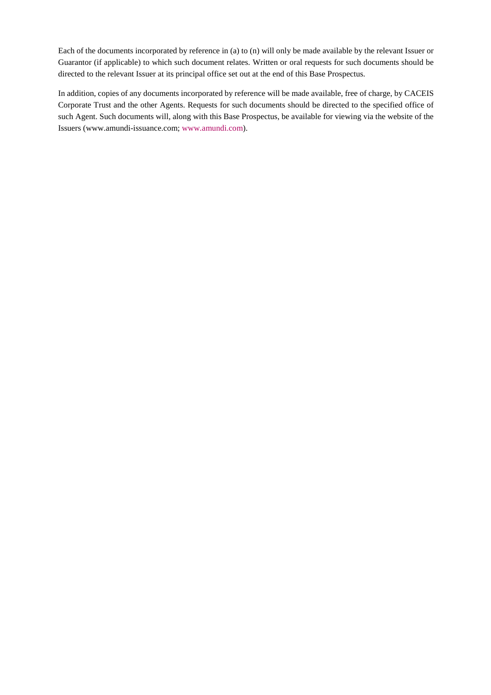Each of the documents incorporated by reference in (a) to (n) will only be made available by the relevant Issuer or Guarantor (if applicable) to which such document relates. Written or oral requests for such documents should be directed to the relevant Issuer at its principal office set out at the end of this Base Prospectus.

In addition, copies of any documents incorporated by reference will be made available, free of charge, by CACEIS Corporate Trust and the other Agents. Requests for such documents should be directed to the specified office of such Agent. Such documents will, along with this Base Prospectus, be available for viewing via the website of the Issuers (www.amundi-issuance.com; www.amundi.com).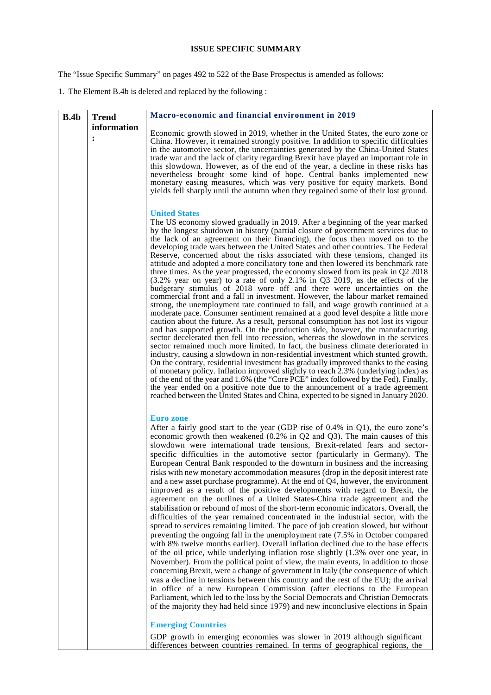# **ISSUE SPECIFIC SUMMARY**

The "Issue Specific Summary" on pages 492 to 522 of the Base Prospectus is amended as follows:

1. The Element B.4b is deleted and replaced by the following :

| B.4b | <b>Trend</b>     | Macro-economic and financial environment in 2019                                                                                                                                                                                                                                                                                                                                                                                                                                                                                                                                                                                                                                                                                                                                                                                                                                                                                                                                                                                                                                                                                                                                                                                                                                                                                                                                                                                                                                                                                                                                                                                                                                                                                                                                                                                                                                                                                      |
|------|------------------|---------------------------------------------------------------------------------------------------------------------------------------------------------------------------------------------------------------------------------------------------------------------------------------------------------------------------------------------------------------------------------------------------------------------------------------------------------------------------------------------------------------------------------------------------------------------------------------------------------------------------------------------------------------------------------------------------------------------------------------------------------------------------------------------------------------------------------------------------------------------------------------------------------------------------------------------------------------------------------------------------------------------------------------------------------------------------------------------------------------------------------------------------------------------------------------------------------------------------------------------------------------------------------------------------------------------------------------------------------------------------------------------------------------------------------------------------------------------------------------------------------------------------------------------------------------------------------------------------------------------------------------------------------------------------------------------------------------------------------------------------------------------------------------------------------------------------------------------------------------------------------------------------------------------------------------|
|      | information<br>: | Economic growth slowed in 2019, whether in the United States, the euro zone or<br>China. However, it remained strongly positive. In addition to specific difficulties                                                                                                                                                                                                                                                                                                                                                                                                                                                                                                                                                                                                                                                                                                                                                                                                                                                                                                                                                                                                                                                                                                                                                                                                                                                                                                                                                                                                                                                                                                                                                                                                                                                                                                                                                                 |
|      |                  | in the automotive sector, the uncertainties generated by the China-United States<br>trade war and the lack of clarity regarding Brexit have played an important role in<br>this slowdown. However, as of the end of the year, a decline in these risks has                                                                                                                                                                                                                                                                                                                                                                                                                                                                                                                                                                                                                                                                                                                                                                                                                                                                                                                                                                                                                                                                                                                                                                                                                                                                                                                                                                                                                                                                                                                                                                                                                                                                            |
|      |                  | nevertheless brought some kind of hope. Central banks implemented new<br>monetary easing measures, which was very positive for equity markets. Bond<br>yields fell sharply until the autumn when they regained some of their lost ground.                                                                                                                                                                                                                                                                                                                                                                                                                                                                                                                                                                                                                                                                                                                                                                                                                                                                                                                                                                                                                                                                                                                                                                                                                                                                                                                                                                                                                                                                                                                                                                                                                                                                                             |
|      |                  | <b>United States</b><br>The US economy slowed gradually in 2019. After a beginning of the year marked<br>by the longest shutdown in history (partial closure of government services due to<br>the lack of an agreement on their financing), the focus then moved on to the<br>developing trade wars between the United States and other countries. The Federal<br>Reserve, concerned about the risks associated with these tensions, changed its<br>attitude and adopted a more conciliatory tone and then lowered its benchmark rate<br>three times. As the year progressed, the economy slowed from its peak in $Q2 2018$<br>$(3.2\%$ year on year) to a rate of only 2.1% in Q3 2019, as the effects of the<br>budgetary stimulus of 2018 wore off and there were uncertainties on the<br>commercial front and a fall in investment. However, the labour market remained<br>strong, the unemployment rate continued to fall, and wage growth continued at a<br>moderate pace. Consumer sentiment remained at a good level despite a little more<br>caution about the future. As a result, personal consumption has not lost its vigour<br>and has supported growth. On the production side, however, the manufacturing<br>sector decelerated then fell into recession, whereas the slowdown in the services<br>sector remained much more limited. In fact, the business climate deteriorated in<br>industry, causing a slowdown in non-residential investment which stunted growth.<br>On the contrary, residential investment has gradually improved thanks to the easing<br>of monetary policy. Inflation improved slightly to reach 2.3% (underlying index) as<br>of the end of the year and 1.6% (the "Core PCE" index followed by the Fed). Finally,<br>the year ended on a positive note due to the announcement of a trade agreement<br>reached between the United States and China, expected to be signed in January 2020. |
|      |                  | <b>Euro</b> zone<br>After a fairly good start to the year (GDP rise of $0.4\%$ in Q1), the euro zone's<br>economic growth then weakened $(0.2\%$ in Q2 and Q3). The main causes of this<br>slowdown were international trade tensions, Brexit-related fears and sector-<br>specific difficulties in the automotive sector (particularly in Germany). The<br>European Central Bank responded to the downturn in business and the increasing<br>risks with new monetary accommodation measures (drop in the deposit interest rate<br>and a new asset purchase programme). At the end of Q4, however, the environment<br>improved as a result of the positive developments with regard to Brexit, the<br>agreement on the outlines of a United States-China trade agreement and the<br>stabilisation or rebound of most of the short-term economic indicators. Overall, the<br>difficulties of the year remained concentrated in the industrial sector, with the<br>spread to services remaining limited. The pace of job creation slowed, but without<br>preventing the ongoing fall in the unemployment rate (7.5% in October compared<br>with 8% twelve months earlier). Overall inflation declined due to the base effects<br>of the oil price, while underlying inflation rose slightly (1.3% over one year, in<br>November). From the political point of view, the main events, in addition to those<br>concerning Brexit, were a change of government in Italy (the consequence of which<br>was a decline in tensions between this country and the rest of the EU); the arrival<br>in office of a new European Commission (after elections to the European<br>Parliament, which led to the loss by the Social Democrats and Christian Democrats<br>of the majority they had held since 1979) and new inconclusive elections in Spain                                                                                              |
|      |                  | <b>Emerging Countries</b><br>GDP growth in emerging economies was slower in 2019 although significant<br>differences between countries remained. In terms of geographical regions, the                                                                                                                                                                                                                                                                                                                                                                                                                                                                                                                                                                                                                                                                                                                                                                                                                                                                                                                                                                                                                                                                                                                                                                                                                                                                                                                                                                                                                                                                                                                                                                                                                                                                                                                                                |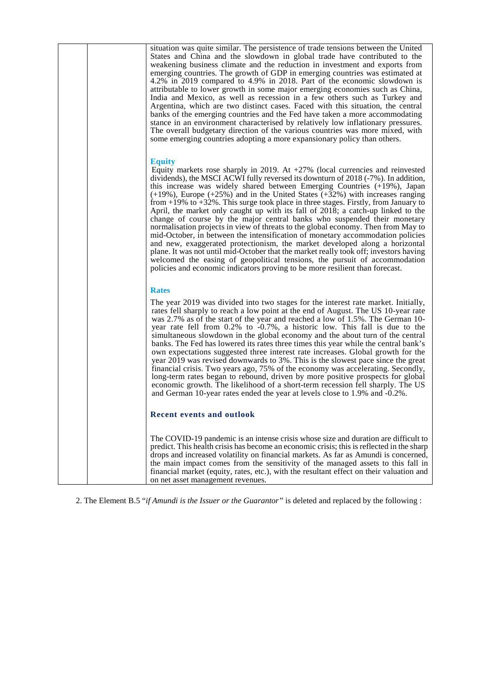| situation was quite similar. The persistence of trade tensions between the United<br>States and China and the slowdown in global trade have contributed to the<br>weakening business climate and the reduction in investment and exports from<br>emerging countries. The growth of GDP in emerging countries was estimated at<br>4.2% in 2019 compared to 4.9% in 2018. Part of the economic slowdown is<br>attributable to lower growth in some major emerging economies such as China,<br>India and Mexico, as well as recession in a few others such as Turkey and<br>Argentina, which are two distinct cases. Faced with this situation, the central<br>banks of the emerging countries and the Fed have taken a more accommodating<br>stance in an environment characterised by relatively low inflationary pressures.<br>The overall budgetary direction of the various countries was more mixed, with<br>some emerging countries adopting a more expansionary policy than others.                                                                                                                                                  |
|-------------------------------------------------------------------------------------------------------------------------------------------------------------------------------------------------------------------------------------------------------------------------------------------------------------------------------------------------------------------------------------------------------------------------------------------------------------------------------------------------------------------------------------------------------------------------------------------------------------------------------------------------------------------------------------------------------------------------------------------------------------------------------------------------------------------------------------------------------------------------------------------------------------------------------------------------------------------------------------------------------------------------------------------------------------------------------------------------------------------------------------------|
| <b>Equity</b><br>Equity markets rose sharply in 2019. At $+27\%$ (local currencies and reinvested<br>dividends), the MSCI ACWI fully reversed its downturn of 2018 (-7%). In addition,<br>this increase was widely shared between Emerging Countries $(+19%)$ , Japan<br>$(+19\%)$ , Europe $(+25\%)$ and in the United States $(+32\%)$ with increases ranging<br>from $+19\%$ to $+32\%$ . This surge took place in three stages. Firstly, from January to<br>April, the market only caught up with its fall of 2018; a catch-up linked to the<br>change of course by the major central banks who suspended their monetary<br>normalisation projects in view of threats to the global economy. Then from May to<br>mid-October, in between the intensification of monetary accommodation policies<br>and new, exaggerated protectionism, the market developed along a horizontal<br>plane. It was not until mid-October that the market really took off; investors having<br>welcomed the easing of geopolitical tensions, the pursuit of accommodation<br>policies and economic indicators proving to be more resilient than forecast. |
| <b>Rates</b>                                                                                                                                                                                                                                                                                                                                                                                                                                                                                                                                                                                                                                                                                                                                                                                                                                                                                                                                                                                                                                                                                                                              |
| The year 2019 was divided into two stages for the interest rate market. Initially,<br>rates fell sharply to reach a low point at the end of August. The US 10-year rate<br>was 2.7% as of the start of the year and reached a low of 1.5%. The German 10-<br>year rate fell from 0.2% to -0.7%, a historic low. This fall is due to the<br>simultaneous slowdown in the global economy and the about turn of the central<br>banks. The Fed has lowered its rates three times this year while the central bank's<br>own expectations suggested three interest rate increases. Global growth for the<br>year 2019 was revised downwards to 3%. This is the slowest pace since the great<br>financial crisis. Two years ago, 75% of the economy was accelerating. Secondly,<br>long-term rates began to rebound, driven by more positive prospects for global<br>economic growth. The likelihood of a short-term recession fell sharply. The US<br>and German 10-year rates ended the year at levels close to 1.9% and -0.2%.                                                                                                                |
| Recent events and outlook                                                                                                                                                                                                                                                                                                                                                                                                                                                                                                                                                                                                                                                                                                                                                                                                                                                                                                                                                                                                                                                                                                                 |
| The COVID-19 pandemic is an intense crisis whose size and duration are difficult to<br>predict. This health crisis has become an economic crisis; this is reflected in the sharp<br>drops and increased volatility on financial markets. As far as Amundi is concerned,<br>the main impact comes from the sensitivity of the managed assets to this fall in<br>financial market (equity, rates, etc.), with the resultant effect on their valuation and<br>on net asset management revenues.                                                                                                                                                                                                                                                                                                                                                                                                                                                                                                                                                                                                                                              |

2. The Element B.5 "*if Amundi is the Issuer or the Guarantor"* is deleted and replaced by the following :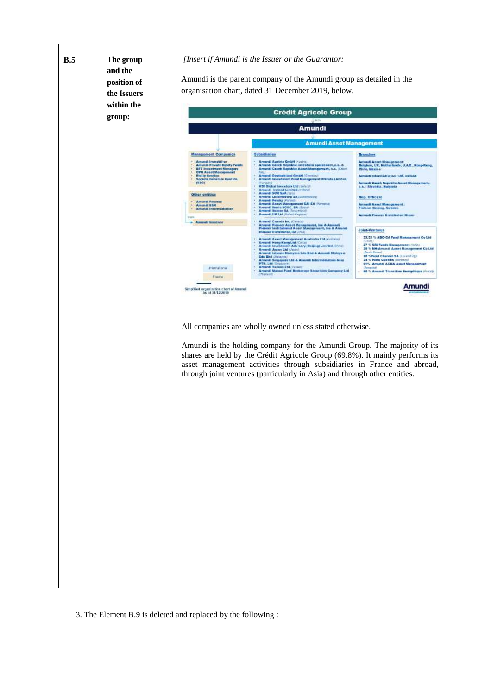

3. The Element B.9 is deleted and replaced by the following :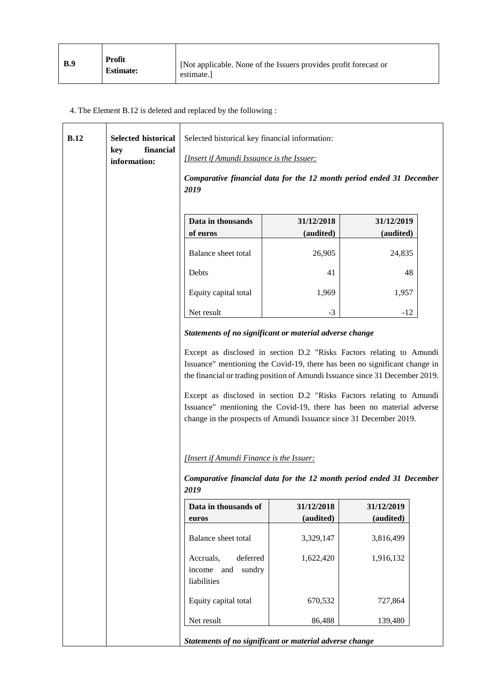| <b>B.9</b> | Profit<br><b>Estimate:</b> | [Not applicable. None of the Issuers provides profit forecast or<br>estimate. |
|------------|----------------------------|-------------------------------------------------------------------------------|
|------------|----------------------------|-------------------------------------------------------------------------------|

÷.

# 4. The Element B.12 is deleted and replaced by the following :

| B.12 | <b>Selected historical</b>       | Selected historical key financial information:                                                                                                                                                                                                                                                                                                                                                                                                            |                         |                         |  |
|------|----------------------------------|-----------------------------------------------------------------------------------------------------------------------------------------------------------------------------------------------------------------------------------------------------------------------------------------------------------------------------------------------------------------------------------------------------------------------------------------------------------|-------------------------|-------------------------|--|
|      | financial<br>key<br>information: | [Insert if Amundi Issuance is the Issuer:                                                                                                                                                                                                                                                                                                                                                                                                                 |                         |                         |  |
|      |                                  | Comparative financial data for the 12 month period ended 31 December<br>2019                                                                                                                                                                                                                                                                                                                                                                              |                         |                         |  |
|      |                                  | Data in thousands<br>of euros                                                                                                                                                                                                                                                                                                                                                                                                                             | 31/12/2018<br>(audited) | 31/12/2019<br>(audited) |  |
|      |                                  | Balance sheet total                                                                                                                                                                                                                                                                                                                                                                                                                                       | 26,905                  | 24,835                  |  |
|      |                                  | Debts                                                                                                                                                                                                                                                                                                                                                                                                                                                     | 41                      | 48                      |  |
|      |                                  | Equity capital total                                                                                                                                                                                                                                                                                                                                                                                                                                      | 1,969                   | 1,957                   |  |
|      |                                  | Net result                                                                                                                                                                                                                                                                                                                                                                                                                                                | $-3$                    | $-12$                   |  |
|      |                                  | Statements of no significant or material adverse change                                                                                                                                                                                                                                                                                                                                                                                                   |                         |                         |  |
|      |                                  | Except as disclosed in section D.2 "Risks Factors relating to Amundi<br>Issuance" mentioning the Covid-19, there has been no significant change in<br>the financial or trading position of Amundi Issuance since 31 December 2019.<br>Except as disclosed in section D.2 "Risks Factors relating to Amundi<br>Issuance" mentioning the Covid-19, there has been no material adverse<br>change in the prospects of Amundi Issuance since 31 December 2019. |                         |                         |  |
|      |                                  | [Insert if Amundi Finance is the Issuer:                                                                                                                                                                                                                                                                                                                                                                                                                  |                         |                         |  |
|      |                                  | Comparative financial data for the 12 month period ended 31 December<br>2019                                                                                                                                                                                                                                                                                                                                                                              |                         |                         |  |
|      |                                  | Data in thousands of                                                                                                                                                                                                                                                                                                                                                                                                                                      | 31/12/2018              | 31/12/2019              |  |
|      |                                  | euros                                                                                                                                                                                                                                                                                                                                                                                                                                                     | (audited)               | (audited)               |  |
|      |                                  | Balance sheet total                                                                                                                                                                                                                                                                                                                                                                                                                                       | 3,329,147               | 3,816,499               |  |
|      |                                  | deferred<br>Accruals,<br>sundry<br>income<br>and<br>liabilities                                                                                                                                                                                                                                                                                                                                                                                           | 1,622,420               | 1,916,132               |  |
|      |                                  | Equity capital total                                                                                                                                                                                                                                                                                                                                                                                                                                      | 670,532                 | 727,864                 |  |
|      |                                  | Net result                                                                                                                                                                                                                                                                                                                                                                                                                                                | 86,488                  | 139,480                 |  |
|      |                                  | Statements of no significant or material adverse change                                                                                                                                                                                                                                                                                                                                                                                                   |                         |                         |  |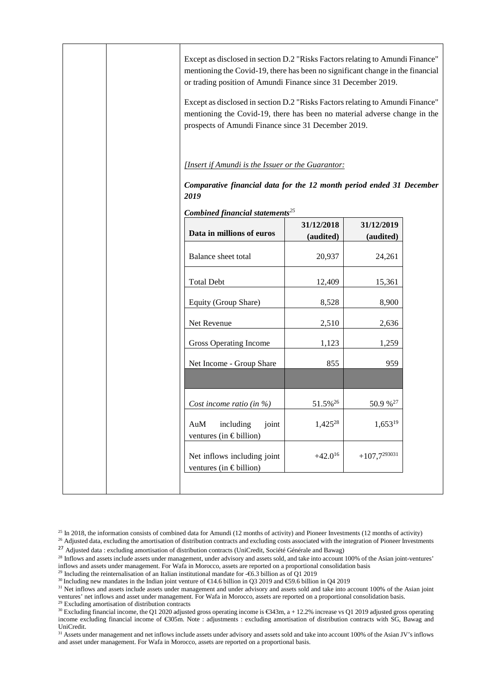|  | Except as disclosed in section D.2 "Risks Factors relating to Amundi Finance"<br>mentioning the Covid-19, there has been no significant change in the financial<br>or trading position of Amundi Finance since 31 December 2019.<br>Except as disclosed in section D.2 "Risks Factors relating to Amundi Finance"<br>mentioning the Covid-19, there has been no material adverse change in the<br>prospects of Amundi Finance since 31 December 2019. |                         |                         |  |
|--|-------------------------------------------------------------------------------------------------------------------------------------------------------------------------------------------------------------------------------------------------------------------------------------------------------------------------------------------------------------------------------------------------------------------------------------------------------|-------------------------|-------------------------|--|
|  | [Insert if Amundi is the Issuer or the Guarantor:<br>Comparative financial data for the 12 month period ended 31 December                                                                                                                                                                                                                                                                                                                             |                         |                         |  |
|  | 2019                                                                                                                                                                                                                                                                                                                                                                                                                                                  |                         |                         |  |
|  | Combined financial statements <sup>25</sup><br>Data in millions of euros                                                                                                                                                                                                                                                                                                                                                                              | 31/12/2018<br>(audited) | 31/12/2019<br>(audited) |  |
|  | Balance sheet total                                                                                                                                                                                                                                                                                                                                                                                                                                   | 20,937                  | 24,261                  |  |
|  | <b>Total Debt</b>                                                                                                                                                                                                                                                                                                                                                                                                                                     | 12,409                  | 15,361                  |  |
|  | Equity (Group Share)                                                                                                                                                                                                                                                                                                                                                                                                                                  | 8,528                   | 8,900                   |  |
|  | Net Revenue                                                                                                                                                                                                                                                                                                                                                                                                                                           | 2,510                   | 2,636                   |  |
|  | Gross Operating Income                                                                                                                                                                                                                                                                                                                                                                                                                                | 1,123                   | 1,259                   |  |
|  | Net Income - Group Share                                                                                                                                                                                                                                                                                                                                                                                                                              | 855                     | 959                     |  |
|  |                                                                                                                                                                                                                                                                                                                                                                                                                                                       |                         |                         |  |
|  | Cost income ratio (in $\%$ )                                                                                                                                                                                                                                                                                                                                                                                                                          | 51.5% <sup>26</sup>     | 50.9 % <sup>27</sup>    |  |
|  | including<br>joint<br>AuM<br>ventures (in $\in$ billion)                                                                                                                                                                                                                                                                                                                                                                                              | $1,425^{28}$            | $1,653^{19}$            |  |
|  | Net inflows including joint<br>ventures (in $\epsilon$ billion)                                                                                                                                                                                                                                                                                                                                                                                       | $+42.0^{16}$            | $+107,7^{293031}$       |  |
|  |                                                                                                                                                                                                                                                                                                                                                                                                                                                       |                         |                         |  |

 $25$  In 2018, the information consists of combined data for Amundi (12 months of activity) and Pioneer Investments (12 months of activity)

<sup>26</sup> Adjusted data, excluding the amortisation of distribution contracts and excluding costs associated with the integration of Pioneer Investments <sup>27</sup> Adjusted data : excluding amortisation of distribution contracts (UniCredit, Société Générale and Bawag)

<sup>29</sup> Including the reinternalisation of an Italian institutional mandate for  $-\epsilon$ 6.3 billion as of Q1 2019

30 Including new mandates in the Indian joint venture of  $\epsilon$ 14.6 billion in Q3 2019 and  $\epsilon$ 59.6 billion in Q42019

<sup>31</sup> Net inflows and assets include assets under management and under advisory and assets sold and take into account 100% of the Asian joint ventures' net inflows and asset under management. For Wafa in Morocco, assets are reported on a proportional consolidation basis. <sup>29</sup> Excluding amortisation of distribution contracts

30 Excluding financial income, the Q1 2020 adjusted gross operating income is  $\epsilon$ 343m, a + 12.2% increasevs Q1 2019 adjusted gross operating income excluding financial income of €305m. Note : adjustments : excluding amortisation of distribution contracts with SG, Bawag and UniCredit.

<sup>31</sup> Assets under management and net inflows include assets under advisory and assets sold and take into account 100% of the Asian JV's inflows and asset under management. For Wafa in Morocco, assets are reported on a proportional basis.

<sup>&</sup>lt;sup>28</sup> Inflows and assets include assets under management, under advisory and assets sold, and take into account 100% of the Asian joint-ventures' inflows and assets under management. For Wafa in Morocco, assets are reported on a proportional consolidation basis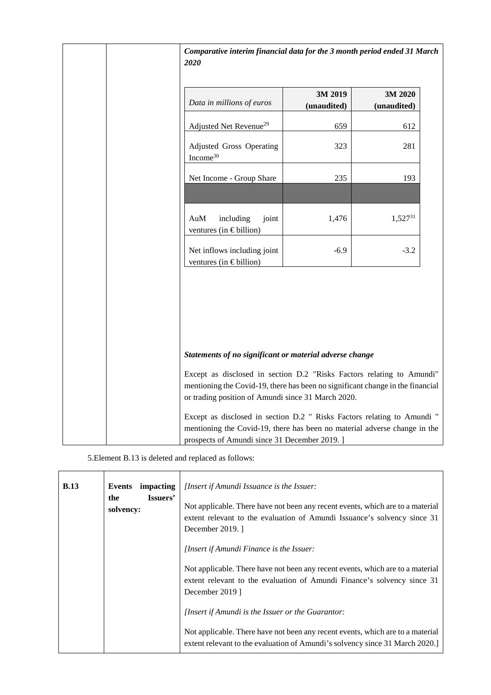| Comparative interim financial data for the 3 month period ended 31 March<br>2020                                                                                                                              |                        |                        |  |
|---------------------------------------------------------------------------------------------------------------------------------------------------------------------------------------------------------------|------------------------|------------------------|--|
| Data in millions of euros                                                                                                                                                                                     | 3M 2019<br>(unaudited) | 3M 2020<br>(unaudited) |  |
| Adjusted Net Revenue <sup>29</sup>                                                                                                                                                                            | 659                    | 612                    |  |
| Adjusted Gross Operating<br>Income <sup>30</sup>                                                                                                                                                              | 323                    | 281                    |  |
| Net Income - Group Share                                                                                                                                                                                      | 235                    | 193                    |  |
| AuM<br>including<br>joint<br>ventures (in $\epsilon$ billion)                                                                                                                                                 | 1,476                  | 1,52731                |  |
| Net inflows including joint<br>ventures (in $\epsilon$ billion)                                                                                                                                               | $-6.9$                 | $-3.2$                 |  |
|                                                                                                                                                                                                               |                        |                        |  |
| Statements of no significant or material adverse change                                                                                                                                                       |                        |                        |  |
| Except as disclosed in section D.2 "Risks Factors relating to Amundi"<br>mentioning the Covid-19, there has been no significant change in the financial<br>or trading position of Amundi since 31 March 2020. |                        |                        |  |
| Except as disclosed in section D.2 " Risks Factors relating to Amundi "<br>mentioning the Covid-19, there has been no material adverse change in the<br>prospects of Amundi since 31 December 2019.]          |                        |                        |  |

5.Element B.13 is deleted and replaced as follows:

| <b>B.13</b> | impacting<br>Events<br>Issuers'<br>the<br>solvency: | <i>[Insert if Amundi Issuance is the Issuer:</i><br>Not applicable. There have not been any recent events, which are to a material<br>extent relevant to the evaluation of Amundi Issuance's solvency since 31<br>December 2019. |
|-------------|-----------------------------------------------------|----------------------------------------------------------------------------------------------------------------------------------------------------------------------------------------------------------------------------------|
|             |                                                     | [Insert if Amundi Finance is the Issuer:                                                                                                                                                                                         |
|             |                                                     | Not applicable. There have not been any recent events, which are to a material<br>extent relevant to the evaluation of Amundi Finance's solvency since 31<br>December 2019 1                                                     |
|             |                                                     | [Insert if Amundi is the Issuer or the Guarantor:                                                                                                                                                                                |
|             |                                                     | Not applicable. There have not been any recent events, which are to a material<br>extent relevant to the evaluation of Amundi's solvency since 31 March 2020.                                                                    |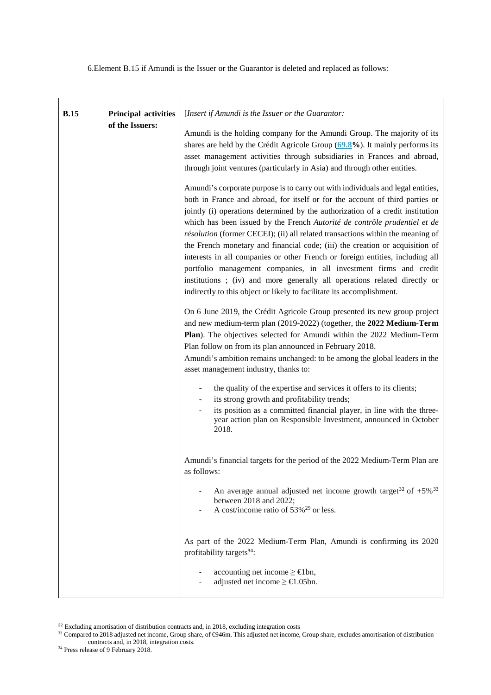6.Element B.15 if Amundi is the Issuer or the Guarantor is deleted and replaced as follows:

| <b>B.15</b> | <b>Principal activities</b><br>of the Issuers: | [Insert if Amundi is the Issuer or the Guarantor:<br>Amundi is the holding company for the Amundi Group. The majority of its<br>shares are held by the Crédit Agricole Group $(69.8\%)$ . It mainly performs its<br>asset management activities through subsidiaries in Frances and abroad,<br>through joint ventures (particularly in Asia) and through other entities.<br>Amundi's corporate purpose is to carry out with individuals and legal entities,<br>both in France and abroad, for itself or for the account of third parties or<br>jointly (i) operations determined by the authorization of a credit institution<br>which has been issued by the French Autorité de contrôle prudentiel et de<br>résolution (former CECEI); (ii) all related transactions within the meaning of<br>the French monetary and financial code; (iii) the creation or acquisition of<br>interests in all companies or other French or foreign entities, including all |
|-------------|------------------------------------------------|---------------------------------------------------------------------------------------------------------------------------------------------------------------------------------------------------------------------------------------------------------------------------------------------------------------------------------------------------------------------------------------------------------------------------------------------------------------------------------------------------------------------------------------------------------------------------------------------------------------------------------------------------------------------------------------------------------------------------------------------------------------------------------------------------------------------------------------------------------------------------------------------------------------------------------------------------------------|
|             |                                                | portfolio management companies, in all investment firms and credit<br>institutions ; (iv) and more generally all operations related directly or<br>indirectly to this object or likely to facilitate its accomplishment.<br>On 6 June 2019, the Crédit Agricole Group presented its new group project<br>and new medium-term plan (2019-2022) (together, the 2022 Medium-Term<br>Plan). The objectives selected for Amundi within the 2022 Medium-Term<br>Plan follow on from its plan announced in February 2018.<br>Amundi's ambition remains unchanged: to be among the global leaders in the<br>asset management industry, thanks to:                                                                                                                                                                                                                                                                                                                     |
|             |                                                | the quality of the expertise and services it offers to its clients;<br>its strong growth and profitability trends;<br>its position as a committed financial player, in line with the three-<br>year action plan on Responsible Investment, announced in October<br>2018.                                                                                                                                                                                                                                                                                                                                                                                                                                                                                                                                                                                                                                                                                      |
|             |                                                | Amundi's financial targets for the period of the 2022 Medium-Term Plan are<br>as follows:<br>An average annual adjusted net income growth target <sup>32</sup> of $+5\%$ <sup>33</sup><br>between 2018 and 2022;<br>A cost/income ratio of 53% <sup>29</sup> or less.                                                                                                                                                                                                                                                                                                                                                                                                                                                                                                                                                                                                                                                                                         |
|             |                                                | As part of the 2022 Medium-Term Plan, Amundi is confirming its 2020<br>profitability targets <sup>34</sup> :<br>accounting net income $\geq \epsilon$ 1bn,<br>adjusted net income $\geq \text{\textsterling}1.05$ bn.                                                                                                                                                                                                                                                                                                                                                                                                                                                                                                                                                                                                                                                                                                                                         |

 $32$  Excluding amortisation of distribution contracts and, in 2018, excluding integration costs

<sup>&</sup>lt;sup>33</sup> Compared to 2018 adjusted net income, Group share, of €946m. This adjusted net income, Group share, excludes amortisation of distribution contracts and, in 2018, integration costs.

<sup>&</sup>lt;sup>34</sup> Press release of 9 February 2018.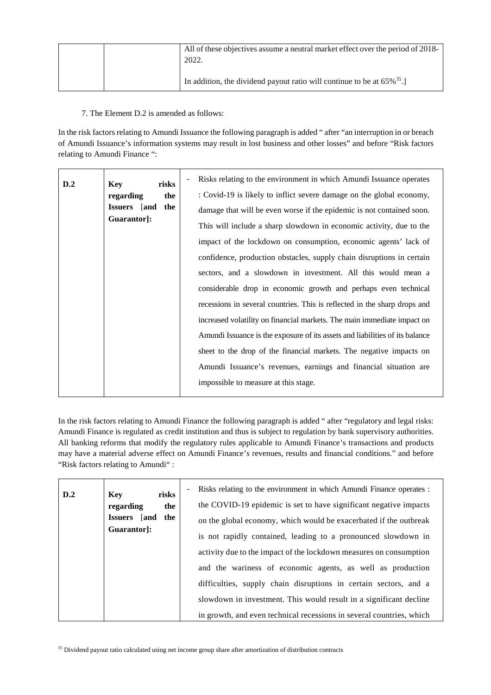|  | All of these objectives assume a neutral market effect over the period of 2018-<br>2022. |
|--|------------------------------------------------------------------------------------------|
|  | In addition, the dividend payout ratio will continue to be at $65\%^{35}$ .              |

7. The Element D.2 is amended as follows:

In the risk factors relating to Amundi Issuance the following paragraph is added " after "an interruption in or breach of Amundi Issuance's information systems may result in lost business and other losses" and before "Risk factors relating to Amundi Finance ":

| D.2 | <b>Key</b><br>risks        | Risks relating to the environment in which Amundi Issuance operates          |
|-----|----------------------------|------------------------------------------------------------------------------|
|     | regarding<br>the           | : Covid-19 is likely to inflict severe damage on the global economy,         |
|     | the<br><b>Issuers</b> [and | damage that will be even worse if the epidemic is not contained soon.        |
|     | Guarantor]:                | This will include a sharp slowdown in economic activity, due to the          |
|     |                            | impact of the lockdown on consumption, economic agents' lack of              |
|     |                            | confidence, production obstacles, supply chain disruptions in certain        |
|     |                            | sectors, and a slowdown in investment. All this would mean a                 |
|     |                            | considerable drop in economic growth and perhaps even technical              |
|     |                            | recessions in several countries. This is reflected in the sharp drops and    |
|     |                            | increased volatility on financial markets. The main immediate impact on      |
|     |                            | Amundi Issuance is the exposure of its assets and liabilities of its balance |
|     |                            | sheet to the drop of the financial markets. The negative impacts on          |
|     |                            | Amundi Issuance's revenues, earnings and financial situation are             |
|     |                            | impossible to measure at this stage.                                         |

In the risk factors relating to Amundi Finance the following paragraph is added " after "regulatory and legal risks: Amundi Finance is regulated as credit institution and thus is subject to regulation by bank supervisory authorities. All banking reforms that modify the regulatory rules applicable to Amundi Finance's transactions and products may have a material adverse effect on Amundi Finance's revenues, results and financial conditions." and before "Risk factors relating to Amundi" :

| D.2 | risks<br><b>Key</b>                 | Risks relating to the environment in which Amundi Finance operates :<br>$\overline{a}$ |
|-----|-------------------------------------|----------------------------------------------------------------------------------------|
|     | regarding<br>the                    | the COVID-19 epidemic is set to have significant negative impacts                      |
|     | the<br><b>Issuers</b><br><b>and</b> | on the global economy, which would be exacerbated if the outbreak                      |
|     | Guarantor:                          | is not rapidly contained, leading to a pronounced slowdown in                          |
|     |                                     | activity due to the impact of the lockdown measures on consumption                     |
|     |                                     | and the wariness of economic agents, as well as production                             |
|     |                                     | difficulties, supply chain disruptions in certain sectors, and a                       |
|     |                                     | slowdown in investment. This would result in a significant decline                     |
|     |                                     | in growth, and even technical recessions in several countries, which                   |

<sup>35</sup> Dividend payout ratio calculated using net income group share after amortization of distribution contracts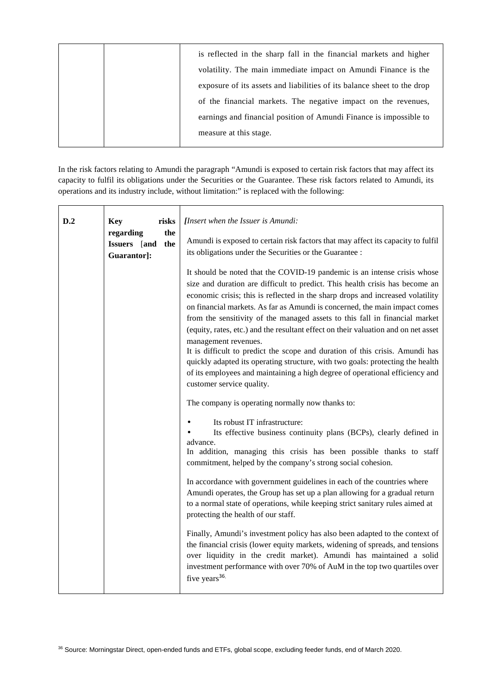| is reflected in the sharp fall in the financial markets and higher      |
|-------------------------------------------------------------------------|
| volatility. The main immediate impact on Amundi Finance is the          |
| exposure of its assets and liabilities of its balance sheet to the drop |
| of the financial markets. The negative impact on the revenues,          |
| earnings and financial position of Amundi Finance is impossible to      |
| measure at this stage.                                                  |
|                                                                         |

In the risk factors relating to Amundi the paragraph "Amundi is exposed to certain risk factors that may affect its capacity to fulfil its obligations under the Securities or the Guarantee. These risk factors related to Amundi, its operations and its industry include, without limitation:" is replaced with the following:

| D.2 | risks<br><b>Key</b><br>the<br>regarding<br>Issuers [and<br>the<br>Guarantor]: | [Insert when the Issuer is Amundi:<br>Amundi is exposed to certain risk factors that may affect its capacity to fulfil<br>its obligations under the Securities or the Guarantee :<br>It should be noted that the COVID-19 pandemic is an intense crisis whose<br>size and duration are difficult to predict. This health crisis has become an<br>economic crisis; this is reflected in the sharp drops and increased volatility<br>on financial markets. As far as Amundi is concerned, the main impact comes<br>from the sensitivity of the managed assets to this fall in financial market<br>(equity, rates, etc.) and the resultant effect on their valuation and on net asset<br>management revenues.<br>It is difficult to predict the scope and duration of this crisis. Amundi has<br>quickly adapted its operating structure, with two goals: protecting the health<br>of its employees and maintaining a high degree of operational efficiency and<br>customer service quality.<br>The company is operating normally now thanks to:<br>Its robust IT infrastructure:<br>Its effective business continuity plans (BCPs), clearly defined in<br>advance.<br>In addition, managing this crisis has been possible thanks to staff<br>commitment, helped by the company's strong social cohesion. |
|-----|-------------------------------------------------------------------------------|--------------------------------------------------------------------------------------------------------------------------------------------------------------------------------------------------------------------------------------------------------------------------------------------------------------------------------------------------------------------------------------------------------------------------------------------------------------------------------------------------------------------------------------------------------------------------------------------------------------------------------------------------------------------------------------------------------------------------------------------------------------------------------------------------------------------------------------------------------------------------------------------------------------------------------------------------------------------------------------------------------------------------------------------------------------------------------------------------------------------------------------------------------------------------------------------------------------------------------------------------------------------------------------------------------|
|     |                                                                               | In accordance with government guidelines in each of the countries where<br>Amundi operates, the Group has set up a plan allowing for a gradual return<br>to a normal state of operations, while keeping strict sanitary rules aimed at<br>protecting the health of our staff.<br>Finally, Amundi's investment policy has also been adapted to the context of<br>the financial crisis (lower equity markets, widening of spreads, and tensions<br>over liquidity in the credit market). Amundi has maintained a solid<br>investment performance with over 70% of AuM in the top two quartiles over<br>five years <sup>36.</sup>                                                                                                                                                                                                                                                                                                                                                                                                                                                                                                                                                                                                                                                                         |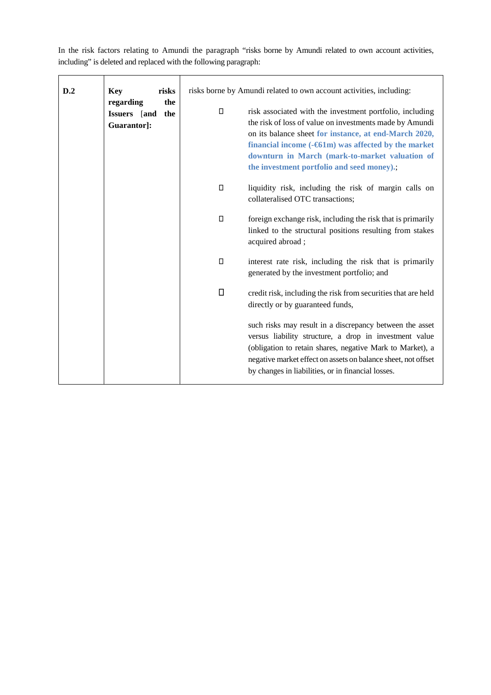In the risk factors relating to Amundi the paragraph "risks borne by Amundi related to own account activities, including" is deleted and replaced with the following paragraph:

| D.2 | risks<br><b>Key</b>                                    | risks borne by Amundi related to own account activities, including:                                                                                                                                                                                                                                                                                                                                                                                                                                                                                          |
|-----|--------------------------------------------------------|--------------------------------------------------------------------------------------------------------------------------------------------------------------------------------------------------------------------------------------------------------------------------------------------------------------------------------------------------------------------------------------------------------------------------------------------------------------------------------------------------------------------------------------------------------------|
|     | regarding<br>the<br>Issuers [and<br>the<br>Guarantor]: | risk associated with the investment portfolio, including<br>the risk of loss of value on investments made by Amundi<br>on its balance sheet for instance, at end-March 2020,<br>financial income $(-61m)$ was affected by the market<br>downturn in March (mark-to-market valuation of<br>the investment portfolio and seed money).;<br>liquidity risk, including the risk of margin calls on<br>collateralised OTC transactions;<br>foreign exchange risk, including the risk that is primarily<br>linked to the structural positions resulting from stakes |
|     |                                                        | acquired abroad;<br>interest rate risk, including the risk that is primarily<br>generated by the investment portfolio; and<br>credit risk, including the risk from securities that are held<br>directly or by guaranteed funds,<br>such risks may result in a discrepancy between the asset<br>versus liability structure, a drop in investment value<br>(obligation to retain shares, negative Mark to Market), a<br>negative market effect on assets on balance sheet, not offset<br>by changes in liabilities, or in financial losses.                    |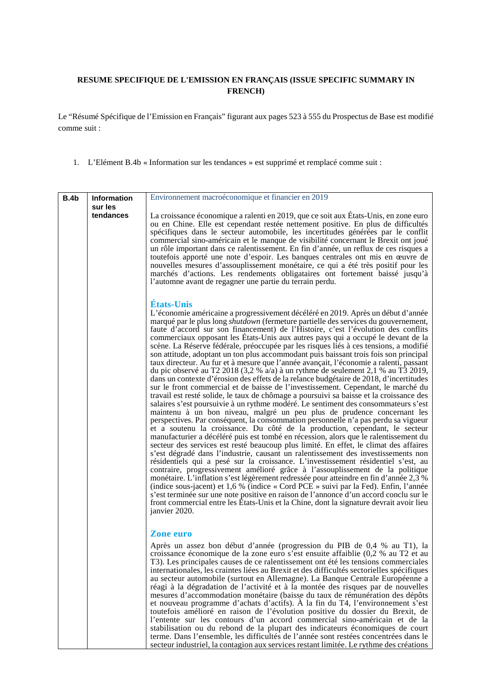# **RESUME SPECIFIQUE DE L'EMISSION EN FRANÇAIS (ISSUE SPECIFIC SUMMARY IN FRENCH)**

Le "Résumé Spécifique de l'Emission en Français" figurant aux pages 523 à 555 du Prospectus de Base est modifié comme suit :

1. L'Elément B.4b « Information sur les tendances » est supprimé et remplacé comme suit :

| B.4b | <b>Information</b> | Environnement macroéconomique et financier en 2019                                                                                                                                                                                                                                                                                                                                                                                                                                                                                                                                                                                                                                                                                                                                                                                                                                                                                                                                                                                                                                                                                                                                                                                                                                                                                                                                                                                                                                                                                                                                                                                                                                                                                                                                                                                                                                                                                                                                                                                                                                                                                                                                      |
|------|--------------------|-----------------------------------------------------------------------------------------------------------------------------------------------------------------------------------------------------------------------------------------------------------------------------------------------------------------------------------------------------------------------------------------------------------------------------------------------------------------------------------------------------------------------------------------------------------------------------------------------------------------------------------------------------------------------------------------------------------------------------------------------------------------------------------------------------------------------------------------------------------------------------------------------------------------------------------------------------------------------------------------------------------------------------------------------------------------------------------------------------------------------------------------------------------------------------------------------------------------------------------------------------------------------------------------------------------------------------------------------------------------------------------------------------------------------------------------------------------------------------------------------------------------------------------------------------------------------------------------------------------------------------------------------------------------------------------------------------------------------------------------------------------------------------------------------------------------------------------------------------------------------------------------------------------------------------------------------------------------------------------------------------------------------------------------------------------------------------------------------------------------------------------------------------------------------------------------|
|      | sur les            |                                                                                                                                                                                                                                                                                                                                                                                                                                                                                                                                                                                                                                                                                                                                                                                                                                                                                                                                                                                                                                                                                                                                                                                                                                                                                                                                                                                                                                                                                                                                                                                                                                                                                                                                                                                                                                                                                                                                                                                                                                                                                                                                                                                         |
|      | tendances          | La croissance économique a ralenti en 2019, que ce soit aux États-Unis, en zone euro<br>ou en Chine. Elle est cependant restée nettement positive. En plus de difficultés<br>spécifiques dans le secteur automobile, les incertitudes générées par le conflit<br>commercial sino-américain et le manque de visibilité concernant le Brexit ont joué<br>un rôle important dans ce ralentissement. En fin d'année, un reflux de ces risques a<br>toutefois apporté une note d'espoir. Les banques centrales ont mis en œuvre de<br>nouvelles mesures d'assouplissement monétaire, ce qui a été très positif pour les<br>marchés d'actions. Les rendements obligataires ont fortement baissé jusqu'à<br>l'automne avant de regagner une partie du terrain perdu.                                                                                                                                                                                                                                                                                                                                                                                                                                                                                                                                                                                                                                                                                                                                                                                                                                                                                                                                                                                                                                                                                                                                                                                                                                                                                                                                                                                                                           |
|      |                    |                                                                                                                                                                                                                                                                                                                                                                                                                                                                                                                                                                                                                                                                                                                                                                                                                                                                                                                                                                                                                                                                                                                                                                                                                                                                                                                                                                                                                                                                                                                                                                                                                                                                                                                                                                                                                                                                                                                                                                                                                                                                                                                                                                                         |
|      |                    | États-Unis<br>L'économie américaine a progressivement décéléré en 2019. Après un début d'année<br>marqué par le plus long <i>shutdown</i> (fermeture partielle des services du gouvernement,<br>faute d'accord sur son financement) de l'Histoire, c'est l'évolution des conflits<br>commerciaux opposant les États-Unis aux autres pays qui a occupé le devant de la<br>scène. La Réserve fédérale, préoccupée par les risques liés à ces tensions, a modifié<br>son attitude, adoptant un ton plus accommodant puis baissant trois fois son principal<br>taux directeur. Au fur et à mesure que l'année avançait, l'économie a ralenti, passant<br>du pic observé au T2 2018 (3,2 % a/a) à un rythme de seulement 2,1 % au T3 2019,<br>dans un contexte d'érosion des effets de la relance budgétaire de 2018, d'incertitudes<br>sur le front commercial et de baisse de l'investissement. Cependant, le marché du<br>travail est resté solide, le taux de chômage a poursuivi sa baisse et la croissance des<br>salaires s'est poursuivie à un rythme modéré. Le sentiment des consommateurs s'est<br>maintenu à un bon niveau, malgré un peu plus de prudence concernant les<br>perspectives. Par conséquent, la consommation personnelle n'a pas perdu sa vigueur<br>et a soutenu la croissance. Du côté de la production, cependant, le secteur<br>manufacturier a décéléré puis est tombé en récession, alors que le ralentissement du<br>secteur des services est resté beaucoup plus limité. En effet, le climat des affaires<br>s'est dégradé dans l'industrie, causant un ralentissement des investissements non<br>résidentiels qui a pesé sur la croissance. L'investissement résidentiel s'est, au<br>contraire, progressivement amélioré grâce à l'assouplissement de la politique<br>monétaire. L'inflation s'est légèrement redressée pour atteindre en fin d'année 2,3 %<br>(indice sous-jacent) et 1,6 % (indice « Cord PCE » suivi par la Fed). Enfin, l'année<br>s'est terminée sur une note positive en raison de l'annonce d'un accord conclu sur le<br>front commercial entre les États-Unis et la Chine, dont la signature devrait avoir lieu<br>janvier 2020. |
|      |                    | <b>Zone euro</b>                                                                                                                                                                                                                                                                                                                                                                                                                                                                                                                                                                                                                                                                                                                                                                                                                                                                                                                                                                                                                                                                                                                                                                                                                                                                                                                                                                                                                                                                                                                                                                                                                                                                                                                                                                                                                                                                                                                                                                                                                                                                                                                                                                        |
|      |                    | Après un assez bon début d'année (progression du PIB de 0,4 % au T1), la<br>croissance économique de la zone euro s'est ensuite affaiblie (0,2 % au T2 et au<br>T3). Les principales causes de ce ralentissement ont été les tensions commerciales<br>internationales, les craintes liées au Brexit et des difficultés sectorielles spécifiques<br>au secteur automobile (surtout en Allemagne). La Banque Centrale Européenne a<br>réagi à la dégradation de l'activité et à la montée des risques par de nouvelles<br>mesures d'accommodation monétaire (baisse du taux de rémunération des dépôts<br>et nouveau programme d'achats d'actifs). À la fin du T4, l'environnement s'est<br>toutefois amélioré en raison de l'évolution positive du dossier du Brexit, de<br>l'entente sur les contours d'un accord commercial sino-américain et de la<br>stabilisation ou du rebond de la plupart des indicateurs économiques de court<br>terme. Dans l'ensemble, les difficultés de l'année sont restées concentrées dans le<br>secteur industriel, la contagion aux services restant limitée. Le rythme des créations                                                                                                                                                                                                                                                                                                                                                                                                                                                                                                                                                                                                                                                                                                                                                                                                                                                                                                                                                                                                                                                                  |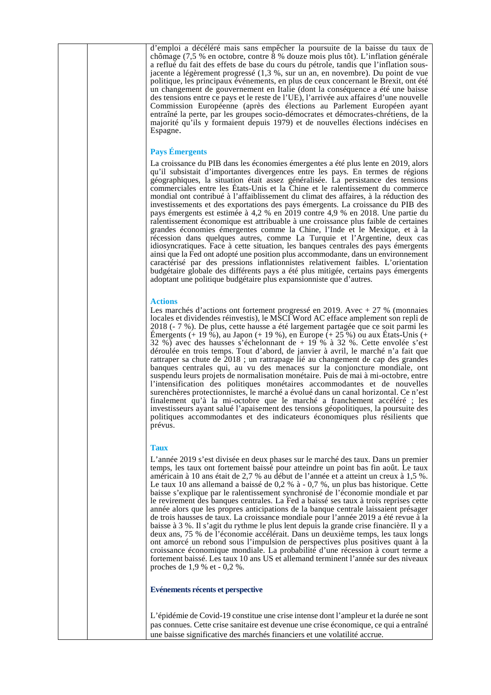| d'emploi a décéléré mais sans empêcher la poursuite de la baisse du taux de<br>chômage (7,5 % en octobre, contre $\bar{8}$ % douze mois plus tôt). L'inflation générale<br>a reflué du fait des effets de base du cours du pétrole, tandis que l'inflation sous-<br>jacente a légèrement progressé (1,3 %, sur un an, en novembre). Du point de vue<br>politique, les principaux événements, en plus de ceux concernant le Brexit, ont été<br>un changement de gouvernement en Italie (dont la conséquence a été une baisse<br>des tensions entre ce pays et le reste de l'UE), l'arrivée aux affaires d'une nouvelle<br>Commission Européenne (après des élections au Parlement Européen ayant<br>entraîné la perte, par les groupes socio-démocrates et démocrates-chrétiens, de la<br>majorité qu'ils y formaient depuis 1979) et de nouvelles élections indécises en<br>Espagne.                                                                                                                                                                                                                                                                                                                                                                                                     |
|------------------------------------------------------------------------------------------------------------------------------------------------------------------------------------------------------------------------------------------------------------------------------------------------------------------------------------------------------------------------------------------------------------------------------------------------------------------------------------------------------------------------------------------------------------------------------------------------------------------------------------------------------------------------------------------------------------------------------------------------------------------------------------------------------------------------------------------------------------------------------------------------------------------------------------------------------------------------------------------------------------------------------------------------------------------------------------------------------------------------------------------------------------------------------------------------------------------------------------------------------------------------------------------|
| <b>Pays Émergents</b>                                                                                                                                                                                                                                                                                                                                                                                                                                                                                                                                                                                                                                                                                                                                                                                                                                                                                                                                                                                                                                                                                                                                                                                                                                                                    |
| La croissance du PIB dans les économies émergentes a été plus lente en 2019, alors<br>qu'il subsistait d'importantes divergences entre les pays. En termes de régions<br>géographiques, la situation était assez généralisée. La persistance des tensions<br>commerciales entre les Etats-Unis et la Chine et le ralentissement du commerce<br>mondial ont contribué à l'affaiblissement du climat des affaires, à la réduction des<br>investissements et des exportations des pays émergents. La croissance du PIB des<br>pays émergents est estimée à 4,2 % en 2019 contre 4,9 % en 2018. Une partie du<br>ralentissement économique est attribuable à une croissance plus faible de certaines<br>grandes économies émergentes comme la Chine, l'Inde et le Mexique, et à la<br>récession dans quelques autres, comme La Turquie et l'Argentine, deux cas<br>idiosyncratiques. Face à cette situation, les banques centrales des pays émergents<br>ainsi que la Fed ont adopté une position plus accommodante, dans un environnement<br>caractérisé par des pressions inflationnistes relativement faibles. L'orientation<br>budgétaire globale des différents pays a été plus mitigée, certains pays émergents<br>adoptant une politique budgétaire plus expansionniste que d'autres. |
|                                                                                                                                                                                                                                                                                                                                                                                                                                                                                                                                                                                                                                                                                                                                                                                                                                                                                                                                                                                                                                                                                                                                                                                                                                                                                          |
| <b>Actions</b><br>Les marchés d'actions ont fortement progressé en 2019. Avec $+27$ % (monnaies<br>locales et dividendes réinvestis), le MSCI Word AC efface amplement son repli de<br>2018 (- 7 %). De plus, cette hausse a été largement partagée que ce soit parmi les<br>Emergents $(+ 19 \%)$ , au Japon $(+ 19 \%)$ , en Europe $(+ 25 \%)$ ou aux Etats-Unis $(+ 19 \%)$<br>32 %) avec des hausses s'échelonnant de $+$ 19 % à 32 %. Cette envolée s'est<br>déroulée en trois temps. Tout d'abord, de janvier à avril, le marché n'a fait que<br>rattraper sa chute de 2018 ; un rattrapage lié au changement de cap des grandes<br>banques centrales qui, au vu des menaces sur la conjoncture mondiale, ont<br>suspendu leurs projets de normalisation monétaire. Puis de mai à mi-octobre, entre<br>l'intensification des politiques monétaires accommodantes et de nouvelles<br>surenchères protectionnistes, le marché a évolué dans un canal horizontal. Ce n'est<br>finalement qu'à la mi-octobre que le marché a franchement accéléré ; les<br>investisseurs ayant salué l'apaisement des tensions géopolitiques, la poursuite des<br>politiques accommodantes et des indicateurs économiques plus résilients que<br>prévus.                                              |
| <b>Taux</b>                                                                                                                                                                                                                                                                                                                                                                                                                                                                                                                                                                                                                                                                                                                                                                                                                                                                                                                                                                                                                                                                                                                                                                                                                                                                              |
| L'année 2019 s'est divisée en deux phases sur le marché des taux. Dans un premier<br>temps, les taux ont fortement baissé pour atteindre un point bas fin août. Le taux<br>américain à 10 ans était de 2,7 % au début de l'année et a atteint un creux à 1,5 %.<br>Le taux 10 ans allemand a baissé de 0,2 % à - 0,7 %, un plus bas historique. Cette<br>baisse s'explique par le ralentissement synchronisé de l'économie mondiale et par<br>le revirement des banques centrales. La Fed a baissé ses taux à trois reprises cette<br>année alors que les propres anticipations de la banque centrale laissaient présager<br>de trois hausses de taux. La croissance mondiale pour l'année 2019 a été revue à la<br>baisse à 3 %. Il s'agit du rythme le plus lent depuis la grande crise financière. Il y a<br>deux ans, 75 % de l'économie accélérait. Dans un deuxième temps, les taux longs<br>ont amorcé un rebond sous l'impulsion de perspectives plus positives quant à la<br>croissance économique mondiale. La probabilité d'une récession à court terme a<br>fortement baissé. Les taux 10 ans US et allemand terminent l'année sur des niveaux<br>proches de $1,9%$ et - 0,2%.                                                                                               |
| Evénements récents et perspective                                                                                                                                                                                                                                                                                                                                                                                                                                                                                                                                                                                                                                                                                                                                                                                                                                                                                                                                                                                                                                                                                                                                                                                                                                                        |
|                                                                                                                                                                                                                                                                                                                                                                                                                                                                                                                                                                                                                                                                                                                                                                                                                                                                                                                                                                                                                                                                                                                                                                                                                                                                                          |
| L'épidémie de Covid-19 constitue une crise intense dont l'ampleur et la durée ne sont<br>pas connues. Cette crise sanitaire est devenue une crise économique, ce qui a entraîné                                                                                                                                                                                                                                                                                                                                                                                                                                                                                                                                                                                                                                                                                                                                                                                                                                                                                                                                                                                                                                                                                                          |
| une baisse significative des marchés financiers et une volatilité accrue.                                                                                                                                                                                                                                                                                                                                                                                                                                                                                                                                                                                                                                                                                                                                                                                                                                                                                                                                                                                                                                                                                                                                                                                                                |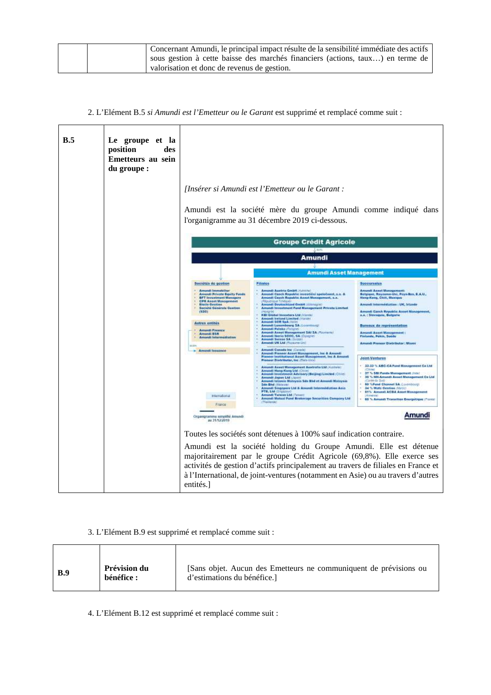|  | Concernant Amundi, le principal impact résulte de la sensibilité immédiate des actifs |
|--|---------------------------------------------------------------------------------------|
|  | sous gestion à cette baisse des marchés financiers (actions, taux) en terme de        |
|  | valorization et donc de revenus de gestion.                                           |

2. L'Elément B.5 *si Amundi est l'Emetteur ou le Garant* est supprimé et remplacé comme suit :

.

 $\mathbf{r}$ 

| B.5 | Le groupe et la<br>position<br>des<br>Emetteurs au sein<br>du groupe : |                                                                                                                                                                                                                                                                                                         |                                                                                                                                                                                                                                                                                                                                                                                                                                                                                                                                                                                                                                                                                                                                                                                                                                                                                             |                                                                                                                                                                                                                                                                                                                                                                                                                                                               |
|-----|------------------------------------------------------------------------|---------------------------------------------------------------------------------------------------------------------------------------------------------------------------------------------------------------------------------------------------------------------------------------------------------|---------------------------------------------------------------------------------------------------------------------------------------------------------------------------------------------------------------------------------------------------------------------------------------------------------------------------------------------------------------------------------------------------------------------------------------------------------------------------------------------------------------------------------------------------------------------------------------------------------------------------------------------------------------------------------------------------------------------------------------------------------------------------------------------------------------------------------------------------------------------------------------------|---------------------------------------------------------------------------------------------------------------------------------------------------------------------------------------------------------------------------------------------------------------------------------------------------------------------------------------------------------------------------------------------------------------------------------------------------------------|
|     |                                                                        |                                                                                                                                                                                                                                                                                                         | [Insérer si Amundi est l'Emetteur ou le Garant :                                                                                                                                                                                                                                                                                                                                                                                                                                                                                                                                                                                                                                                                                                                                                                                                                                            |                                                                                                                                                                                                                                                                                                                                                                                                                                                               |
|     |                                                                        |                                                                                                                                                                                                                                                                                                         | Amundi est la société mère du groupe Amundi comme indiqué dans<br>l'organigramme au 31 décembre 2019 ci-dessous.                                                                                                                                                                                                                                                                                                                                                                                                                                                                                                                                                                                                                                                                                                                                                                            |                                                                                                                                                                                                                                                                                                                                                                                                                                                               |
|     |                                                                        |                                                                                                                                                                                                                                                                                                         | <b>Groupe Crédit Agricole</b>                                                                                                                                                                                                                                                                                                                                                                                                                                                                                                                                                                                                                                                                                                                                                                                                                                                               |                                                                                                                                                                                                                                                                                                                                                                                                                                                               |
|     |                                                                        |                                                                                                                                                                                                                                                                                                         | Amundi                                                                                                                                                                                                                                                                                                                                                                                                                                                                                                                                                                                                                                                                                                                                                                                                                                                                                      |                                                                                                                                                                                                                                                                                                                                                                                                                                                               |
|     |                                                                        |                                                                                                                                                                                                                                                                                                         | <b>Amundi Asset Management</b>                                                                                                                                                                                                                                                                                                                                                                                                                                                                                                                                                                                                                                                                                                                                                                                                                                                              |                                                                                                                                                                                                                                                                                                                                                                                                                                                               |
|     |                                                                        | Bociétés de gestion                                                                                                                                                                                                                                                                                     | <b>Filialos</b>                                                                                                                                                                                                                                                                                                                                                                                                                                                                                                                                                                                                                                                                                                                                                                                                                                                                             | <b>Succursalus</b>                                                                                                                                                                                                                                                                                                                                                                                                                                            |
|     |                                                                        | Amundi Immobilium<br><b>Amunit Private Equity Funds</b><br>BFT Investment Managers<br><b>CPR Asset Management</b><br><b>Weathe Constigue</b><br>Société Générale Geation<br>(520)<br><b>Autres entités</b><br>Armordi Finance<br><b>Amendi ESR</b><br>Amundi Intermediation<br>u.m<br>- Armedi Insubner | - Armindi Austria GmbH (AutoVal)<br>Amundi Czech Republic investióni spatečnost, a.a. &<br>Amundi Czech Republic Axxet Management, a.s.<br>Amundi Doutschland GmbH (Altmogra)<br>Amundi Investment Fund Management Private Limited<br>KBI Global Investors Ltd (Vistor)<br>Around: Inclored Limited (Maker)<br>Amunti SOR SpA (Valin)<br>Armindi Luxumbourg SA (Luximbourg)<br>Amundi Palaka (Forppre)<br>Amundt Axest Management SAI SA (Maanshul<br>Annandi Neria SOBC, SA (Escapie)<br>Arnundi Suimee SA (Sciose)<br>Amundi UK Ltd (Turaums-Un)<br><b>Amundi Conada Inc (Canada)</b><br>Amerili Pieneer Asset Management, his & Amerili<br>Pieneer Institutional Asset Management, Inc & Amerili<br>Ploneer Distributor, Inc. (flate-link)<br>* Amund) Asset Management Apstralia Ltd (Australia)<br>Amundi Hong-Keng Ltd /C//cc<br>Amundi Investment Advisory (Beijing) Limited /C//lei | <b>Around! Asset Management:</b><br>Belgique, Rayaumo-Uni, Pays-Bas, E.A.U.,<br><b>Nong-Kong, Chill, Mexique</b><br>Anundi Internehliation : UK, Irlande<br>Arnandi Czech Republic Asset Management,<br>a.a.; Slevaquie, Bulgarie<br><b>Bureaux de représentation</b><br><b>Arnardi Asset Masserment</b><br>Finlande, Pekin, Spede<br><b>Amund: Prenser Distributor: Miami</b><br><b>Joint Ventures</b><br>1 33.33 % ABC-CA Fund Management Co.Ltd.<br>(CAre) |
|     |                                                                        | <b>Informational</b><br>France                                                                                                                                                                                                                                                                          | œ<br>×<br>Armindt Jaguar Ltd (A)<br>Ansareli tolzenic Motayoin Sds Shd et Amuseli Motayoia<br><b>Sdo Bhd Algiants</b><br>Amundi Singapore Ltd & Amundi Intermediation Asia<br>PTE, Ltd (Singapou<br><b>Armindi Taiwan Ltd (Tahrent</b><br>Aroundi Mutual Fund Brekerage Securities Campony Ltd.<br><b>CThailamh</b>                                                                                                                                                                                                                                                                                                                                                                                                                                                                                                                                                                         | - 37 % SBI Fonds Management (Intel<br>1 30 % NH-Anwedi Asset Management Co Ltd.<br>(Coree da Sod)<br>- 60 %Fund Channel SA /Lovercough<br>- 34 % Wala Geotian (Mirror)<br>- E1% Annunii ACBA Asset Management<br><b>CATHERINE</b><br>- 60 % Amundi Transition Energetique (Franca)                                                                                                                                                                            |
|     |                                                                        | Organigramme simplifié Amundi<br>au 31/12/2019                                                                                                                                                                                                                                                          |                                                                                                                                                                                                                                                                                                                                                                                                                                                                                                                                                                                                                                                                                                                                                                                                                                                                                             | Amundi                                                                                                                                                                                                                                                                                                                                                                                                                                                        |
|     |                                                                        |                                                                                                                                                                                                                                                                                                         | Toutes les sociétés sont détenues à 100% sauf indication contraire.                                                                                                                                                                                                                                                                                                                                                                                                                                                                                                                                                                                                                                                                                                                                                                                                                         |                                                                                                                                                                                                                                                                                                                                                                                                                                                               |
|     |                                                                        | entités.]                                                                                                                                                                                                                                                                                               | Amundi est la société holding du Groupe Amundi. Elle est détenue<br>majoritairement par le groupe Crédit Agricole (69,8%). Elle exerce ses<br>activités de gestion d'actifs principalement au travers de filiales en France et<br>à l'International, de joint-ventures (notamment en Asie) ou au travers d'autres                                                                                                                                                                                                                                                                                                                                                                                                                                                                                                                                                                           |                                                                                                                                                                                                                                                                                                                                                                                                                                                               |

3. L'Elément B.9 est supprimé et remplacé comme suit :

| Prévision du<br>[Sans objet. Aucun des Emetteurs ne communiquent de prévisions ou<br><b>B.9</b><br>bénéfice :<br>d'estimations du bénéfice. |  |
|---------------------------------------------------------------------------------------------------------------------------------------------|--|
|---------------------------------------------------------------------------------------------------------------------------------------------|--|

4. L'Elément B.12 est supprimé et remplacé comme suit :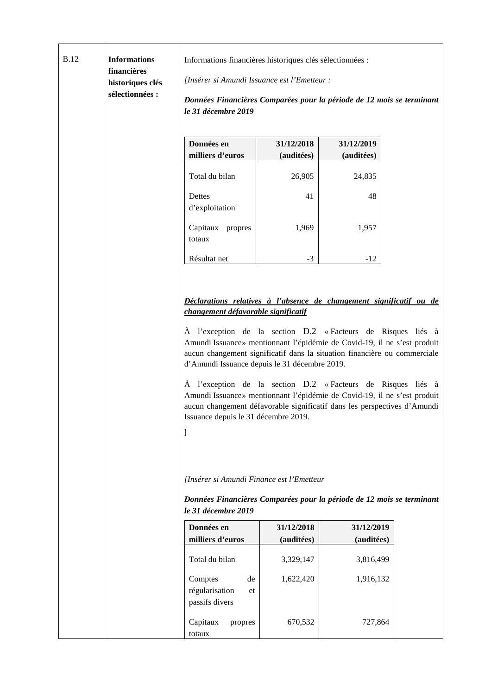| <b>B.12</b> | <b>Informations</b><br>financières<br>historiques clés<br>sélectionnées : | Informations financières historiques clés sélectionnées :<br>[Insérer si Amundi Issuance est l'Emetteur :<br>Données Financières Comparées pour la période de 12 mois se terminant<br>le 31 décembre 2019                                                                                                                                                                                                                                                                                                                                                                                                                                                                                                                                                                                       |                          |                          |  |
|-------------|---------------------------------------------------------------------------|-------------------------------------------------------------------------------------------------------------------------------------------------------------------------------------------------------------------------------------------------------------------------------------------------------------------------------------------------------------------------------------------------------------------------------------------------------------------------------------------------------------------------------------------------------------------------------------------------------------------------------------------------------------------------------------------------------------------------------------------------------------------------------------------------|--------------------------|--------------------------|--|
|             |                                                                           | Données en                                                                                                                                                                                                                                                                                                                                                                                                                                                                                                                                                                                                                                                                                                                                                                                      | 31/12/2018               | 31/12/2019               |  |
|             |                                                                           | milliers d'euros                                                                                                                                                                                                                                                                                                                                                                                                                                                                                                                                                                                                                                                                                                                                                                                | (auditées)               | (auditées)               |  |
|             |                                                                           | Total du bilan                                                                                                                                                                                                                                                                                                                                                                                                                                                                                                                                                                                                                                                                                                                                                                                  | 26,905                   | 24,835                   |  |
|             |                                                                           | Dettes<br>d'exploitation                                                                                                                                                                                                                                                                                                                                                                                                                                                                                                                                                                                                                                                                                                                                                                        | 41                       | 48                       |  |
|             |                                                                           | Capitaux propres<br>totaux                                                                                                                                                                                                                                                                                                                                                                                                                                                                                                                                                                                                                                                                                                                                                                      | 1,969                    | 1,957                    |  |
|             |                                                                           | Résultat net                                                                                                                                                                                                                                                                                                                                                                                                                                                                                                                                                                                                                                                                                                                                                                                    | $-3$                     | $-12$                    |  |
|             |                                                                           | Déclarations relatives à l'absence de changement significatif ou de<br>changement défavorable significatif<br>À l'exception de la section D.2 «Facteurs de Risques liés à<br>Amundi Issuance» mentionnant l'épidémie de Covid-19, il ne s'est produit<br>aucun changement significatif dans la situation financière ou commerciale<br>d'Amundi Issuance depuis le 31 décembre 2019.<br>À l'exception de la section D.2 «Facteurs de Risques liés à<br>Amundi Issuance» mentionnant l'épidémie de Covid-19, il ne s'est produit<br>aucun changement défavorable significatif dans les perspectives d'Amundi<br>Issuance depuis le 31 décembre 2019.<br>[Insérer si Amundi Finance est l'Emetteur<br>Données Financières Comparées pour la période de 12 mois se terminant<br>le 31 décembre 2019 |                          |                          |  |
|             |                                                                           | Données en<br>milliers d'euros                                                                                                                                                                                                                                                                                                                                                                                                                                                                                                                                                                                                                                                                                                                                                                  | 31/12/2018<br>(auditées) | 31/12/2019<br>(auditées) |  |
|             |                                                                           | Total du bilan                                                                                                                                                                                                                                                                                                                                                                                                                                                                                                                                                                                                                                                                                                                                                                                  | 3,329,147                | 3,816,499                |  |
|             |                                                                           | Comptes<br>de<br>régularisation<br>et<br>passifs divers                                                                                                                                                                                                                                                                                                                                                                                                                                                                                                                                                                                                                                                                                                                                         | 1,622,420                | 1,916,132                |  |
|             |                                                                           | Capitaux<br>propres<br>totaux                                                                                                                                                                                                                                                                                                                                                                                                                                                                                                                                                                                                                                                                                                                                                                   | 670,532                  | 727,864                  |  |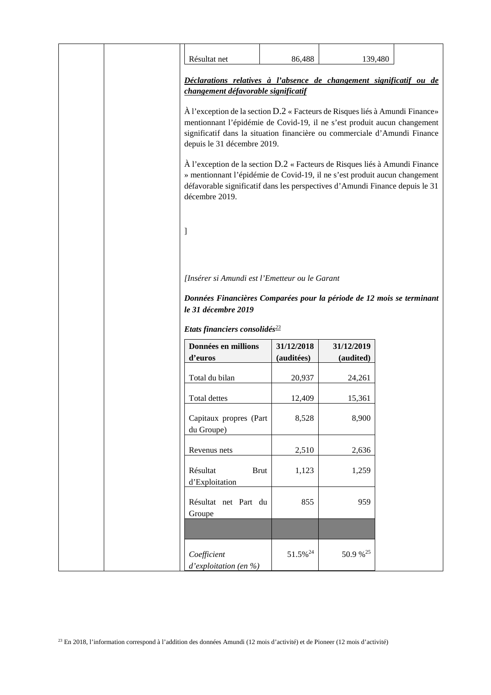| Résultat net                                                                                                                                                                                                                                                                                                                                                                                                                                                                                                                        | 86,488              | 139,480    |  |
|-------------------------------------------------------------------------------------------------------------------------------------------------------------------------------------------------------------------------------------------------------------------------------------------------------------------------------------------------------------------------------------------------------------------------------------------------------------------------------------------------------------------------------------|---------------------|------------|--|
| Déclarations relatives à l'absence de changement significatif ou de<br>changement défavorable significatif                                                                                                                                                                                                                                                                                                                                                                                                                          |                     |            |  |
| À l'exception de la section D.2 « Facteurs de Risques liés à Amundi Finance»<br>mentionnant l'épidémie de Covid-19, il ne s'est produit aucun changement<br>significatif dans la situation financière ou commerciale d'Amundi Finance<br>depuis le 31 décembre 2019.<br>À l'exception de la section D.2 « Facteurs de Risques liés à Amundi Finance<br>» mentionnant l'épidémie de Covid-19, il ne s'est produit aucun changement<br>défavorable significatif dans les perspectives d'Amundi Finance depuis le 31<br>décembre 2019. |                     |            |  |
| 1                                                                                                                                                                                                                                                                                                                                                                                                                                                                                                                                   |                     |            |  |
| [Insérer si Amundi est l'Emetteur ou le Garant                                                                                                                                                                                                                                                                                                                                                                                                                                                                                      |                     |            |  |
| Données Financières Comparées pour la période de 12 mois se terminant                                                                                                                                                                                                                                                                                                                                                                                                                                                               |                     |            |  |
| le 31 décembre 2019                                                                                                                                                                                                                                                                                                                                                                                                                                                                                                                 |                     |            |  |
| Etats financiers consolidés <sup>23</sup>                                                                                                                                                                                                                                                                                                                                                                                                                                                                                           |                     |            |  |
| Données en millions                                                                                                                                                                                                                                                                                                                                                                                                                                                                                                                 | 31/12/2018          | 31/12/2019 |  |
| d'euros                                                                                                                                                                                                                                                                                                                                                                                                                                                                                                                             | (auditées)          | (audited)  |  |
| Total du bilan                                                                                                                                                                                                                                                                                                                                                                                                                                                                                                                      | 20,937              | 24,261     |  |
| Total dettes                                                                                                                                                                                                                                                                                                                                                                                                                                                                                                                        | 12,409              | 15,361     |  |
| Capitaux propres (Part<br>du Groupe)                                                                                                                                                                                                                                                                                                                                                                                                                                                                                                | 8,528               | 8,900      |  |
| Revenus nets                                                                                                                                                                                                                                                                                                                                                                                                                                                                                                                        | 2,510               | 2,636      |  |
| Résultat<br><b>Brut</b><br>d'Exploitation                                                                                                                                                                                                                                                                                                                                                                                                                                                                                           | 1,123               | 1,259      |  |
| Résultat net Part du<br>Groupe                                                                                                                                                                                                                                                                                                                                                                                                                                                                                                      | 855                 | 959        |  |
|                                                                                                                                                                                                                                                                                                                                                                                                                                                                                                                                     |                     |            |  |
| Coefficient<br>d'exploitation (en %)                                                                                                                                                                                                                                                                                                                                                                                                                                                                                                | 51.5% <sup>24</sup> | 50.9 % 25  |  |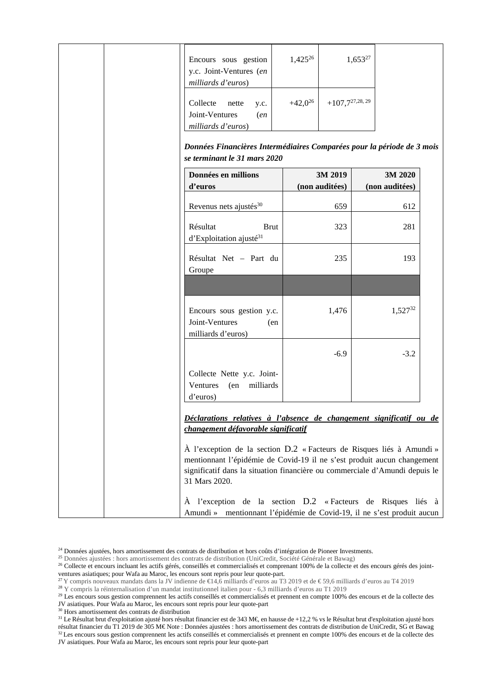| Encours sous gestion<br>y.c. Joint-Ventures (en<br>milliards d'euros)                                                                                                                                                                            | $1,425^{26}$ |                     | $1,653^{27}$   |     |
|--------------------------------------------------------------------------------------------------------------------------------------------------------------------------------------------------------------------------------------------------|--------------|---------------------|----------------|-----|
| Collecte<br>nette<br>y.c.<br>Joint-Ventures<br>(en<br>milliards d'euros)                                                                                                                                                                         | $+42,0^{26}$ | $+107,7^{27,28,29}$ |                |     |
| Données Financières Intermédiaires Comparées pour la période de 3 mois<br>se terminant le 31 mars 2020                                                                                                                                           |              |                     |                |     |
| Données en millions                                                                                                                                                                                                                              |              | 3M 2019             | 3M 2020        |     |
| d'euros                                                                                                                                                                                                                                          |              | (non auditées)      | (non auditées) |     |
| Revenus nets ajustés <sup>30</sup>                                                                                                                                                                                                               |              | 659                 | 612            |     |
| Résultat<br><b>Brut</b><br>$d'Exploitation$ ajusté <sup>31</sup>                                                                                                                                                                                 |              | 323                 | 281            |     |
| Résultat Net - Part du<br>Groupe                                                                                                                                                                                                                 |              | 235                 |                | 193 |
|                                                                                                                                                                                                                                                  |              |                     |                |     |
| Encours sous gestion y.c.<br>Joint-Ventures<br>(en<br>milliards d'euros)                                                                                                                                                                         |              | 1,476               | $1,527^{32}$   |     |
|                                                                                                                                                                                                                                                  |              | $-6.9$              | $-3.2$         |     |
| Collecte Nette y.c. Joint-<br>(en milliards<br>Ventures<br>d'euros)                                                                                                                                                                              |              |                     |                |     |
| Déclarations relatives à l'absence de changement significatif ou de<br>changement défavorable significatif                                                                                                                                       |              |                     |                |     |
| À l'exception de la section D.2 « Facteurs de Risques liés à Amundi »<br>mentionnant l'épidémie de Covid-19 il ne s'est produit aucun changement<br>significatif dans la situation financière ou commerciale d'Amundi depuis le<br>31 Mars 2020. |              |                     |                |     |
| À l'exception de la section D.2 «Facteurs de Risques liés à<br>Amundi » mentionnant l'épidémie de Covid-19, il ne s'est produit aucun                                                                                                            |              |                     |                |     |

<sup>&</sup>lt;sup>24</sup> Données ajustées, hors amortissement des contrats de distribution et hors coûts d'intégration de Pioneer Investments.

<sup>31</sup> Le Résultat brut d'exploitation ajusté hors résultat financier est de 343 M€, en hausse de +12,2 % vs le Résultat brut d'exploitation ajusté hors résultat financier du T1 2019 de 305 M€ Note : Données ajustées : hors amortissement des contrats de distribution de UniCredit, SG et Bawag  $32$ Les encours sous gestion comprennent les actifs conseillés et commercialisés et prennent en compte  $100\%$  des encours et de la collecte des JV asiatiques. Pour Wafa au Maroc, les encours sont repris pour leur quote-part

<sup>&</sup>lt;sup>25</sup> Données ajustées : hors amortissement des contrats de distribution (UniCredit, Société Générale et Bawag)

<sup>&</sup>lt;sup>26</sup> Collecte et encours incluant les actifs gérés, conseillés et commercialisés et comprenant 100% de la collecte et des encours gérés des jointventures asiatiques; pour Wafa au Maroc, les encours sont repris pour leur quote-part.

<sup>&</sup>lt;sup>27</sup>Y compris nouveaux mandats dans la JV indienne de €14,6 milliards d'euros au T3 2019 et de € 59,6 millards d'euros au T4 2019

<sup>28</sup> Y compris la réinternalisation d'un mandat institutionnel italien pour - 6,3 milliards d'euros au T1 2019

<sup>&</sup>lt;sup>29</sup> Les encours sous gestion comprennent les actifs conseillés et commercialisés et prennent en compte 100% des encours et de la collecte des JV asiatiques. Pour Wafa au Maroc, les encours sont repris pour leur quote-part

<sup>30</sup> Hors amortissement des contrats de distribution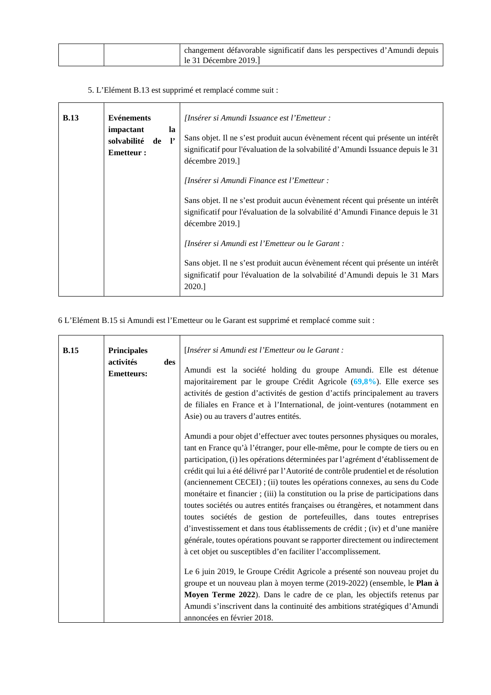|  | changement défavorable significatif dans les perspectives d'Amundi depuis |
|--|---------------------------------------------------------------------------|
|  | le 31 Décembre 2019.                                                      |

5. L'Elément B.13 est supprimé et remplacé comme suit :

| <b>B.13</b><br><b>Evénements</b><br>impactant<br>la<br>de l'<br>solvabilité<br><b>Emetteur:</b> |  | [Insérer si Amundi Issuance est l'Emetteur :<br>Sans objet. Il ne s'est produit aucun évènement récent qui présente un intérêt<br>significatif pour l'évaluation de la solvabilité d'Amundi Issuance depuis le 31<br>décembre 2019.] |
|-------------------------------------------------------------------------------------------------|--|--------------------------------------------------------------------------------------------------------------------------------------------------------------------------------------------------------------------------------------|
|                                                                                                 |  | [Insérer si Amundi Finance est l'Emetteur :                                                                                                                                                                                          |
|                                                                                                 |  | Sans objet. Il ne s'est produit aucun évènement récent qui présente un intérêt<br>significatif pour l'évaluation de la solvabilité d'Amundi Finance depuis le 31<br>décembre 2019.]                                                  |
|                                                                                                 |  | [Insérer si Amundi est l'Emetteur ou le Garant :                                                                                                                                                                                     |
|                                                                                                 |  | Sans objet. Il ne s'est produit aucun évènement récent qui présente un intérêt<br>significatif pour l'évaluation de la solvabilité d'Amundi depuis le 31 Mars<br>2020.                                                               |

6 L'Elément B.15 si Amundi est l'Emetteur ou le Garant est supprimé et remplacé comme suit :

| B.15<br>activités | <b>Principales</b><br>des<br><b>Emetteurs:</b> | [Insérer si Amundi est l'Emetteur ou le Garant :<br>Amundi est la société holding du groupe Amundi. Elle est détenue<br>majoritairement par le groupe Crédit Agricole $(69,8\%)$ . Elle exerce ses<br>activités de gestion d'activités de gestion d'actifs principalement au travers<br>de filiales en France et à l'International, de joint-ventures (notamment en<br>Asie) ou au travers d'autres entités.                                                                                                                                                                                                                                                                                                                                                                                                                                                                                                                                                                                                                                                                                                                                                                                                                                           |
|-------------------|------------------------------------------------|--------------------------------------------------------------------------------------------------------------------------------------------------------------------------------------------------------------------------------------------------------------------------------------------------------------------------------------------------------------------------------------------------------------------------------------------------------------------------------------------------------------------------------------------------------------------------------------------------------------------------------------------------------------------------------------------------------------------------------------------------------------------------------------------------------------------------------------------------------------------------------------------------------------------------------------------------------------------------------------------------------------------------------------------------------------------------------------------------------------------------------------------------------------------------------------------------------------------------------------------------------|
|                   |                                                | Amundi a pour objet d'effectuer avec toutes personnes physiques ou morales,<br>tant en France qu'à l'étranger, pour elle-même, pour le compte de tiers ou en<br>participation, (i) les opérations déterminées par l'agrément d'établissement de<br>crédit qui lui a été délivré par l'Autorité de contrôle prudentiel et de résolution<br>(anciennement CECEI); (ii) toutes les opérations connexes, au sens du Code<br>monétaire et financier ; (iii) la constitution ou la prise de participations dans<br>toutes sociétés ou autres entités françaises ou étrangères, et notamment dans<br>toutes sociétés de gestion de portefeuilles, dans toutes entreprises<br>d'investissement et dans tous établissements de crédit ; (iv) et d'une manière<br>générale, toutes opérations pouvant se rapporter directement ou indirectement<br>à cet objet ou susceptibles d'en faciliter l'accomplissement.<br>Le 6 juin 2019, le Groupe Crédit Agricole a présenté son nouveau projet du<br>groupe et un nouveau plan à moyen terme (2019-2022) (ensemble, le Plan à<br>Moyen Terme 2022). Dans le cadre de ce plan, les objectifs retenus par<br>Amundi s'inscrivent dans la continuité des ambitions stratégiques d'Amundi<br>annoncées en février 2018. |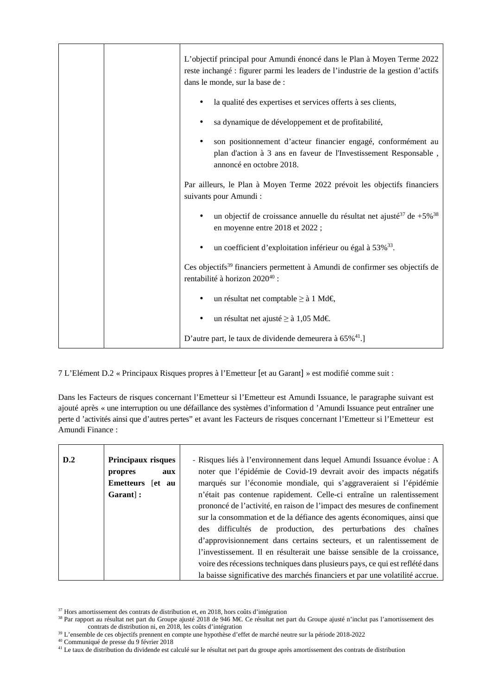|  | L'objectif principal pour Amundi énoncé dans le Plan à Moyen Terme 2022<br>reste inchangé : figurer parmi les leaders de l'industrie de la gestion d'actifs<br>dans le monde, sur la base de : |
|--|------------------------------------------------------------------------------------------------------------------------------------------------------------------------------------------------|
|  | la qualité des expertises et services offerts à ses clients,                                                                                                                                   |
|  | sa dynamique de développement et de profitabilité,                                                                                                                                             |
|  | son positionnement d'acteur financier engagé, conformément au<br>plan d'action à 3 ans en faveur de l'Investissement Responsable,<br>annoncé en octobre 2018.                                  |
|  | Par ailleurs, le Plan à Moyen Terme 2022 prévoit les objectifs financiers<br>suivants pour Amundi:                                                                                             |
|  | un objectif de croissance annuelle du résultat net ajusté <sup>37</sup> de +5% <sup>38</sup><br>en moyenne entre 2018 et 2022 ;                                                                |
|  | un coefficient d'exploitation inférieur ou égal à 53% <sup>33</sup> .                                                                                                                          |
|  | Ces objectifs <sup>39</sup> financiers permettent à Amundi de confirmer ses objectifs de<br>rentabilité à horizon 202040 :                                                                     |
|  | un résultat net comptable ≥ à 1 Md€,                                                                                                                                                           |
|  | un résultat net ajusté ≥ à 1,05 Md€.                                                                                                                                                           |
|  | D'autre part, le taux de dividende demeurera à 65% <sup>41</sup> .]                                                                                                                            |

7 L'Elément D.2 « Principaux Risques propres à l'Emetteur [et au Garant] » est modifié comme suit :

Dans les Facteurs de risques concernant l'Emetteur si l'Emetteur est Amundi Issuance, le paragraphe suivant est ajouté après « une interruption ou une défaillance des systèmes d'information d 'Amundi Issuance peut entraîner une perte d 'activités ainsi que d'autres pertes" et avant les Facteurs de risques concernant l'Emetteur si l'Emetteur est Amundi Finance :

| D.2 | Principaux risques<br>propres<br>aux<br>Emetteurs let au<br>Garant : | - Risques liés à l'environnement dans lequel Amundi Issuance évolue : A<br>noter que l'épidémie de Covid-19 devrait avoir des impacts négatifs<br>marqués sur l'économie mondiale, qui s'aggraveraient si l'épidémie<br>n'était pas contenue rapidement. Celle-ci entraîne un ralentissement<br>prononcé de l'activité, en raison de l'impact des mesures de confinement<br>sur la consommation et de la défiance des agents économiques, ainsi que<br>des difficultés de production, des perturbations des chaînes<br>d'approvisionnement dans certains secteurs, et un ralentissement de<br>l'investissement. Il en résulterait une baisse sensible de la croissance,<br>voire des récessions techniques dans plusieurs pays, ce qui est reflété dans<br>la baisse significative des marchés financiers et par une volatilité accrue. |
|-----|----------------------------------------------------------------------|-----------------------------------------------------------------------------------------------------------------------------------------------------------------------------------------------------------------------------------------------------------------------------------------------------------------------------------------------------------------------------------------------------------------------------------------------------------------------------------------------------------------------------------------------------------------------------------------------------------------------------------------------------------------------------------------------------------------------------------------------------------------------------------------------------------------------------------------|
|-----|----------------------------------------------------------------------|-----------------------------------------------------------------------------------------------------------------------------------------------------------------------------------------------------------------------------------------------------------------------------------------------------------------------------------------------------------------------------------------------------------------------------------------------------------------------------------------------------------------------------------------------------------------------------------------------------------------------------------------------------------------------------------------------------------------------------------------------------------------------------------------------------------------------------------------|

<sup>37</sup> Hors amortissement des contrats de distribution et, en 2018, hors coûts d'intégration

<sup>40</sup> Communiqué de presse du 9 février 2018

<sup>38</sup> Par rapport au résultat net part du Groupe ajusté 2018 de 946 M€. Ce résultat net part du Groupe ajusté n'inclut pas l'amortissement des contrats de distribution ni, en 2018, les coûts d'intégration

<sup>39</sup> L'ensemble de ces objectifs prennent en compte une hypothèse d'effet de marché neutre sur la période 2018-2022

<sup>41</sup> Le taux de distribution du dividende est calculé sur le résultat net part du groupe après amortissement des contrats de distribution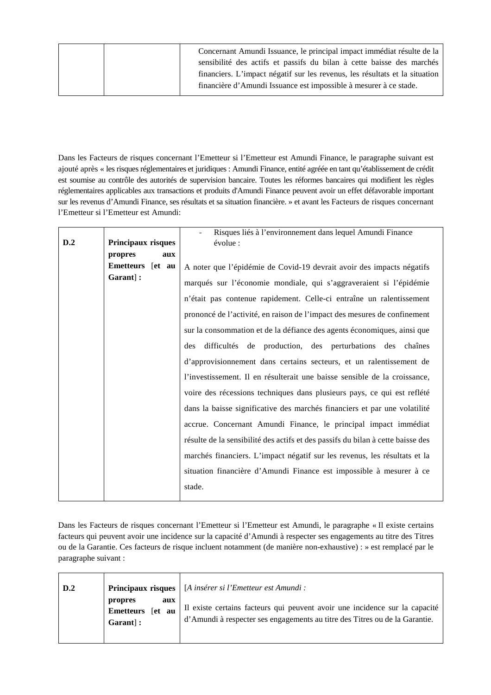| Concernant Amundi Issuance, le principal impact immédiat résulte de la      |
|-----------------------------------------------------------------------------|
| sensibilité des actifs et passifs du bilan à cette baisse des marchés       |
| financiers. L'impact négatif sur les revenus, les résultats et la situation |
| financière d'Amundi Issuance est impossible à mesurer à ce stade.           |

Dans les Facteurs de risques concernant l'Emetteur si l'Emetteur est Amundi Finance, le paragraphe suivant est ajouté après « les risques réglementaires et juridiques : Amundi Finance, entité agréée en tant qu'établissement de crédit est soumise au contrôle des autorités de supervision bancaire. Toutes les réformes bancaires qui modifient les règles réglementaires applicables aux transactions et produits d'Amundi Finance peuvent avoir un effet défavorable important sur les revenus d'Amundi Finance, ses résultats et sa situation financière. » et avant les Facteurs de risques concernant l'Emetteur si l'Emetteur est Amundi:

|                                | Risques liés à l'environnement dans lequel Amundi Finance                       |  |
|--------------------------------|---------------------------------------------------------------------------------|--|
| Principaux risques<br>évolue : |                                                                                 |  |
| aux                            |                                                                                 |  |
| Emetteurs [et au               | A noter que l'épidémie de Covid-19 devrait avoir des impacts négatifs           |  |
|                                | marqués sur l'économie mondiale, qui s'aggraveraient si l'épidémie              |  |
|                                | n'était pas contenue rapidement. Celle-ci entraîne un ralentissement            |  |
|                                | prononcé de l'activité, en raison de l'impact des mesures de confinement        |  |
|                                | sur la consommation et de la défiance des agents économiques, ainsi que         |  |
| des                            | difficultés de production, des perturbations des chaînes                        |  |
|                                | d'approvisionnement dans certains secteurs, et un ralentissement de             |  |
|                                | l'investissement. Il en résulterait une baisse sensible de la croissance,       |  |
|                                | voire des récessions techniques dans plusieurs pays, ce qui est reflété         |  |
|                                | dans la baisse significative des marchés financiers et par une volatilité       |  |
|                                | accrue. Concernant Amundi Finance, le principal impact immédiat                 |  |
|                                | résulte de la sensibilité des actifs et des passifs du bilan à cette baisse des |  |
|                                | marchés financiers. L'impact négatif sur les revenus, les résultats et la       |  |
|                                | situation financière d'Amundi Finance est impossible à mesurer à ce             |  |
| stade.                         |                                                                                 |  |
|                                |                                                                                 |  |

Dans les Facteurs de risques concernant l'Emetteur si l'Emetteur est Amundi, le paragraphe « Il existe certains facteurs qui peuvent avoir une incidence sur la capacité d'Amundi à respecter ses engagements au titre des Titres ou de la Garantie. Ces facteurs de risque incluent notamment (de manière non-exhaustive) : » est remplacé par le paragraphe suivant :

| $\mathbf{D.2}$ |                                                | <b>Principaux risques</b>   [A insérer si l'Emetteur est Amundi :                                                                                          |
|----------------|------------------------------------------------|------------------------------------------------------------------------------------------------------------------------------------------------------------|
|                | propres<br>aux<br>Emetteurs [et au<br>Garant : | Il existe certains facteurs qui peuvent avoir une incidence sur la capacité<br>d'Amundi à respecter ses engagements au titre des Titres ou de la Garantie. |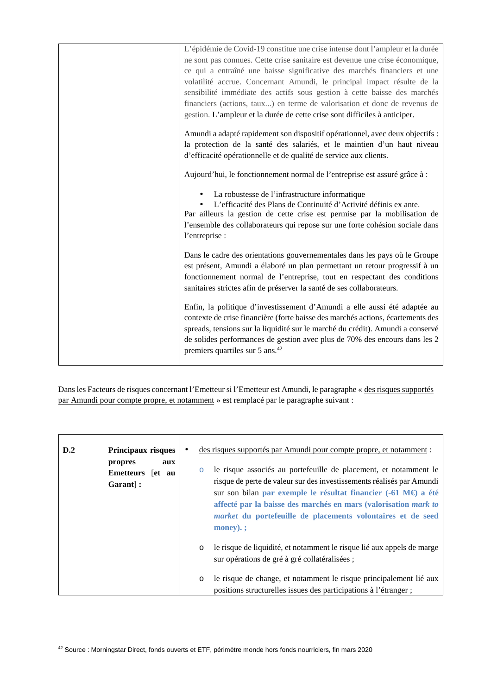| L'épidémie de Covid-19 constitue une crise intense dont l'ampleur et la durée   |
|---------------------------------------------------------------------------------|
| ne sont pas connues. Cette crise sanitaire est devenue une crise économique,    |
| ce qui a entraîné une baisse significative des marchés financiers et une        |
| volatilité accrue. Concernant Amundi, le principal impact résulte de la         |
| sensibilité immédiate des actifs sous gestion à cette baisse des marchés        |
| financiers (actions, taux) en terme de valorisation et donc de revenus de       |
| gestion. L'ampleur et la durée de cette crise sont difficiles à anticiper.      |
| Amundi a adapté rapidement son dispositif opérationnel, avec deux objectifs :   |
| la protection de la santé des salariés, et le maintien d'un haut niveau         |
| d'efficacité opérationnelle et de qualité de service aux clients.               |
| Aujourd'hui, le fonctionnement normal de l'entreprise est assuré grâce à :      |
| La robustesse de l'infrastructure informatique                                  |
| L'efficacité des Plans de Continuité d'Activité définis ex ante.                |
| Par ailleurs la gestion de cette crise est permise par la mobilisation de       |
| l'ensemble des collaborateurs qui repose sur une forte cohésion sociale dans    |
| l'entreprise :                                                                  |
| Dans le cadre des orientations gouvernementales dans les pays où le Groupe      |
| est présent, Amundi a élaboré un plan permettant un retour progressif à un      |
| fonctionnement normal de l'entreprise, tout en respectant des conditions        |
| sanitaires strictes afin de préserver la santé de ses collaborateurs.           |
| Enfin, la politique d'investissement d'Amundi a elle aussi été adaptée au       |
| contexte de crise financière (forte baisse des marchés actions, écartements des |
| spreads, tensions sur la liquidité sur le marché du crédit). Amundi a conservé  |
| de solides performances de gestion avec plus de 70% des encours dans les 2      |
| premiers quartiles sur 5 ans. <sup>42</sup>                                     |
|                                                                                 |

Dans les Facteurs de risques concernant l'Emetteur si l'Emetteur est Amundi, le paragraphe « des risques supportés par Amundi pour compte propre, et notamment » est remplacé par le paragraphe suivant :

| D.2 | Principaux risques<br>propres<br>aux<br><b>Emetteurs</b><br>fet au<br>Garant : | des risques supportés par Amundi pour compte propre, et notamment :<br>le risque associés au portefeuille de placement, et notamment le<br>$\circ$<br>risque de perte de valeur sur des investissements réalisés par Amundi<br>sur son bilan par exemple le résultat financier $(-61 \text{ M}\epsilon)$ a été<br>affecté par la baisse des marchés en mars (valorisation mark to<br><i>market</i> du portefeuille de placements volontaires et de seed<br>$\mathbf{money}$ ). |
|-----|--------------------------------------------------------------------------------|--------------------------------------------------------------------------------------------------------------------------------------------------------------------------------------------------------------------------------------------------------------------------------------------------------------------------------------------------------------------------------------------------------------------------------------------------------------------------------|
|     |                                                                                | le risque de liquidité, et notamment le risque lié aux appels de marge<br>$\circ$<br>sur opérations de gré à gré collatéralisées;                                                                                                                                                                                                                                                                                                                                              |
|     |                                                                                | le risque de change, et notamment le risque principalement lié aux<br>$\circ$<br>positions structurelles issues des participations à l'étranger;                                                                                                                                                                                                                                                                                                                               |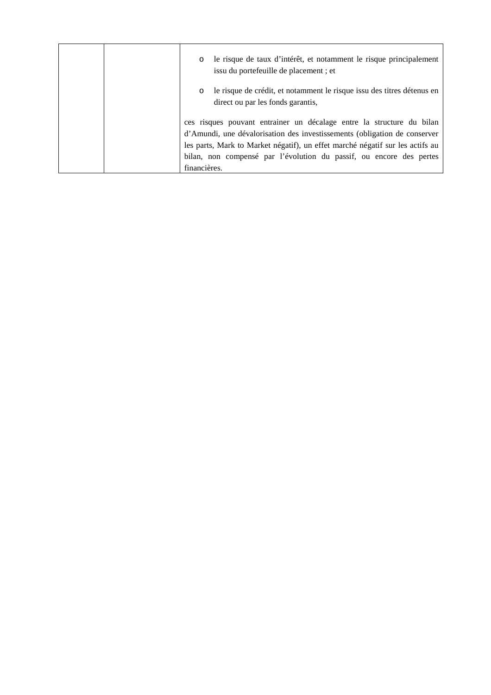|  | le risque de taux d'intérêt, et notamment le risque principalement<br>$\circ$<br>issu du portefeuille de placement; et                                                                                                                                                                                                     |
|--|----------------------------------------------------------------------------------------------------------------------------------------------------------------------------------------------------------------------------------------------------------------------------------------------------------------------------|
|  | le risque de crédit, et notamment le risque issu des titres détenus en<br>$\circ$<br>direct ou par les fonds garantis,                                                                                                                                                                                                     |
|  | ces risques pouvant entrainer un décalage entre la structure du bilan<br>d'Amundi, une dévalorisation des investissements (obligation de conserver<br>les parts, Mark to Market négatif), un effet marché négatif sur les actifs au<br>bilan, non compensé par l'évolution du passif, ou encore des pertes<br>financières. |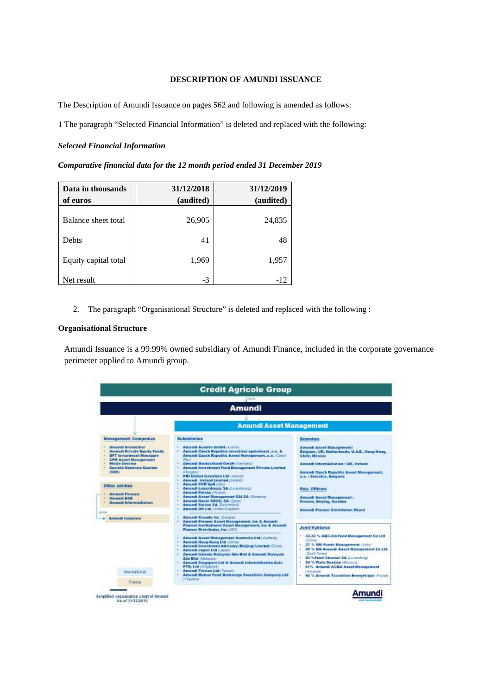# **DESCRIPTION OF AMUNDI ISSUANCE**

The Description of Amundi Issuance on pages 562 and following is amended as follows:

1 The paragraph "Selected Financial Information" is deleted and replaced with the following:

#### *Selected Financial Information*

| Comparative financial data for the 12 month period ended 31 December 2019 |  |  |  |  |  |
|---------------------------------------------------------------------------|--|--|--|--|--|
|---------------------------------------------------------------------------|--|--|--|--|--|

| Data in thousands    | 31/12/2018 | 31/12/2019 |
|----------------------|------------|------------|
| of euros             | (audited)  | (audited)  |
| Balance sheet total  | 26,905     | 24,835     |
| <b>Debts</b>         | 41         | 48         |
| Equity capital total | 1,969      | 1,957      |
| Net result           | $-3$       | $-12$      |

2. The paragraph "Organisational Structure" is deleted and replaced with the following :

#### **Organisational Structure**

Amundi Issuance is a 99.99% owned subsidiary of Amundi Finance, included in the corporate governance perimeter applied to Amundi group.

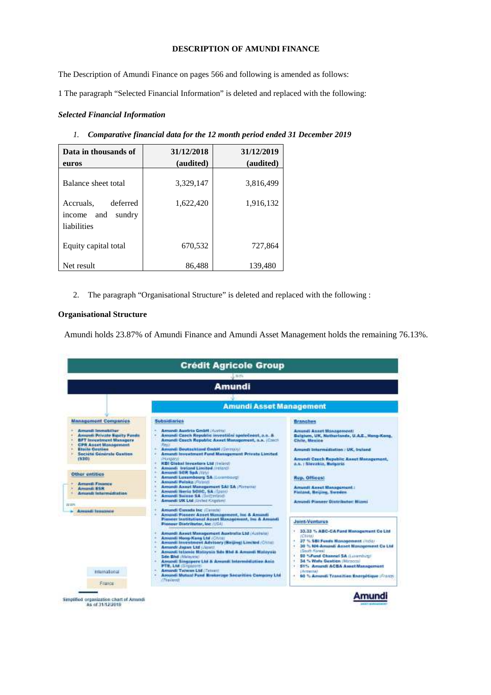# **DESCRIPTION OF AMUNDI FINANCE**

The Description of Amundi Finance on pages 566 and following is amended as follows:

1 The paragraph "Selected Financial Information" is deleted and replaced with the following:

#### *Selected Financial Information*

| Data in thousands of<br>euros                                   | 31/12/2018<br>(audited) | 31/12/2019<br>(audited) |
|-----------------------------------------------------------------|-------------------------|-------------------------|
| Balance sheet total                                             | 3,329,147               | 3,816,499               |
| deferred<br>Accruals,<br>and<br>sundry<br>income<br>liabilities | 1,622,420               | 1,916,132               |
| Equity capital total                                            | 670,532                 | 727,864                 |
| Net result                                                      | 86.488                  | 139.480                 |

*1. Comparative financial data for the 12 month period ended 31 December 2019*

2. The paragraph "Organisational Structure" is deleted and replaced with the following :

#### **Organisational Structure**

Amundi holds 23.87% of Amundi Finance and Amundi Asset Management holds the remaining 76.13%.

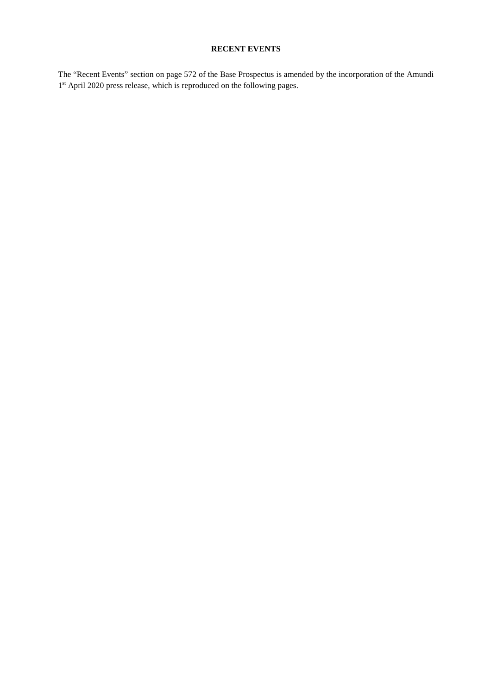# **RECENT EVENTS**

The "Recent Events" section on page 572 of the Base Prospectus is amended by the incorporation of the Amundi 1<sup>st</sup> April 2020 press release, which is reproduced on the following pages.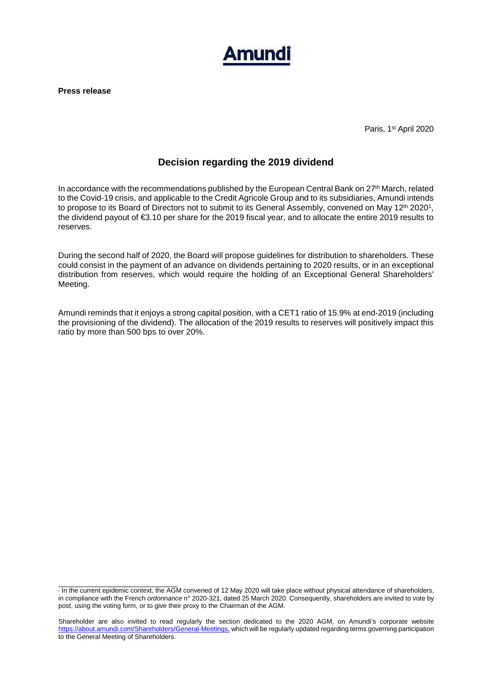

**Press release** 

Paris, 1st April 2020

# **Decision regarding the 2019 dividend**

In accordance with the recommendations published by the European Central Bank on 27<sup>th</sup> March, related to the Covid-19 crisis, and applicable to the Credit Agricole Group and to its subsidiaries, Amundi intends to propose to its Board of Directors not to submit to its General Assembly, convened on May 12<sup>th</sup> 2020<sup>1</sup>, the dividend payout of €3.10 per share for the 2019 fiscal year, and to allocate the entire 2019 results to reserves.

During the second half of 2020, the Board will propose guidelines for distribution to shareholders. These could consist in the payment of an advance on dividends pertaining to 2020 results, or in an exceptional distribution from reserves, which would require the holding of an Exceptional General Shareholders' Meeting.

Amundi reminds that it enjoys a strong capital position, with a CET1 ratio of 15.9% at end-2019 (including the provisioning of the dividend). The allocation of the 2019 results to reserves will positively impact this ratio by more than 500 bps to over 20%.

<sup>&</sup>lt;sup>1</sup> In the current epidemic context, the AGM convened of 12 May 2020 will take place without physical attendance of shareholders, in compliance with the French ordonnance n° 2020-321, dated 25 March 2020. Consequently, shareholders are invited to vote by post, using the voting form, or to give their proxy to the Chairman of the AGM.

Shareholder are also invited to read regularly the section dedicated to the 2020 AGM, on Amundi's corporate website https://about.amundi.com/Shareholders/General-Meetings, which will be regularly updated regarding terms governing participation to the General Meeting of Shareholders.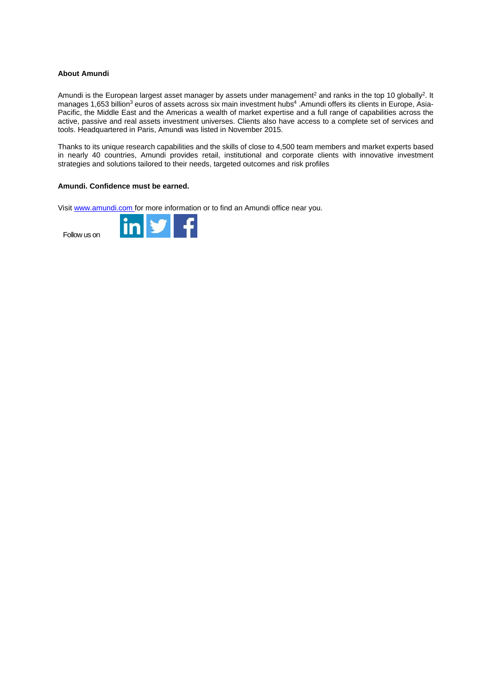#### **About Amundi**

Amundi is the European largest asset manager by assets under management<sup>2</sup> and ranks in the top 10 globally<sup>2</sup>. It manages 1,653 billion<sup>3</sup> euros of assets across six main investment hubs<sup>4</sup> .Amundi offers its clients in Europe, Asia-Pacific, the Middle East and the Americas a wealth of market expertise and a full range of capabilities across the active, passive and real assets investment universes. Clients also have access to a complete set of services and tools. Headquartered in Paris, Amundi was listed in November 2015.

Thanks to its unique research capabilities and the skills of close to 4,500 team members and market experts based in nearly 40 countries, Amundi provides retail, institutional and corporate clients with innovative investment strategies and solutions tailored to their needs, targeted outcomes and risk profiles

## **Amundi. Confidence must be earned.**

Visit www.amundi.com for more information or to find an Amundi office near you.

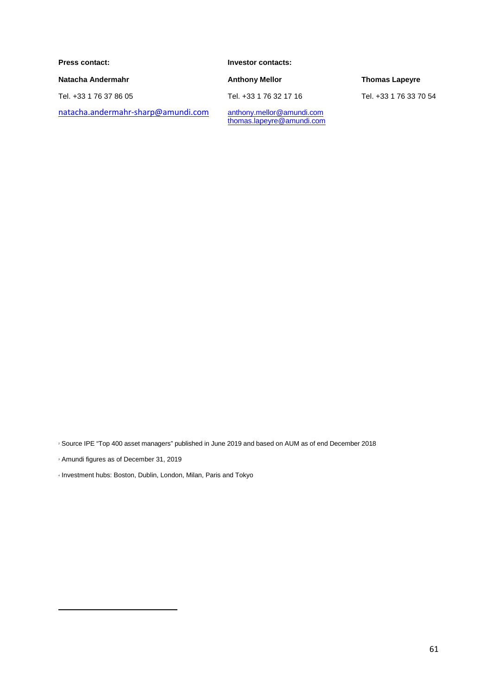**Press contact: Investor contacts:**  Natacha Andermahr **Anthony Mellor** Anthony Mellor **Anthony Mellor Thomas Lapeyre** Tel. +33 1 76 37 86 05 Tel. +33 1 76 32 17 16 Tel. +33 1 76 33 70 54 natacha.andermahr-sharp@amundi.com anthony.mellor@amundi.com<br>thomas.lapeyre@amundi.com

<sup>2</sup> Source IPE "Top 400 asset managers" published in June 2019 and based on AUM as of end December 2018

- <sup>3</sup> Amundi figures as of December 31, 2019
- <sup>4</sup> Investment hubs: Boston, Dublin, London, Milan, Paris and Tokyo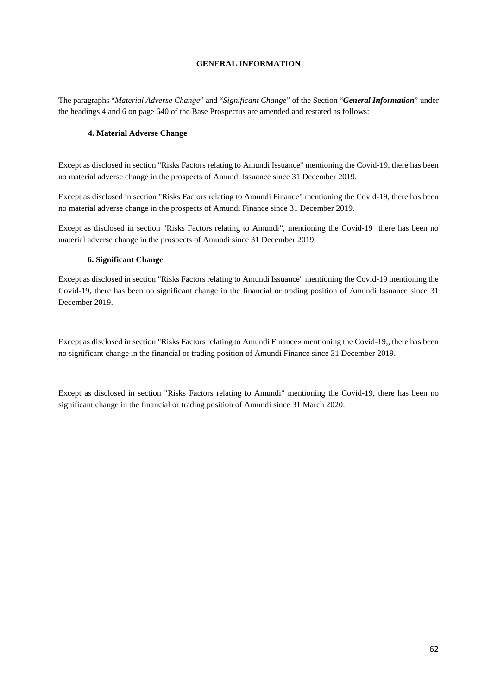#### **GENERAL INFORMATION**

The paragraphs "*Material Adverse Change*" and "*Significant Change*" of the Section "*General Information*" under the headings 4 and 6 on page 640 of the Base Prospectus are amended and restated as follows:

#### **4. Material Adverse Change**

Except as disclosed in section "Risks Factors relating to Amundi Issuance" mentioning the Covid-19, there has been no material adverse change in the prospects of Amundi Issuance since 31 December 2019.

Except as disclosed in section "Risks Factors relating to Amundi Finance" mentioning the Covid-19, there has been no material adverse change in the prospects of Amundi Finance since 31 December 2019.

Except as disclosed in section "Risks Factors relating to Amundi", mentioning the Covid-19 there has been no material adverse change in the prospects of Amundi since 31 December 2019.

#### **6. Significant Change**

Except as disclosed in section "Risks Factors relating to Amundi Issuance" mentioning the Covid-19 mentioning the Covid-19, there has been no significant change in the financial or trading position of Amundi Issuance since 31 December 2019.

Except as disclosed in section "Risks Factors relating to Amundi Finance» mentioning the Covid-19,, there has been no significant change in the financial or trading position of Amundi Finance since 31 December 2019.

Except as disclosed in section "Risks Factors relating to Amundi" mentioning the Covid-19, there has been no significant change in the financial or trading position of Amundi since 31 March 2020.